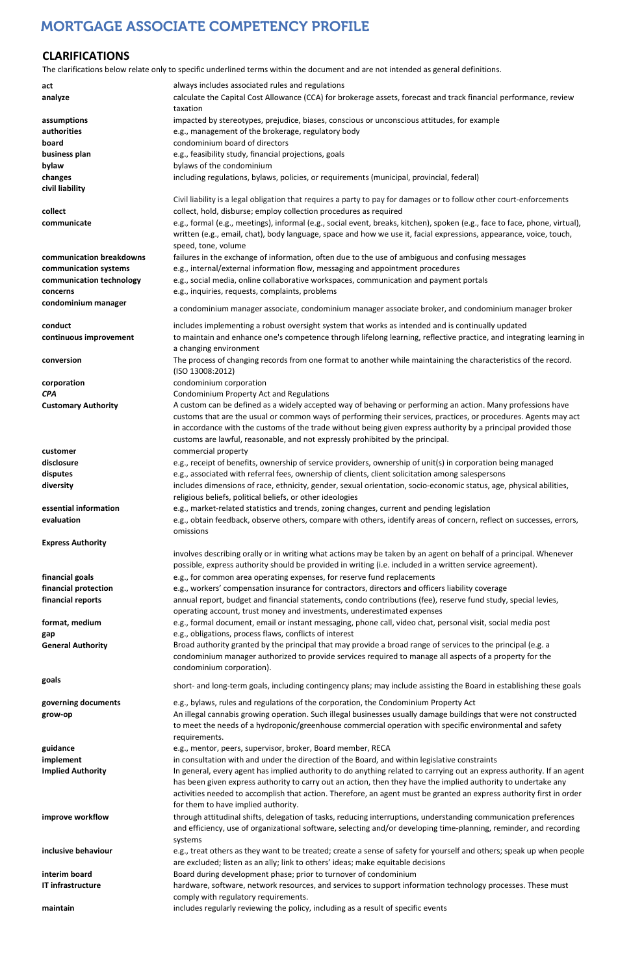| RIVII VP                 | , in megar cannabis growing operation. Such megar businesses usuany udmuge bunungs that were not constructed           |
|--------------------------|------------------------------------------------------------------------------------------------------------------------|
|                          | to meet the needs of a hydroponic/greenhouse commercial operation with specific environmental and safety               |
|                          | requirements.                                                                                                          |
| guidance                 | e.g., mentor, peers, supervisor, broker, Board member, RECA                                                            |
| implement                | in consultation with and under the direction of the Board, and within legislative constraints                          |
| <b>Implied Authority</b> | In general, every agent has implied authority to do anything related to carrying out an express authority. If an agent |
|                          | has been given express authority to carry out an action, then they have the implied authority to undertake any         |
|                          | activities needed to accomplish that action. Therefore, an agent must be granted an express authority first in order   |
|                          | for them to have implied authority.                                                                                    |
| improve workflow         | through attitudinal shifts, delegation of tasks, reducing interruptions, understanding communication preferences       |
|                          | and efficiency, use of organizational software, selecting and/or developing time-planning, reminder, and recording     |
|                          | systems                                                                                                                |
| inclusive behaviour      | e.g., treat others as they want to be treated; create a sense of safety for yourself and others; speak up when people  |
|                          | are excluded; listen as an ally; link to others' ideas; make equitable decisions                                       |
| interim board            | Board during development phase; prior to turnover of condominium                                                       |
| <b>IT infrastructure</b> | hardware, software, network resources, and services to support information technology processes. These must            |
|                          | comply with regulatory requirements.                                                                                   |
| maintain                 | includes regularly reviewing the policy, including as a result of specific events                                      |
|                          |                                                                                                                        |

# **CLARIFICATIONS**

The clarifications below relate only to specific underlined terms within the document and are not intended as general definitions.

| act                        | always includes associated rules and regulations                                                                                                                                                                                                                                                                                                                                                                                     |
|----------------------------|--------------------------------------------------------------------------------------------------------------------------------------------------------------------------------------------------------------------------------------------------------------------------------------------------------------------------------------------------------------------------------------------------------------------------------------|
| analyze                    | calculate the Capital Cost Allowance (CCA) for brokerage assets, forecast and track financial performance, review<br>taxation                                                                                                                                                                                                                                                                                                        |
| assumptions                | impacted by stereotypes, prejudice, biases, conscious or unconscious attitudes, for example                                                                                                                                                                                                                                                                                                                                          |
| authorities                | e.g., management of the brokerage, regulatory body                                                                                                                                                                                                                                                                                                                                                                                   |
| board                      | condominium board of directors                                                                                                                                                                                                                                                                                                                                                                                                       |
| business plan              | e.g., feasibility study, financial projections, goals                                                                                                                                                                                                                                                                                                                                                                                |
| bylaw                      | bylaws of the condominium                                                                                                                                                                                                                                                                                                                                                                                                            |
| changes                    | including regulations, bylaws, policies, or requirements (municipal, provincial, federal)                                                                                                                                                                                                                                                                                                                                            |
| civil liability            |                                                                                                                                                                                                                                                                                                                                                                                                                                      |
|                            | Civil liability is a legal obligation that requires a party to pay for damages or to follow other court-enforcements                                                                                                                                                                                                                                                                                                                 |
| collect                    | collect, hold, disburse; employ collection procedures as required                                                                                                                                                                                                                                                                                                                                                                    |
| communicate                | e.g., formal (e.g., meetings), informal (e.g., social event, breaks, kitchen), spoken (e.g., face to face, phone, virtual),<br>written (e.g., email, chat), body language, space and how we use it, facial expressions, appearance, voice, touch,<br>speed, tone, volume                                                                                                                                                             |
| communication breakdowns   | failures in the exchange of information, often due to the use of ambiguous and confusing messages                                                                                                                                                                                                                                                                                                                                    |
| communication systems      | e.g., internal/external information flow, messaging and appointment procedures                                                                                                                                                                                                                                                                                                                                                       |
| communication technology   | e.g., social media, online collaborative workspaces, communication and payment portals                                                                                                                                                                                                                                                                                                                                               |
| concerns                   | e.g., inquiries, requests, complaints, problems                                                                                                                                                                                                                                                                                                                                                                                      |
| condominium manager        | a condominium manager associate, condominium manager associate broker, and condominium manager broker                                                                                                                                                                                                                                                                                                                                |
|                            |                                                                                                                                                                                                                                                                                                                                                                                                                                      |
| conduct                    | includes implementing a robust oversight system that works as intended and is continually updated                                                                                                                                                                                                                                                                                                                                    |
| continuous improvement     | to maintain and enhance one's competence through lifelong learning, reflective practice, and integrating learning in<br>a changing environment                                                                                                                                                                                                                                                                                       |
| conversion                 | The process of changing records from one format to another while maintaining the characteristics of the record.<br>(ISO 13008:2012)                                                                                                                                                                                                                                                                                                  |
| corporation                | condominium corporation                                                                                                                                                                                                                                                                                                                                                                                                              |
| <b>CPA</b>                 | Condominium Property Act and Regulations                                                                                                                                                                                                                                                                                                                                                                                             |
| <b>Customary Authority</b> | A custom can be defined as a widely accepted way of behaving or performing an action. Many professions have<br>customs that are the usual or common ways of performing their services, practices, or procedures. Agents may act<br>in accordance with the customs of the trade without being given express authority by a principal provided those<br>customs are lawful, reasonable, and not expressly prohibited by the principal. |
| customer                   | commercial property                                                                                                                                                                                                                                                                                                                                                                                                                  |
| disclosure                 | e.g., receipt of benefits, ownership of service providers, ownership of unit(s) in corporation being managed                                                                                                                                                                                                                                                                                                                         |
| disputes                   | e.g., associated with referral fees, ownership of clients, client solicitation among salespersons                                                                                                                                                                                                                                                                                                                                    |
| diversity                  | includes dimensions of race, ethnicity, gender, sexual orientation, socio-economic status, age, physical abilities,<br>religious beliefs, political beliefs, or other ideologies                                                                                                                                                                                                                                                     |
| essential information      | e.g., market-related statistics and trends, zoning changes, current and pending legislation                                                                                                                                                                                                                                                                                                                                          |
| evaluation                 | e.g., obtain feedback, observe others, compare with others, identify areas of concern, reflect on successes, errors,<br>omissions                                                                                                                                                                                                                                                                                                    |
| <b>Express Authority</b>   |                                                                                                                                                                                                                                                                                                                                                                                                                                      |
|                            | involves describing orally or in writing what actions may be taken by an agent on behalf of a principal. Whenever<br>possible, express authority should be provided in writing (i.e. included in a written service agreement).                                                                                                                                                                                                       |
| financial goals            | e.g., for common area operating expenses, for reserve fund replacements                                                                                                                                                                                                                                                                                                                                                              |
| financial protection       | e.g., workers' compensation insurance for contractors, directors and officers liability coverage                                                                                                                                                                                                                                                                                                                                     |
| financial reports          | annual report, budget and financial statements, condo contributions (fee), reserve fund study, special levies,<br>operating account, trust money and investments, underestimated expenses                                                                                                                                                                                                                                            |
| format, medium             | e.g., formal document, email or instant messaging, phone call, video chat, personal visit, social media post                                                                                                                                                                                                                                                                                                                         |
| gap                        | e.g., obligations, process flaws, conflicts of interest                                                                                                                                                                                                                                                                                                                                                                              |
| <b>General Authority</b>   | Broad authority granted by the principal that may provide a broad range of services to the principal (e.g. a<br>condominium manager authorized to provide services required to manage all aspects of a property for the<br>condominium corporation).                                                                                                                                                                                 |
| goals                      | short- and long-term goals, including contingency plans; may include assisting the Board in establishing these goals                                                                                                                                                                                                                                                                                                                 |
| governing documents        | e.g., bylaws, rules and regulations of the corporation, the Condominium Property Act                                                                                                                                                                                                                                                                                                                                                 |
| grow-op                    | An illegal cannabis growing operation. Such illegal businesses usually damage buildings that were not constructed                                                                                                                                                                                                                                                                                                                    |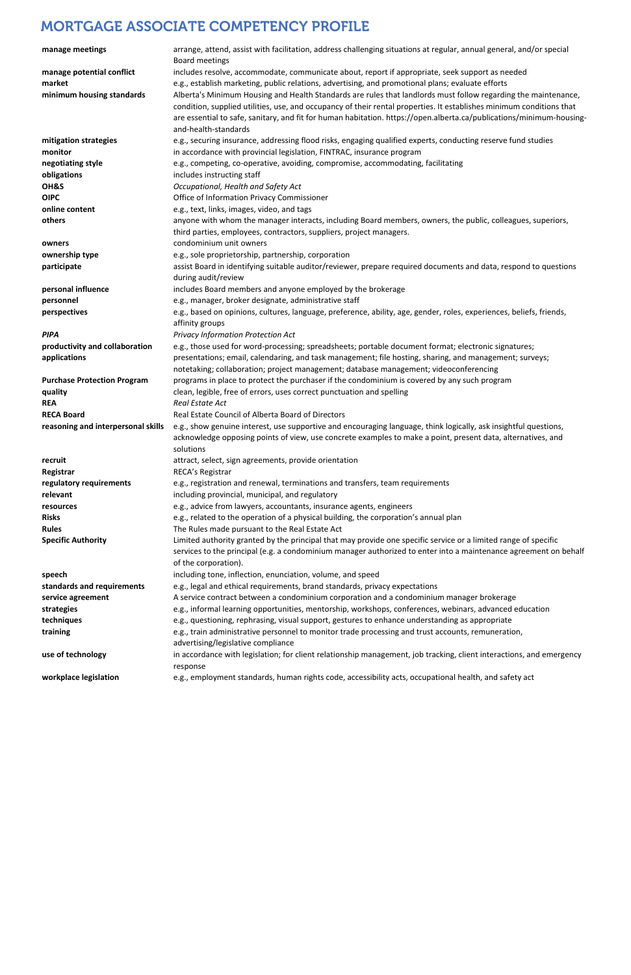| manage meetings                     | arrange, attend, assist with facilitation, address challenging situations at regular, annual general, and/or special<br>Board meetings                                                               |
|-------------------------------------|------------------------------------------------------------------------------------------------------------------------------------------------------------------------------------------------------|
| manage potential conflict<br>market | includes resolve, accommodate, communicate about, report if appropriate, seek support as needed<br>e.g., establish marketing, public relations, advertising, and promotional plans; evaluate efforts |
| minimum housing standards           | Alberta's Minimum Housing and Health Standards are rules that landlords must follow regarding the maintenance,                                                                                       |
|                                     | condition, supplied utilities, use, and occupancy of their rental properties. It establishes minimum conditions that                                                                                 |
|                                     | are essential to safe, sanitary, and fit for human habitation. https://open.alberta.ca/publications/minimum-housing-                                                                                 |
|                                     | and-health-standards                                                                                                                                                                                 |
| mitigation strategies               | e.g., securing insurance, addressing flood risks, engaging qualified experts, conducting reserve fund studies                                                                                        |
| monitor                             | in accordance with provincial legislation, FINTRAC, insurance program                                                                                                                                |
| negotiating style                   | e.g., competing, co-operative, avoiding, compromise, accommodating, facilitating                                                                                                                     |
| obligations                         | includes instructing staff                                                                                                                                                                           |
| OH&S                                | Occupational, Health and Safety Act                                                                                                                                                                  |
| <b>OIPC</b>                         | Office of Information Privacy Commissioner                                                                                                                                                           |
| online content                      | e.g., text, links, images, video, and tags                                                                                                                                                           |
| others                              | anyone with whom the manager interacts, including Board members, owners, the public, colleagues, superiors,                                                                                          |
|                                     | third parties, employees, contractors, suppliers, project managers.                                                                                                                                  |
| owners                              | condominium unit owners                                                                                                                                                                              |
| ownership type                      | e.g., sole proprietorship, partnership, corporation                                                                                                                                                  |
| participate                         | assist Board in identifying suitable auditor/reviewer, prepare required documents and data, respond to questions                                                                                     |
|                                     | during audit/review                                                                                                                                                                                  |
| personal influence                  | includes Board members and anyone employed by the brokerage                                                                                                                                          |
| personnel                           | e.g., manager, broker designate, administrative staff                                                                                                                                                |
| perspectives                        | e.g., based on opinions, cultures, language, preference, ability, age, gender, roles, experiences, beliefs, friends,                                                                                 |
|                                     | affinity groups                                                                                                                                                                                      |
| <b>PIPA</b>                         | Privacy Information Protection Act                                                                                                                                                                   |
| productivity and collaboration      | e.g., those used for word-processing; spreadsheets; portable document format; electronic signatures;                                                                                                 |
| applications                        | presentations; email, calendaring, and task management; file hosting, sharing, and management; surveys;                                                                                              |
|                                     | notetaking; collaboration; project management; database management; videoconferencing                                                                                                                |
| <b>Purchase Protection Program</b>  | programs in place to protect the purchaser if the condominium is covered by any such program                                                                                                         |
| quality                             | clean, legible, free of errors, uses correct punctuation and spelling                                                                                                                                |
| <b>REA</b>                          | Real Estate Act                                                                                                                                                                                      |
| <b>RECA Board</b>                   | Real Estate Council of Alberta Board of Directors                                                                                                                                                    |
| reasoning and interpersonal skills  | e.g., show genuine interest, use supportive and encouraging language, think logically, ask insightful questions,                                                                                     |
|                                     | acknowledge opposing points of view, use concrete examples to make a point, present data, alternatives, and                                                                                          |
|                                     | solutions                                                                                                                                                                                            |
| recruit                             | attract, select, sign agreements, provide orientation                                                                                                                                                |
| Registrar                           | RECA's Registrar                                                                                                                                                                                     |
| regulatory requirements             | e.g., registration and renewal, terminations and transfers, team requirements                                                                                                                        |
| relevant                            | including provincial, municipal, and regulatory                                                                                                                                                      |
| resources                           | e.g., advice from lawyers, accountants, insurance agents, engineers                                                                                                                                  |
| <b>Risks</b>                        | e.g., related to the operation of a physical building, the corporation's annual plan                                                                                                                 |
| <b>Rules</b>                        | The Rules made pursuant to the Real Estate Act                                                                                                                                                       |
| <b>Specific Authority</b>           | Limited authority granted by the principal that may provide one specific service or a limited range of specific                                                                                      |
|                                     | services to the principal (e.g. a condominium manager authorized to enter into a maintenance agreement on behalf                                                                                     |
|                                     | of the corporation).                                                                                                                                                                                 |
| speech                              | including tone, inflection, enunciation, volume, and speed                                                                                                                                           |
| standards and requirements          | e.g., legal and ethical requirements, brand standards, privacy expectations                                                                                                                          |
| service agreement                   | A service contract between a condominium corporation and a condominium manager brokerage                                                                                                             |
| strategies                          | e.g., informal learning opportunities, mentorship, workshops, conferences, webinars, advanced education                                                                                              |
| techniques                          | e.g., questioning, rephrasing, visual support, gestures to enhance understanding as appropriate                                                                                                      |
| training                            | e.g., train administrative personnel to monitor trade processing and trust accounts, remuneration,                                                                                                   |
|                                     | advertising/legislative compliance                                                                                                                                                                   |
| use of technology                   | in accordance with legislation; for client relationship management, job tracking, client interactions, and emergency<br>response                                                                     |
| workplace legislation               | e.g., employment standards, human rights code, accessibility acts, occupational health, and safety act                                                                                               |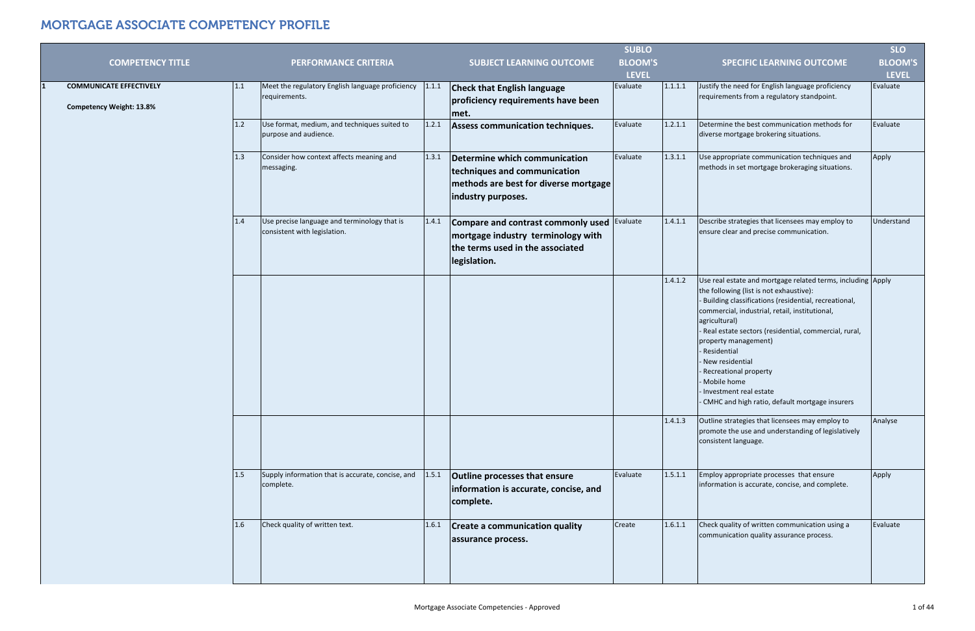|                                                                   |     |                                                                              |       |                                                                                                                              | <b>SUBLO</b>   |         |                                                                                                                                                                                                                                                                                                                                                                                                                                                                           | <b>SLO</b>     |
|-------------------------------------------------------------------|-----|------------------------------------------------------------------------------|-------|------------------------------------------------------------------------------------------------------------------------------|----------------|---------|---------------------------------------------------------------------------------------------------------------------------------------------------------------------------------------------------------------------------------------------------------------------------------------------------------------------------------------------------------------------------------------------------------------------------------------------------------------------------|----------------|
| <b>COMPETENCY TITLE</b>                                           |     | <b>PERFORMANCE CRITERIA</b>                                                  |       | <b>SUBJECT LEARNING OUTCOME</b>                                                                                              | <b>BLOOM'S</b> |         | <b>SPECIFIC LEARNING OUTCOME</b>                                                                                                                                                                                                                                                                                                                                                                                                                                          | <b>BLOOM'S</b> |
|                                                                   |     |                                                                              |       |                                                                                                                              | <b>LEVEL</b>   |         |                                                                                                                                                                                                                                                                                                                                                                                                                                                                           | <b>LEVEL</b>   |
| <b>COMMUNICATE EFFECTIVELY</b><br><b>Competency Weight: 13.8%</b> | 1.1 | Meet the regulatory English language proficiency<br>requirements.            | 1.1.1 | <b>Check that English language</b><br>proficiency requirements have been<br>met.                                             | Evaluate       | 1.1.1.1 | Justify the need for English language proficiency<br>requirements from a regulatory standpoint.                                                                                                                                                                                                                                                                                                                                                                           | Evaluate       |
|                                                                   | 1.2 | Use format, medium, and techniques suited to<br>purpose and audience.        | 1.2.1 | Assess communication techniques.                                                                                             | Evaluate       | 1.2.1.1 | Determine the best communication methods for<br>diverse mortgage brokering situations.                                                                                                                                                                                                                                                                                                                                                                                    | Evaluate       |
|                                                                   | 1.3 | Consider how context affects meaning and<br>messaging.                       | 1.3.1 | Determine which communication<br>techniques and communication<br>methods are best for diverse mortgage<br>industry purposes. | Evaluate       | 1.3.1.1 | Use appropriate communication techniques and<br>methods in set mortgage brokeraging situations.                                                                                                                                                                                                                                                                                                                                                                           | Apply          |
|                                                                   | 1.4 | Use precise language and terminology that is<br>consistent with legislation. | 1.4.1 | Compare and contrast commonly used<br>mortgage industry terminology with<br>the terms used in the associated<br>legislation. | Evaluate       | 1.4.1.1 | Describe strategies that licensees may employ to<br>ensure clear and precise communication.                                                                                                                                                                                                                                                                                                                                                                               | Understand     |
|                                                                   |     |                                                                              |       |                                                                                                                              |                | 1.4.1.2 | Use real estate and mortgage related terms, including Apply<br>the following (list is not exhaustive):<br>Building classifications (residential, recreational,<br>commercial, industrial, retail, institutional,<br>agricultural)<br>Real estate sectors (residential, commercial, rural,<br>property management)<br>Residential<br>New residential<br>Recreational property<br>Mobile home<br>Investment real estate<br>- CMHC and high ratio, default mortgage insurers |                |
|                                                                   |     |                                                                              |       |                                                                                                                              |                | 1.4.1.3 | Outline strategies that licensees may employ to<br>promote the use and understanding of legislatively<br>consistent language.                                                                                                                                                                                                                                                                                                                                             | Analyse        |
|                                                                   | 1.5 | Supply information that is accurate, concise, and<br>complete.               | 1.5.1 | <b>Outline processes that ensure</b><br>information is accurate, concise, and<br>complete.                                   | Evaluate       | 1.5.1.1 | Employ appropriate processes that ensure<br>information is accurate, concise, and complete.                                                                                                                                                                                                                                                                                                                                                                               | Apply          |
|                                                                   | 1.6 | Check quality of written text.                                               | 1.6.1 | <b>Create a communication quality</b><br>assurance process.                                                                  | Create         | 1.6.1.1 | Check quality of written communication using a<br>communication quality assurance process.                                                                                                                                                                                                                                                                                                                                                                                | Evaluate       |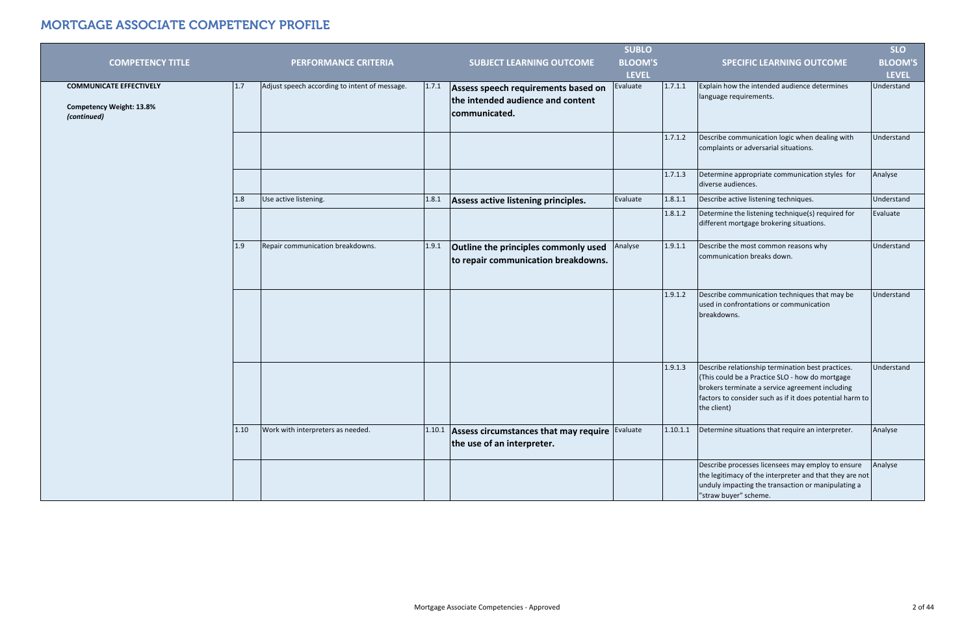|                                                                                         |                                               |       |                                                                                           | <b>SUBLO</b>   |          |                                                                                                                                                                                                                                    | <b>SLO</b>     |
|-----------------------------------------------------------------------------------------|-----------------------------------------------|-------|-------------------------------------------------------------------------------------------|----------------|----------|------------------------------------------------------------------------------------------------------------------------------------------------------------------------------------------------------------------------------------|----------------|
| <b>COMPETENCY TITLE</b>                                                                 | <b>PERFORMANCE CRITERIA</b>                   |       | <b>SUBJECT LEARNING OUTCOME</b>                                                           | <b>BLOOM'S</b> |          | <b>SPECIFIC LEARNING OUTCOME</b>                                                                                                                                                                                                   | <b>BLOOM'S</b> |
|                                                                                         |                                               |       |                                                                                           | <b>LEVEL</b>   |          |                                                                                                                                                                                                                                    | <b>LEVEL</b>   |
| <b>COMMUNICATE EFFECTIVELY</b><br>1.7<br><b>Competency Weight: 13.8%</b><br>(continued) | Adjust speech according to intent of message. | 1.7.1 | Assess speech requirements based on<br>the intended audience and content<br>communicated. | Evaluate       | 1.7.1.1  | Explain how the intended audience determines<br>language requirements.                                                                                                                                                             | Understand     |
|                                                                                         |                                               |       |                                                                                           |                | 1.7.1.2  | Describe communication logic when dealing with<br>complaints or adversarial situations.                                                                                                                                            | Understand     |
|                                                                                         |                                               |       |                                                                                           |                | 1.7.1.3  | Determine appropriate communication styles for<br>diverse audiences.                                                                                                                                                               | Analyse        |
| 1.8                                                                                     | Use active listening.                         | 1.8.1 | Assess active listening principles.                                                       | Evaluate       | 1.8.1.1  | Describe active listening techniques.                                                                                                                                                                                              | Understand     |
|                                                                                         |                                               |       |                                                                                           |                | 1.8.1.2  | Determine the listening technique(s) required for<br>different mortgage brokering situations.                                                                                                                                      | Evaluate       |
| 1.9                                                                                     | Repair communication breakdowns.              | 1.9.1 | Outline the principles commonly used<br>to repair communication breakdowns.               | Analyse        | 1.9.1.1  | Describe the most common reasons why<br>communication breaks down.                                                                                                                                                                 | Understand     |
|                                                                                         |                                               |       |                                                                                           |                | 1.9.1.2  | Describe communication techniques that may be<br>used in confrontations or communication<br>breakdowns.                                                                                                                            | Understand     |
|                                                                                         |                                               |       |                                                                                           |                | 1.9.1.3  | Describe relationship termination best practices.<br>(This could be a Practice SLO - how do mortgage<br>brokers terminate a service agreement including<br>factors to consider such as if it does potential harm to<br>the client) | Understand     |
| 1.10                                                                                    | Work with interpreters as needed.             |       | $1.10.1$ Assess circumstances that may require<br>the use of an interpreter.              | Evaluate       | 1.10.1.1 | Determine situations that require an interpreter.                                                                                                                                                                                  | Analyse        |
|                                                                                         |                                               |       |                                                                                           |                |          | Describe processes licensees may employ to ensure<br>the legitimacy of the interpreter and that they are not<br>unduly impacting the transaction or manipulating a<br>"straw buyer" scheme.                                        | Analyse        |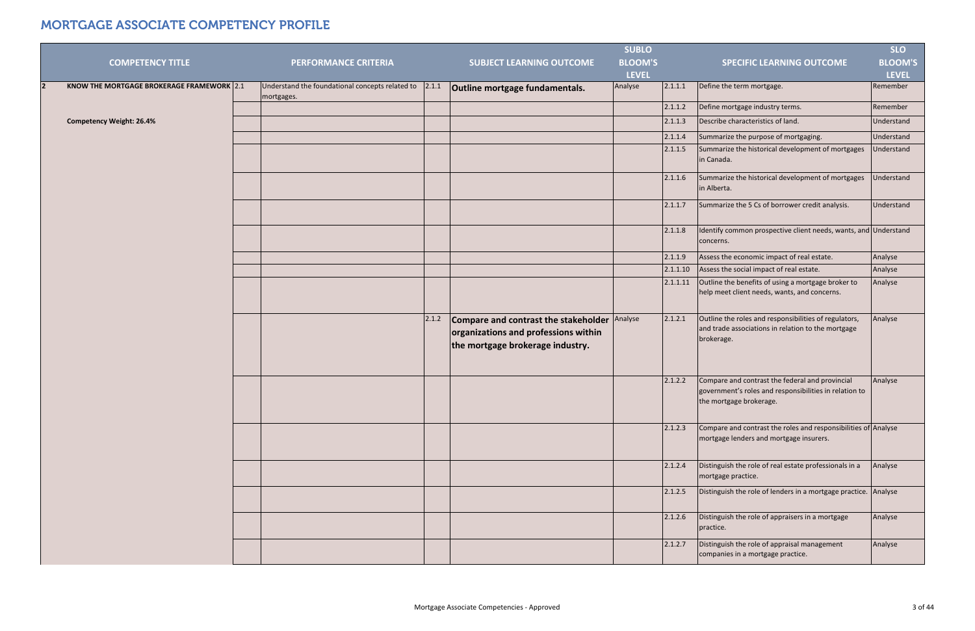|                                           |                                                               |       |                                                                                                                  | <b>SUBLO</b>   |          |                                                                                                                                      | <b>SLO</b>     |
|-------------------------------------------|---------------------------------------------------------------|-------|------------------------------------------------------------------------------------------------------------------|----------------|----------|--------------------------------------------------------------------------------------------------------------------------------------|----------------|
| <b>COMPETENCY TITLE</b>                   | <b>PERFORMANCE CRITERIA</b>                                   |       | <b>SUBJECT LEARNING OUTCOME</b>                                                                                  | <b>BLOOM'S</b> |          | <b>SPECIFIC LEARNING OUTCOME</b>                                                                                                     | <b>BLOOM'S</b> |
|                                           |                                                               |       |                                                                                                                  | <b>LEVEL</b>   |          |                                                                                                                                      | <b>LEVEL</b>   |
| KNOW THE MORTGAGE BROKERAGE FRAMEWORK 2.1 | Understand the foundational concepts related to<br>mortgages. | 2.1.1 | Outline mortgage fundamentals.                                                                                   | Analyse        | 2.1.1.1  | Define the term mortgage.                                                                                                            | Remember       |
|                                           |                                                               |       |                                                                                                                  |                | 2.1.1.2  | Define mortgage industry terms.                                                                                                      | Remember       |
| <b>Competency Weight: 26.4%</b>           |                                                               |       |                                                                                                                  |                | 2.1.1.3  | Describe characteristics of land.                                                                                                    | Understand     |
|                                           |                                                               |       |                                                                                                                  |                | 2.1.1.4  | Summarize the purpose of mortgaging.                                                                                                 | Understand     |
|                                           |                                                               |       |                                                                                                                  |                | 2.1.1.5  | Summarize the historical development of mortgages<br>in Canada.                                                                      | Understand     |
|                                           |                                                               |       |                                                                                                                  |                | 2.1.1.6  | Summarize the historical development of mortgages<br>in Alberta.                                                                     | Understand     |
|                                           |                                                               |       |                                                                                                                  |                | 2.1.1.7  | Summarize the 5 Cs of borrower credit analysis.                                                                                      | Understand     |
|                                           |                                                               |       |                                                                                                                  |                | 2.1.1.8  | Identify common prospective client needs, wants, and Understand<br>concerns.                                                         |                |
|                                           |                                                               |       |                                                                                                                  |                | 2.1.1.9  | Assess the economic impact of real estate.                                                                                           | Analyse        |
|                                           |                                                               |       |                                                                                                                  |                | 2.1.1.10 | Assess the social impact of real estate.                                                                                             | Analyse        |
|                                           |                                                               |       |                                                                                                                  |                | 2.1.1.11 | Outline the benefits of using a mortgage broker to<br>help meet client needs, wants, and concerns.                                   | Analyse        |
|                                           |                                                               | 2.1.2 | Compare and contrast the stakeholder<br>organizations and professions within<br>the mortgage brokerage industry. | Analyse        | 2.1.2.1  | Outline the roles and responsibilities of regulators,<br>and trade associations in relation to the mortgage<br>brokerage.            | Analyse        |
|                                           |                                                               |       |                                                                                                                  |                | 2.1.2.2  | Compare and contrast the federal and provincial<br>government's roles and responsibilities in relation to<br>the mortgage brokerage. | Analyse        |
|                                           |                                                               |       |                                                                                                                  |                | 2.1.2.3  | Compare and contrast the roles and responsibilities of Analyse<br>mortgage lenders and mortgage insurers.                            |                |
|                                           |                                                               |       |                                                                                                                  |                | 2.1.2.4  | Distinguish the role of real estate professionals in a<br>mortgage practice.                                                         | Analyse        |
|                                           |                                                               |       |                                                                                                                  |                | 2.1.2.5  | Distinguish the role of lenders in a mortgage practice. Analyse                                                                      |                |
|                                           |                                                               |       |                                                                                                                  |                | 2.1.2.6  | Distinguish the role of appraisers in a mortgage<br>practice.                                                                        | Analyse        |
|                                           |                                                               |       |                                                                                                                  |                | 2.1.2.7  | Distinguish the role of appraisal management<br>companies in a mortgage practice.                                                    | Analyse        |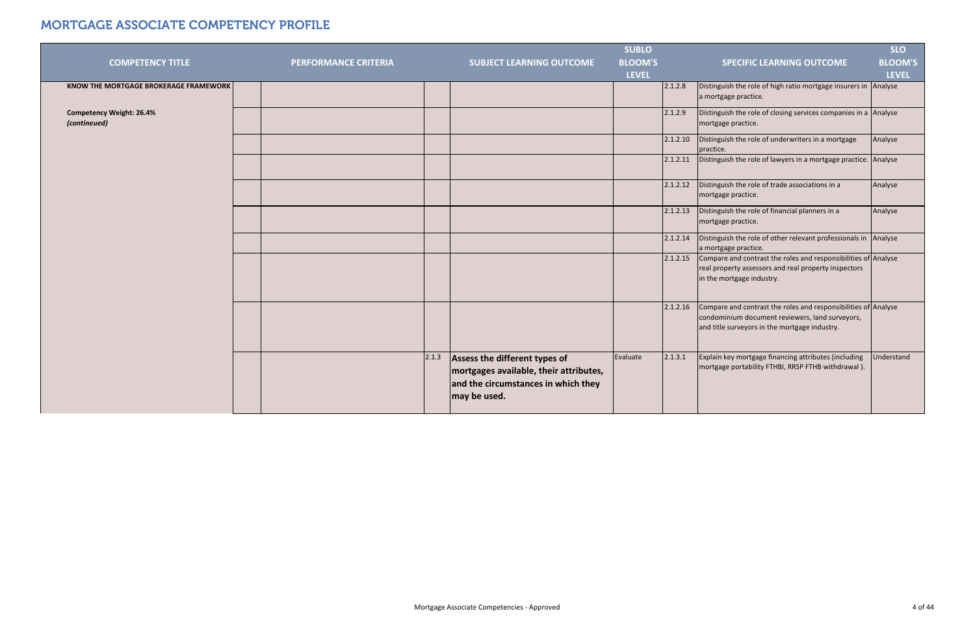|                                                 |                             |                                                                                                                                         | <b>SUBLO</b>        |                                                                                                                                                                    | <b>SLO</b>     |
|-------------------------------------------------|-----------------------------|-----------------------------------------------------------------------------------------------------------------------------------------|---------------------|--------------------------------------------------------------------------------------------------------------------------------------------------------------------|----------------|
| <b>COMPETENCY TITLE</b>                         | <b>PERFORMANCE CRITERIA</b> | <b>SUBJECT LEARNING OUTCOME</b>                                                                                                         | <b>BLOOM'S</b>      | <b>SPECIFIC LEARNING OUTCOME</b>                                                                                                                                   | <b>BLOOM'S</b> |
|                                                 |                             |                                                                                                                                         | <b>LEVEL</b>        |                                                                                                                                                                    | <b>LEVEL</b>   |
| KNOW THE MORTGAGE BROKERAGE FRAMEWORK           |                             |                                                                                                                                         | 2.1.2.8             | Distinguish the role of high ratio mortgage insurers in Analyse<br>a mortgage practice.                                                                            |                |
| <b>Competency Weight: 26.4%</b><br>(contineued) |                             |                                                                                                                                         | 2.1.2.9             | Distinguish the role of closing services companies in a Analyse<br>mortgage practice.                                                                              |                |
|                                                 |                             |                                                                                                                                         | 2.1.2.10            | Distinguish the role of underwriters in a mortgage<br>practice.                                                                                                    | Analyse        |
|                                                 |                             |                                                                                                                                         | 2.1.2.11            | Distinguish the role of lawyers in a mortgage practice. Analyse                                                                                                    |                |
|                                                 |                             |                                                                                                                                         | 2.1.2.12            | Distinguish the role of trade associations in a<br>mortgage practice.                                                                                              | Analyse        |
|                                                 |                             |                                                                                                                                         | 2.1.2.13            | Distinguish the role of financial planners in a<br>mortgage practice.                                                                                              | Analyse        |
|                                                 |                             |                                                                                                                                         | 2.1.2.14            | Distinguish the role of other relevant professionals in Analyse<br>a mortgage practice.                                                                            |                |
|                                                 |                             |                                                                                                                                         | 2.1.2.15            | Compare and contrast the roles and responsibilities of Analyse<br>real property assessors and real property inspectors<br>in the mortgage industry.                |                |
|                                                 |                             |                                                                                                                                         | 2.1.2.16            | Compare and contrast the roles and responsibilities of Analyse<br>condominium document reviewers, land surveyors,<br>and title surveyors in the mortgage industry. |                |
|                                                 |                             | 2.1.3<br>Assess the different types of<br>mortgages available, their attributes,<br>and the circumstances in which they<br>may be used. | Evaluate<br>2.1.3.1 | Explain key mortgage financing attributes (including<br>mortgage portability FTHBI, RRSP FTHB withdrawal).                                                         | Understand     |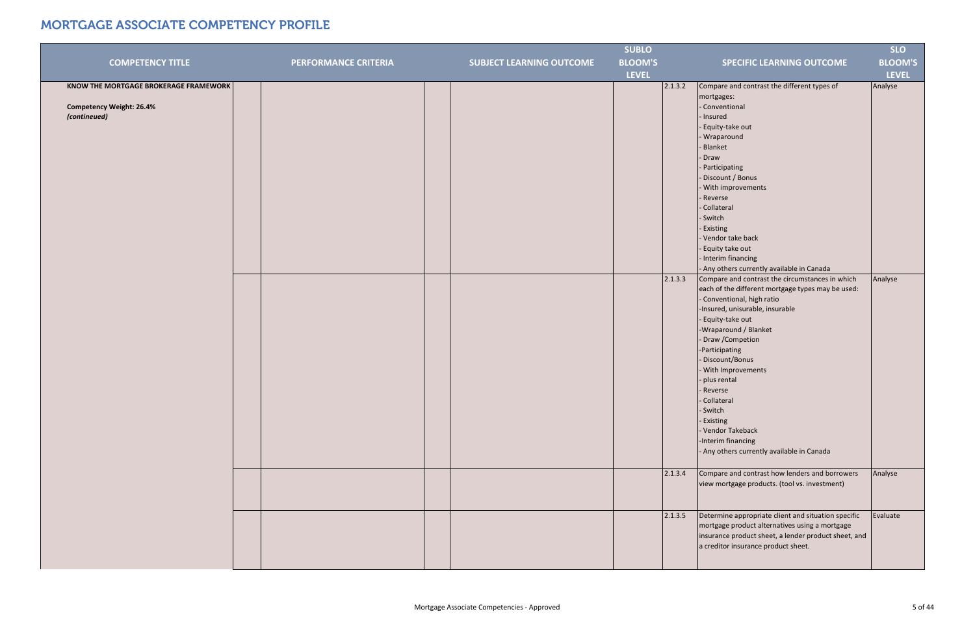|                                       |                             |                                 | <b>SUBLO</b>   |                                                      | <b>SLO</b>     |
|---------------------------------------|-----------------------------|---------------------------------|----------------|------------------------------------------------------|----------------|
| <b>COMPETENCY TITLE</b>               | <b>PERFORMANCE CRITERIA</b> | <b>SUBJECT LEARNING OUTCOME</b> | <b>BLOOM'S</b> | <b>SPECIFIC LEARNING OUTCOME</b>                     | <b>BLOOM'S</b> |
|                                       |                             |                                 | <b>LEVEL</b>   |                                                      | <b>LEVEL</b>   |
| KNOW THE MORTGAGE BROKERAGE FRAMEWORK |                             |                                 | 2.1.3.2        | Compare and contrast the different types of          | Analyse        |
|                                       |                             |                                 |                | mortgages:                                           |                |
| <b>Competency Weight: 26.4%</b>       |                             |                                 |                | - Conventional                                       |                |
| (contineued)                          |                             |                                 |                | - Insured                                            |                |
|                                       |                             |                                 |                | - Equity-take out                                    |                |
|                                       |                             |                                 |                | - Wraparound                                         |                |
|                                       |                             |                                 |                | - Blanket                                            |                |
|                                       |                             |                                 |                | - Draw                                               |                |
|                                       |                             |                                 |                | - Participating                                      |                |
|                                       |                             |                                 |                | - Discount / Bonus                                   |                |
|                                       |                             |                                 |                | - With improvements                                  |                |
|                                       |                             |                                 |                | - Reverse                                            |                |
|                                       |                             |                                 |                | Collateral                                           |                |
|                                       |                             |                                 |                | - Switch                                             |                |
|                                       |                             |                                 |                | - Existing                                           |                |
|                                       |                             |                                 |                | - Vendor take back                                   |                |
|                                       |                             |                                 |                | - Equity take out                                    |                |
|                                       |                             |                                 |                | - Interim financing                                  |                |
|                                       |                             |                                 |                | - Any others currently available in Canada           |                |
|                                       |                             |                                 | 2.1.3.3        | Compare and contrast the circumstances in which      | Analyse        |
|                                       |                             |                                 |                | each of the different mortgage types may be used:    |                |
|                                       |                             |                                 |                | - Conventional, high ratio                           |                |
|                                       |                             |                                 |                | -Insured, unisurable, insurable                      |                |
|                                       |                             |                                 |                | - Equity-take out                                    |                |
|                                       |                             |                                 |                | -Wraparound / Blanket                                |                |
|                                       |                             |                                 |                | - Draw / Competion                                   |                |
|                                       |                             |                                 |                | -Participating                                       |                |
|                                       |                             |                                 |                | - Discount/Bonus                                     |                |
|                                       |                             |                                 |                | - With Improvements                                  |                |
|                                       |                             |                                 |                | - plus rental                                        |                |
|                                       |                             |                                 |                | - Reverse                                            |                |
|                                       |                             |                                 |                | - Collateral<br>- Switch                             |                |
|                                       |                             |                                 |                | - Existing                                           |                |
|                                       |                             |                                 |                | - Vendor Takeback                                    |                |
|                                       |                             |                                 |                | -Interim financing                                   |                |
|                                       |                             |                                 |                | - Any others currently available in Canada           |                |
|                                       |                             |                                 |                |                                                      |                |
|                                       |                             |                                 | 2.1.3.4        | Compare and contrast how lenders and borrowers       | Analyse        |
|                                       |                             |                                 |                | view mortgage products. (tool vs. investment)        |                |
|                                       |                             |                                 |                |                                                      |                |
|                                       |                             |                                 |                |                                                      |                |
|                                       |                             |                                 | 2.1.3.5        | Determine appropriate client and situation specific  | Evaluate       |
|                                       |                             |                                 |                | mortgage product alternatives using a mortgage       |                |
|                                       |                             |                                 |                | insurance product sheet, a lender product sheet, and |                |
|                                       |                             |                                 |                | a creditor insurance product sheet.                  |                |
|                                       |                             |                                 |                |                                                      |                |
|                                       |                             |                                 |                |                                                      |                |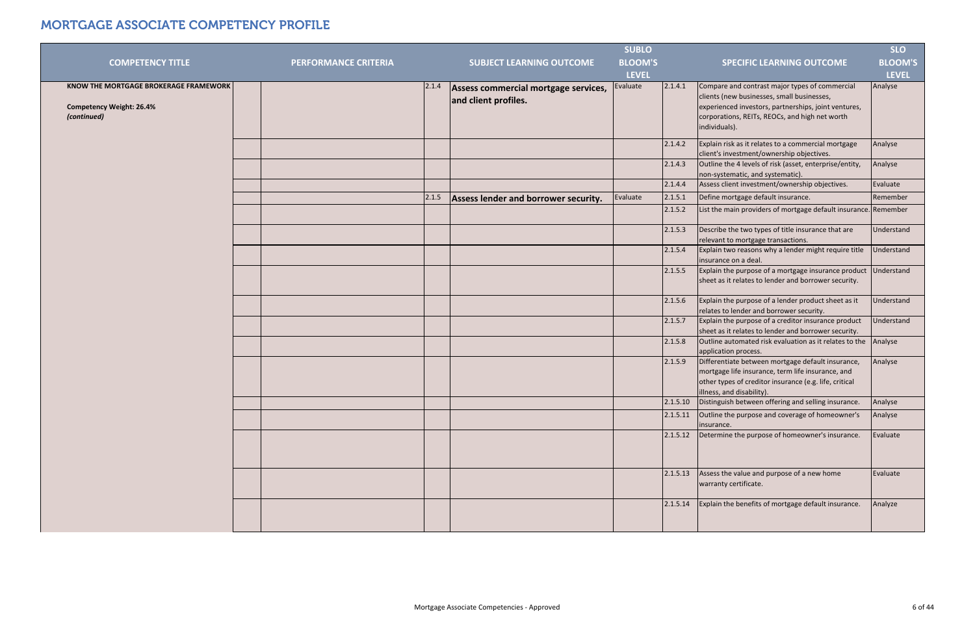| <b>COMPETENCY TITLE</b>                                                                 | <b>PERFORMANCE CRITERIA</b> |       | <b>SUBJECT LEARNING OUTCOME</b>                              | <b>SUBLO</b><br><b>BLOOM'S</b> |          | <b>SPECIFIC LEARNING OUTCOME</b>                                                                                                                                                                                        | <b>SLO</b><br><b>BLOOM'S</b> |
|-----------------------------------------------------------------------------------------|-----------------------------|-------|--------------------------------------------------------------|--------------------------------|----------|-------------------------------------------------------------------------------------------------------------------------------------------------------------------------------------------------------------------------|------------------------------|
|                                                                                         |                             |       |                                                              | <b>LEVEL</b>                   |          |                                                                                                                                                                                                                         | <b>LEVEL</b>                 |
| KNOW THE MORTGAGE BROKERAGE FRAMEWORK<br><b>Competency Weight: 26.4%</b><br>(continued) |                             | 2.1.4 | Assess commercial mortgage services,<br>and client profiles. | Evaluate                       | 2.1.4.1  | Compare and contrast major types of commercial<br>clients (new businesses, small businesses,<br>experienced investors, partnerships, joint ventures,<br>corporations, REITs, REOCs, and high net worth<br>individuals). | Analyse                      |
|                                                                                         |                             |       |                                                              |                                | 2.1.4.2  | Explain risk as it relates to a commercial mortgage<br>client's investment/ownership objectives.                                                                                                                        | Analyse                      |
|                                                                                         |                             |       |                                                              |                                | 2.1.4.3  | Outline the 4 levels of risk (asset, enterprise/entity,<br>non-systematic, and systematic).                                                                                                                             | Analyse                      |
|                                                                                         |                             |       |                                                              |                                | 2.1.4.4  | Assess client investment/ownership objectives.                                                                                                                                                                          | Evaluate                     |
|                                                                                         |                             | 2.1.5 | Assess lender and borrower security.                         | Evaluate                       | 2.1.5.1  | Define mortgage default insurance.                                                                                                                                                                                      | Remember                     |
|                                                                                         |                             |       |                                                              |                                | 2.1.5.2  | List the main providers of mortgage default insurance. Remember                                                                                                                                                         |                              |
|                                                                                         |                             |       |                                                              |                                | 2.1.5.3  | Describe the two types of title insurance that are<br>relevant to mortgage transactions.                                                                                                                                | Understand                   |
|                                                                                         |                             |       |                                                              |                                | 2.1.5.4  | Explain two reasons why a lender might require title<br>insurance on a deal.                                                                                                                                            | Understand                   |
|                                                                                         |                             |       |                                                              |                                | 2.1.5.5  | Explain the purpose of a mortgage insurance product<br>sheet as it relates to lender and borrower security.                                                                                                             | Understand                   |
|                                                                                         |                             |       |                                                              |                                | 2.1.5.6  | Explain the purpose of a lender product sheet as it<br>relates to lender and borrower security.                                                                                                                         | Understand                   |
|                                                                                         |                             |       |                                                              |                                | 2.1.5.7  | Explain the purpose of a creditor insurance product<br>sheet as it relates to lender and borrower security.                                                                                                             | Understand                   |
|                                                                                         |                             |       |                                                              |                                | 2.1.5.8  | Outline automated risk evaluation as it relates to the<br>application process.                                                                                                                                          | Analyse                      |
|                                                                                         |                             |       |                                                              |                                | 2.1.5.9  | Differentiate between mortgage default insurance,<br>mortgage life insurance, term life insurance, and<br>other types of creditor insurance (e.g. life, critical<br>illness, and disability).                           | Analyse                      |
|                                                                                         |                             |       |                                                              |                                |          | 2.1.5.10 Distinguish between offering and selling insurance.                                                                                                                                                            | Analyse                      |
|                                                                                         |                             |       |                                                              |                                | 2.1.5.11 | Outline the purpose and coverage of homeowner's<br>insurance.                                                                                                                                                           | Analyse                      |
|                                                                                         |                             |       |                                                              |                                | 2.1.5.12 | Determine the purpose of homeowner's insurance.                                                                                                                                                                         | Evaluate                     |
|                                                                                         |                             |       |                                                              |                                | 2.1.5.13 | Assess the value and purpose of a new home<br>warranty certificate.                                                                                                                                                     | Evaluate                     |
|                                                                                         |                             |       |                                                              |                                | 2.1.5.14 | Explain the benefits of mortgage default insurance.                                                                                                                                                                     | Analyze                      |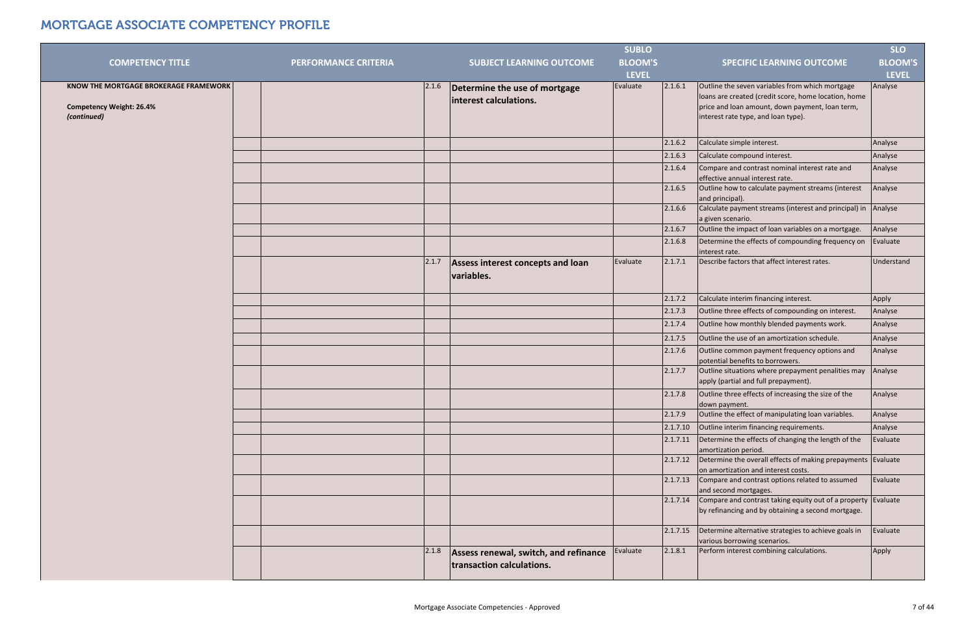|                                                                                                |                             |       |                                                                    | <b>SUBLO</b>   |          |                                                                                                                                                                                                   | <b>SLO</b>     |
|------------------------------------------------------------------------------------------------|-----------------------------|-------|--------------------------------------------------------------------|----------------|----------|---------------------------------------------------------------------------------------------------------------------------------------------------------------------------------------------------|----------------|
| <b>COMPETENCY TITLE</b>                                                                        | <b>PERFORMANCE CRITERIA</b> |       | <b>SUBJECT LEARNING OUTCOME</b>                                    | <b>BLOOM'S</b> |          | <b>SPECIFIC LEARNING OUTCOME</b>                                                                                                                                                                  | <b>BLOOM'S</b> |
|                                                                                                |                             |       |                                                                    | <b>LEVEL</b>   |          |                                                                                                                                                                                                   | <b>LEVEL</b>   |
| <b>KNOW THE MORTGAGE BROKERAGE FRAMEWORK</b><br><b>Competency Weight: 26.4%</b><br>(continued) |                             | 2.1.6 | Determine the use of mortgage<br>interest calculations.            | Evaluate       | 2.1.6.1  | Outline the seven variables from which mortgage<br>loans are created (credit score, home location, home<br>price and loan amount, down payment, loan term,<br>interest rate type, and loan type). | Analyse        |
|                                                                                                |                             |       |                                                                    |                | 2.1.6.2  | Calculate simple interest.                                                                                                                                                                        | Analyse        |
|                                                                                                |                             |       |                                                                    |                | 2.1.6.3  | Calculate compound interest.                                                                                                                                                                      | Analyse        |
|                                                                                                |                             |       |                                                                    |                | 2.1.6.4  | Compare and contrast nominal interest rate and<br>effective annual interest rate.                                                                                                                 | Analyse        |
|                                                                                                |                             |       |                                                                    |                | 2.1.6.5  | Outline how to calculate payment streams (interest<br>and principal).                                                                                                                             | Analyse        |
|                                                                                                |                             |       |                                                                    |                | 2.1.6.6  | Calculate payment streams (interest and principal) in<br>a given scenario.                                                                                                                        | Analyse        |
|                                                                                                |                             |       |                                                                    |                | 2.1.6.7  | Outline the impact of loan variables on a mortgage.                                                                                                                                               | Analyse        |
|                                                                                                |                             |       |                                                                    |                | 2.1.6.8  | Determine the effects of compounding frequency on<br>interest rate.                                                                                                                               | Evaluate       |
|                                                                                                |                             | 2.1.7 | Assess interest concepts and loan<br>variables.                    | Evaluate       | 2.1.7.1  | Describe factors that affect interest rates.                                                                                                                                                      | Understand     |
|                                                                                                |                             |       |                                                                    |                | 2.1.7.2  | Calculate interim financing interest.                                                                                                                                                             | Apply          |
|                                                                                                |                             |       |                                                                    |                | 2.1.7.3  | Outline three effects of compounding on interest.                                                                                                                                                 | Analyse        |
|                                                                                                |                             |       |                                                                    |                | 2.1.7.4  | Outline how monthly blended payments work.                                                                                                                                                        | Analyse        |
|                                                                                                |                             |       |                                                                    |                | 2.1.7.5  | Outline the use of an amortization schedule.                                                                                                                                                      | Analyse        |
|                                                                                                |                             |       |                                                                    |                | 2.1.7.6  | Outline common payment frequency options and<br>potential benefits to borrowers.                                                                                                                  | Analyse        |
|                                                                                                |                             |       |                                                                    |                | 2.1.7.7  | Outline situations where prepayment penalities may<br>apply (partial and full prepayment).                                                                                                        | Analyse        |
|                                                                                                |                             |       |                                                                    |                | 2.1.7.8  | Outline three effects of increasing the size of the<br>down payment.                                                                                                                              | Analyse        |
|                                                                                                |                             |       |                                                                    |                | 2.1.7.9  | Outline the effect of manipulating loan variables.                                                                                                                                                | Analyse        |
|                                                                                                |                             |       |                                                                    |                | 2.1.7.10 | Outline interim financing requirements.                                                                                                                                                           | Analyse        |
|                                                                                                |                             |       |                                                                    |                | 2.1.7.11 | Determine the effects of changing the length of the<br>amortization period.                                                                                                                       | Evaluate       |
|                                                                                                |                             |       |                                                                    |                | 2.1.7.12 | Determine the overall effects of making prepayments Evaluate<br>on amortization and interest costs.                                                                                               |                |
|                                                                                                |                             |       |                                                                    |                | 2.1.7.13 | Compare and contrast options related to assumed<br>and second mortgages.                                                                                                                          | Evaluate       |
|                                                                                                |                             |       |                                                                    |                | 2.1.7.14 | Compare and contrast taking equity out of a property Evaluate<br>by refinancing and by obtaining a second mortgage.                                                                               |                |
|                                                                                                |                             |       |                                                                    |                | 2.1.7.15 | Determine alternative strategies to achieve goals in<br>various borrowing scenarios.                                                                                                              | Evaluate       |
|                                                                                                |                             | 2.1.8 | Assess renewal, switch, and refinance<br>transaction calculations. | Evaluate       | 2.1.8.1  | Perform interest combining calculations.                                                                                                                                                          | Apply          |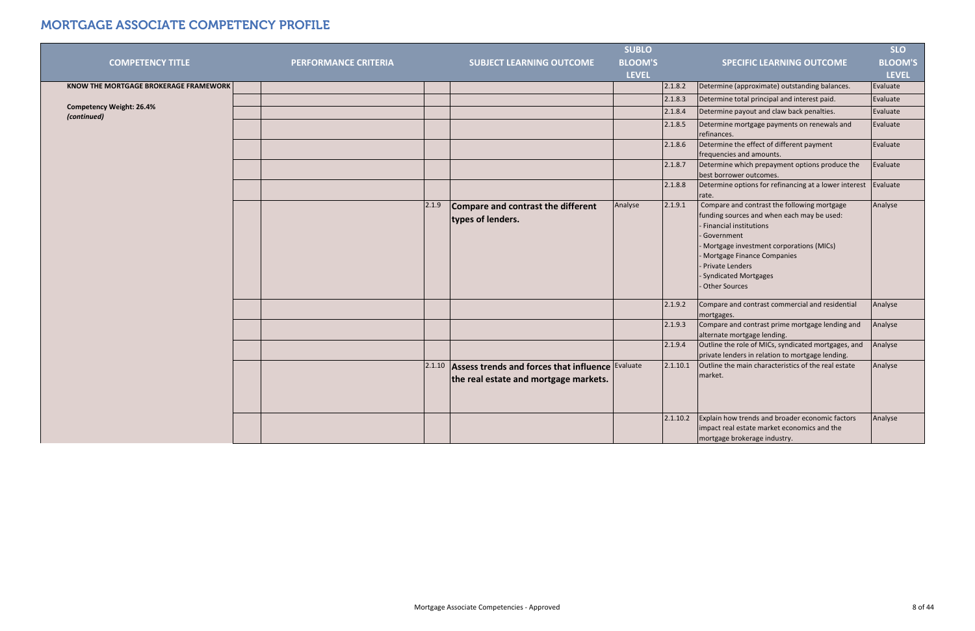|                                                |                             |        |                                                                                           | <b>SUBLO</b>   |          |                                                                                                                                                             | <b>SLO</b>     |
|------------------------------------------------|-----------------------------|--------|-------------------------------------------------------------------------------------------|----------------|----------|-------------------------------------------------------------------------------------------------------------------------------------------------------------|----------------|
| <b>COMPETENCY TITLE</b>                        | <b>PERFORMANCE CRITERIA</b> |        | <b>SUBJECT LEARNING OUTCOME</b>                                                           | <b>BLOOM'S</b> |          | <b>SPECIFIC LEARNING OUTCOME</b>                                                                                                                            | <b>BLOOM'S</b> |
|                                                |                             |        |                                                                                           | <b>LEVEL</b>   |          |                                                                                                                                                             | <b>LEVEL</b>   |
| <b>KNOW THE MORTGAGE BROKERAGE FRAMEWORK</b>   |                             |        |                                                                                           |                | 2.1.8.2  | Determine (approximate) outstanding balances.                                                                                                               | Evaluate       |
|                                                |                             |        |                                                                                           |                | 2.1.8.3  | Determine total principal and interest paid.                                                                                                                | Evaluate       |
| <b>Competency Weight: 26.4%</b><br>(continued) |                             |        |                                                                                           |                | 2.1.8.4  | Determine payout and claw back penalties.                                                                                                                   | Evaluate       |
|                                                |                             |        |                                                                                           |                | 2.1.8.5  | Determine mortgage payments on renewals and<br>refinances.                                                                                                  | Evaluate       |
|                                                |                             |        |                                                                                           |                | 2.1.8.6  | Determine the effect of different payment<br>frequencies and amounts.                                                                                       | Evaluate       |
|                                                |                             |        |                                                                                           |                | 2.1.8.7  | Determine which prepayment options produce the<br>best borrower outcomes.                                                                                   | Evaluate       |
|                                                |                             |        |                                                                                           |                | 2.1.8.8  | Determine options for refinancing at a lower interest<br>rate.                                                                                              | Evaluate       |
|                                                |                             | 2.1.9  | Compare and contrast the different<br>types of lenders.                                   | Analyse        | 2.1.9.1  | Compare and contrast the following mortgage<br>funding sources and when each may be used:<br>- Financial institutions                                       | Analyse        |
|                                                |                             |        |                                                                                           |                |          | - Government<br>- Mortgage investment corporations (MICs)<br>- Mortgage Finance Companies<br>- Private Lenders<br>- Syndicated Mortgages<br>- Other Sources |                |
|                                                |                             |        |                                                                                           |                | 2.1.9.2  | Compare and contrast commercial and residential<br>mortgages.                                                                                               | Analyse        |
|                                                |                             |        |                                                                                           |                | 2.1.9.3  | Compare and contrast prime mortgage lending and<br>alternate mortgage lending.                                                                              | Analyse        |
|                                                |                             |        |                                                                                           |                | 2.1.9.4  | Outline the role of MICs, syndicated mortgages, and<br>private lenders in relation to mortgage lending.                                                     | Analyse        |
|                                                |                             | 2.1.10 | Assess trends and forces that influence Evaluate<br>the real estate and mortgage markets. |                | 2.1.10.1 | Outline the main characteristics of the real estate<br>market.                                                                                              | Analyse        |
|                                                |                             |        |                                                                                           |                | 2.1.10.2 | Explain how trends and broader economic factors<br>impact real estate market economics and the<br>mortgage brokerage industry.                              | Analyse        |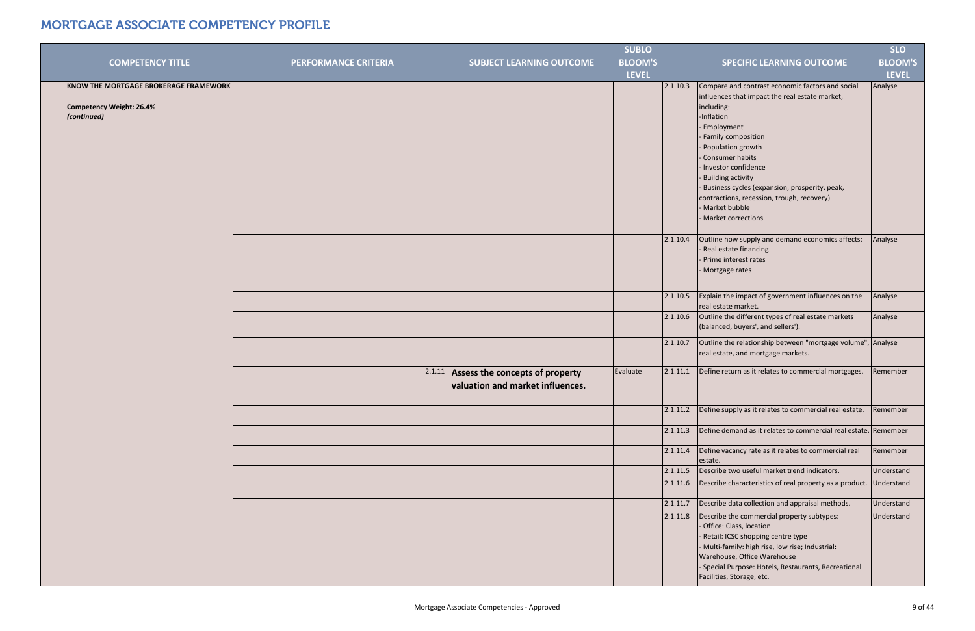|                                              |                             |                                          | <b>SUBLO</b>   |          |                                                                                               | <b>SLO</b>     |
|----------------------------------------------|-----------------------------|------------------------------------------|----------------|----------|-----------------------------------------------------------------------------------------------|----------------|
| <b>COMPETENCY TITLE</b>                      | <b>PERFORMANCE CRITERIA</b> | <b>SUBJECT LEARNING OUTCOME</b>          | <b>BLOOM'S</b> |          | <b>SPECIFIC LEARNING OUTCOME</b>                                                              | <b>BLOOM'S</b> |
|                                              |                             |                                          | <b>LEVEL</b>   |          |                                                                                               | <b>LEVEL</b>   |
| <b>KNOW THE MORTGAGE BROKERAGE FRAMEWORK</b> |                             |                                          |                | 2.1.10.3 | Compare and contrast economic factors and social                                              | Analyse        |
|                                              |                             |                                          |                |          | influences that impact the real estate market,                                                |                |
| <b>Competency Weight: 26.4%</b>              |                             |                                          |                |          | including:                                                                                    |                |
| (continued)                                  |                             |                                          |                |          | -Inflation                                                                                    |                |
|                                              |                             |                                          |                |          | - Employment                                                                                  |                |
|                                              |                             |                                          |                |          | - Family composition                                                                          |                |
|                                              |                             |                                          |                |          | - Population growth                                                                           |                |
|                                              |                             |                                          |                |          | - Consumer habits                                                                             |                |
|                                              |                             |                                          |                |          | - Investor confidence                                                                         |                |
|                                              |                             |                                          |                |          | - Building activity                                                                           |                |
|                                              |                             |                                          |                |          | - Business cycles (expansion, prosperity, peak,<br>contractions, recession, trough, recovery) |                |
|                                              |                             |                                          |                |          | - Market bubble                                                                               |                |
|                                              |                             |                                          |                |          | - Market corrections                                                                          |                |
|                                              |                             |                                          |                |          |                                                                                               |                |
|                                              |                             |                                          |                | 2.1.10.4 | Outline how supply and demand economics affects:                                              | Analyse        |
|                                              |                             |                                          |                |          | - Real estate financing                                                                       |                |
|                                              |                             |                                          |                |          | - Prime interest rates                                                                        |                |
|                                              |                             |                                          |                |          | - Mortgage rates                                                                              |                |
|                                              |                             |                                          |                |          |                                                                                               |                |
|                                              |                             |                                          |                | 2.1.10.5 | Explain the impact of government influences on the<br>real estate market.                     | Analyse        |
|                                              |                             |                                          |                | 2.1.10.6 | Outline the different types of real estate markets                                            | Analyse        |
|                                              |                             |                                          |                |          | (balanced, buyers', and sellers').                                                            |                |
|                                              |                             |                                          |                | 2.1.10.7 | Outline the relationship between "mortgage volume", Analyse                                   |                |
|                                              |                             |                                          |                |          | real estate, and mortgage markets.                                                            |                |
|                                              |                             | $2.1.11$ Assess the concepts of property | Evaluate       | 2.1.11.1 | Define return as it relates to commercial mortgages.                                          | Remember       |
|                                              |                             | valuation and market influences.         |                |          |                                                                                               |                |
|                                              |                             |                                          |                |          |                                                                                               |                |
|                                              |                             |                                          |                | 2.1.11.2 | Define supply as it relates to commercial real estate.                                        | Remember       |
|                                              |                             |                                          |                | 2.1.11.3 | Define demand as it relates to commercial real estate. Remember                               |                |
|                                              |                             |                                          |                | 2.1.11.4 | Define vacancy rate as it relates to commercial real<br>estate.                               | Remember       |
|                                              |                             |                                          |                | 2.1.11.5 | Describe two useful market trend indicators.                                                  | Understand     |
|                                              |                             |                                          |                | 2.1.11.6 | Describe characteristics of real property as a product.                                       | Understand     |
|                                              |                             |                                          |                | 2.1.11.7 | Describe data collection and appraisal methods.                                               | Understand     |
|                                              |                             |                                          |                | 2.1.11.8 | Describe the commercial property subtypes:                                                    | Understand     |
|                                              |                             |                                          |                |          | - Office: Class, location                                                                     |                |
|                                              |                             |                                          |                |          | - Retail: ICSC shopping centre type                                                           |                |
|                                              |                             |                                          |                |          | - Multi-family: high rise, low rise; Industrial:                                              |                |
|                                              |                             |                                          |                |          | Warehouse, Office Warehouse<br>- Special Purpose: Hotels, Restaurants, Recreational           |                |
|                                              |                             |                                          |                |          | Facilities, Storage, etc.                                                                     |                |
|                                              |                             |                                          |                |          |                                                                                               |                |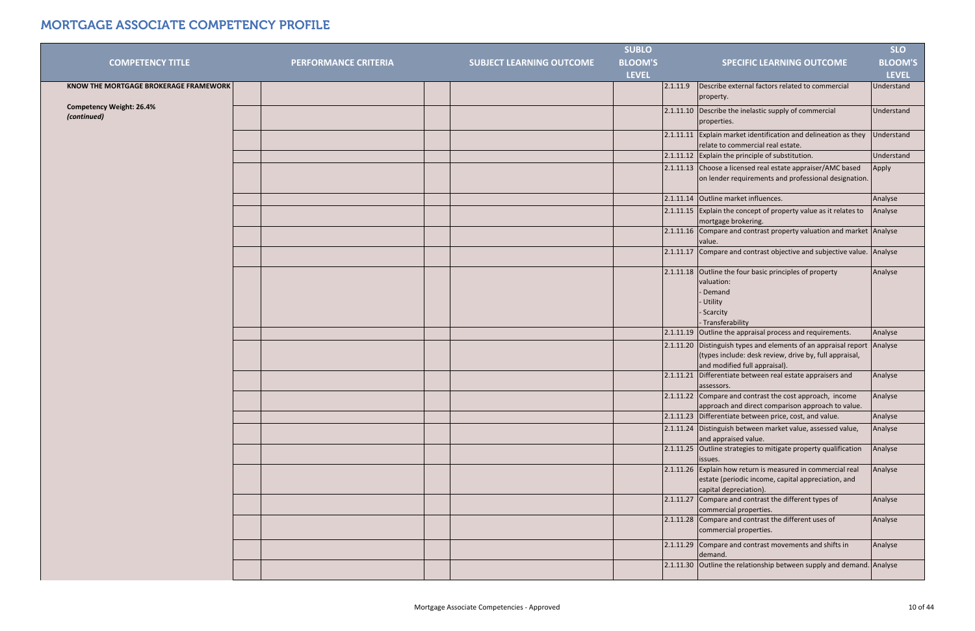|                                       |                             |                                 | <b>SUBLO</b>   |                                                                                                                                                            | <b>SLO</b>     |
|---------------------------------------|-----------------------------|---------------------------------|----------------|------------------------------------------------------------------------------------------------------------------------------------------------------------|----------------|
| <b>COMPETENCY TITLE</b>               | <b>PERFORMANCE CRITERIA</b> | <b>SUBJECT LEARNING OUTCOME</b> | <b>BLOOM'S</b> | <b>SPECIFIC LEARNING OUTCOME</b>                                                                                                                           | <b>BLOOM'S</b> |
|                                       |                             |                                 | <b>LEVEL</b>   |                                                                                                                                                            | <b>LEVEL</b>   |
| KNOW THE MORTGAGE BROKERAGE FRAMEWORK |                             |                                 |                | Describe external factors related to commercial<br>2.1.11.9                                                                                                | Understand     |
|                                       |                             |                                 |                | property.                                                                                                                                                  |                |
| <b>Competency Weight: 26.4%</b>       |                             |                                 |                | 2.1.11.10 Describe the inelastic supply of commercial                                                                                                      | Understand     |
| (continued)                           |                             |                                 |                | properties.                                                                                                                                                |                |
|                                       |                             |                                 |                | 2.1.11.11 Explain market identification and delineation as they<br>relate to commercial real estate.                                                       | Understand     |
|                                       |                             |                                 |                | 2.1.11.12 Explain the principle of substitution.                                                                                                           | Understand     |
|                                       |                             |                                 |                | 2.1.11.13 Choose a licensed real estate appraiser/AMC based<br>on lender requirements and professional designation.                                        | Apply          |
|                                       |                             |                                 |                | 2.1.11.14 Outline market influences.                                                                                                                       | Analyse        |
|                                       |                             |                                 |                | $2.1.11.15$ Explain the concept of property value as it relates to<br>mortgage brokering.                                                                  | Analyse        |
|                                       |                             |                                 |                | 2.1.11.16 Compare and contrast property valuation and market Analyse<br>value.                                                                             |                |
|                                       |                             |                                 |                | 2.1.11.17 Compare and contrast objective and subjective value. Analyse                                                                                     |                |
|                                       |                             |                                 |                | 2.1.11.18 Outline the four basic principles of property<br>valuation:<br>- Demand<br>- Utility<br>- Scarcity<br>- Transferability                          | Analyse        |
|                                       |                             |                                 |                | 2.1.11.19 Outline the appraisal process and requirements.                                                                                                  | Analyse        |
|                                       |                             |                                 |                | 2.1.11.20 Distinguish types and elements of an appraisal report<br>(types include: desk review, drive by, full appraisal,<br>and modified full appraisal). | Analyse        |
|                                       |                             |                                 |                | 2.1.11.21 Differentiate between real estate appraisers and<br>assessors.                                                                                   | Analyse        |
|                                       |                             |                                 |                | 2.1.11.22 Compare and contrast the cost approach, income<br>approach and direct comparison approach to value.                                              | Analyse        |
|                                       |                             |                                 |                | 2.1.11.23 Differentiate between price, cost, and value.                                                                                                    | Analyse        |
|                                       |                             |                                 |                | 2.1.11.24 Distinguish between market value, assessed value,<br>and appraised value.                                                                        | Analyse        |
|                                       |                             |                                 |                | 2.1.11.25 Outline strategies to mitigate property qualification<br>issues.                                                                                 | Analyse        |
|                                       |                             |                                 |                | 2.1.11.26 Explain how return is measured in commercial real<br>estate (periodic income, capital appreciation, and<br>capital depreciation).                | Analyse        |
|                                       |                             |                                 |                | 2.1.11.27 Compare and contrast the different types of<br>commercial properties.                                                                            | Analyse        |
|                                       |                             |                                 |                | $2.1.11.28$ Compare and contrast the different uses of<br>commercial properties.                                                                           | Analyse        |
|                                       |                             |                                 |                | 2.1.11.29 Compare and contrast movements and shifts in<br>demand.                                                                                          | Analyse        |
|                                       |                             |                                 |                | 2.1.11.30 Outline the relationship between supply and demand. Analyse                                                                                      |                |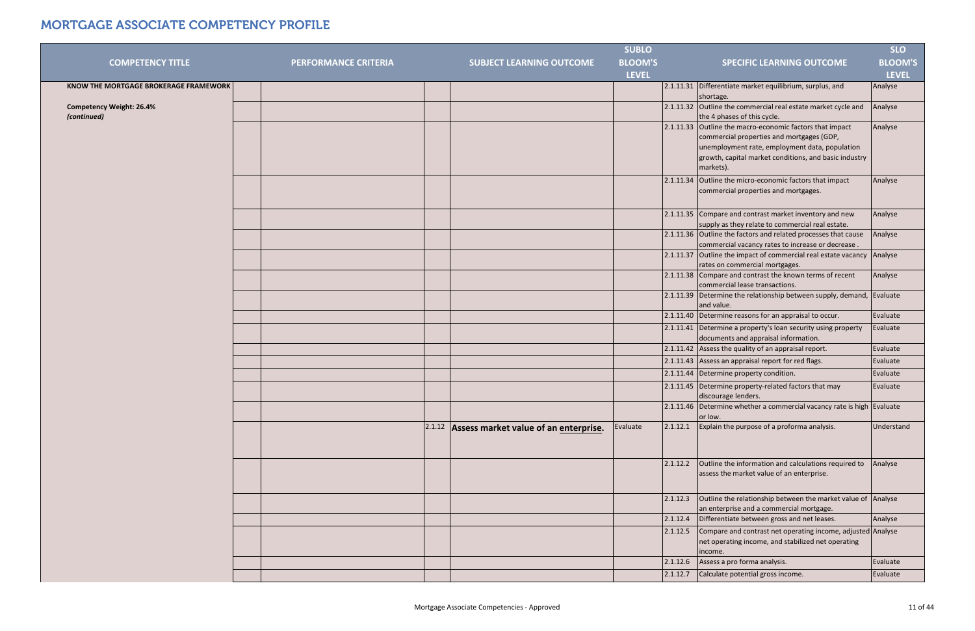|                                                |                             |                                              | <b>SUBLO</b>   |          |                                                                                                                                                                   | <b>SLO</b>     |
|------------------------------------------------|-----------------------------|----------------------------------------------|----------------|----------|-------------------------------------------------------------------------------------------------------------------------------------------------------------------|----------------|
| <b>COMPETENCY TITLE</b>                        | <b>PERFORMANCE CRITERIA</b> | <b>SUBJECT LEARNING OUTCOME</b>              | <b>BLOOM'S</b> |          | <b>SPECIFIC LEARNING OUTCOME</b>                                                                                                                                  | <b>BLOOM'S</b> |
|                                                |                             |                                              | <b>LEVEL</b>   |          |                                                                                                                                                                   | <b>LEVEL</b>   |
| KNOW THE MORTGAGE BROKERAGE FRAMEWORK          |                             |                                              |                |          | 2.1.11.31 Differentiate market equilibrium, surplus, and<br>shortage.                                                                                             | Analyse        |
| <b>Competency Weight: 26.4%</b><br>(continued) |                             |                                              |                |          | 2.1.11.32 Outline the commercial real estate market cycle and<br>the 4 phases of this cycle.                                                                      | Analyse        |
|                                                |                             |                                              |                |          | 2.1.11.33 Outline the macro-economic factors that impact                                                                                                          | Analyse        |
|                                                |                             |                                              |                |          | commercial properties and mortgages (GDP,<br>unemployment rate, employment data, population<br>growth, capital market conditions, and basic industry<br>markets). |                |
|                                                |                             |                                              |                |          | 2.1.11.34 Outline the micro-economic factors that impact<br>commercial properties and mortgages.                                                                  | Analyse        |
|                                                |                             |                                              |                |          | 2.1.11.35 Compare and contrast market inventory and new<br>supply as they relate to commercial real estate.                                                       | Analyse        |
|                                                |                             |                                              |                |          | 2.1.11.36 Outline the factors and related processes that cause<br>commercial vacancy rates to increase or decrease.                                               | Analyse        |
|                                                |                             |                                              |                |          | 2.1.11.37 Outline the impact of commercial real estate vacancy Analyse<br>rates on commercial mortgages.                                                          |                |
|                                                |                             |                                              |                |          | 2.1.11.38 Compare and contrast the known terms of recent<br>commercial lease transactions.                                                                        | Analyse        |
|                                                |                             |                                              |                |          | 2.1.11.39 Determine the relationship between supply, demand, Evaluate<br>and value.                                                                               |                |
|                                                |                             |                                              |                |          | 2.1.11.40 Determine reasons for an appraisal to occur.                                                                                                            | Evaluate       |
|                                                |                             |                                              |                |          | 2.1.11.41 Determine a property's loan security using property<br>documents and appraisal information.                                                             | Evaluate       |
|                                                |                             |                                              |                |          | 2.1.11.42 Assess the quality of an appraisal report.                                                                                                              | Evaluate       |
|                                                |                             |                                              |                |          | 2.1.11.43 Assess an appraisal report for red flags.                                                                                                               | Evaluate       |
|                                                |                             |                                              |                |          | 2.1.11.44 Determine property condition.                                                                                                                           | Evaluate       |
|                                                |                             |                                              |                |          | 2.1.11.45 Determine property-related factors that may<br>discourage lenders.                                                                                      | Evaluate       |
|                                                |                             |                                              |                |          | 2.1.11.46 Determine whether a commercial vacancy rate is high Evaluate<br>or low.                                                                                 |                |
|                                                |                             | 2.1.12 Assess market value of an enterprise. | Evaluate       | 2.1.12.1 | Explain the purpose of a proforma analysis.                                                                                                                       | Understand     |
|                                                |                             |                                              |                | 2.1.12.2 | Outline the information and calculations required to<br>assess the market value of an enterprise.                                                                 | Analyse        |
|                                                |                             |                                              |                | 2.1.12.3 | Outline the relationship between the market value of Analyse<br>an enterprise and a commercial mortgage.                                                          |                |
|                                                |                             |                                              |                | 2.1.12.4 | Differentiate between gross and net leases.                                                                                                                       | Analyse        |
|                                                |                             |                                              |                | 2.1.12.5 | Compare and contrast net operating income, adjusted Analyse<br>net operating income, and stabilized net operating<br>income.                                      |                |
|                                                |                             |                                              |                | 2.1.12.6 | Assess a pro forma analysis.                                                                                                                                      | Evaluate       |
|                                                |                             |                                              |                | 2.1.12.7 | Calculate potential gross income.                                                                                                                                 | Evaluate       |
|                                                |                             |                                              |                |          |                                                                                                                                                                   |                |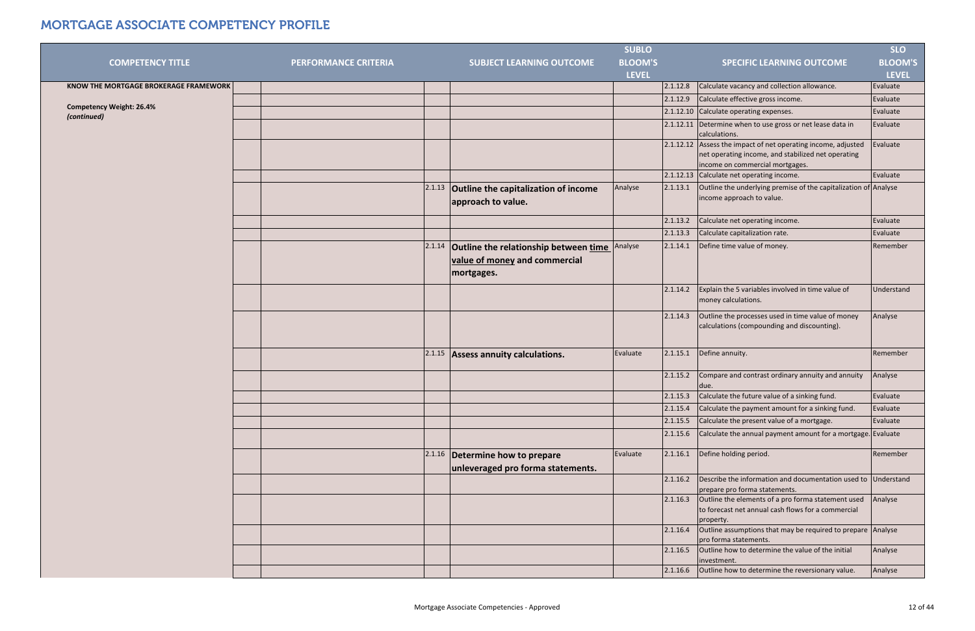|                                                |                             |        |                                             | <b>SUBLO</b>   |          |                                                                                                                       | <b>SLO</b>     |
|------------------------------------------------|-----------------------------|--------|---------------------------------------------|----------------|----------|-----------------------------------------------------------------------------------------------------------------------|----------------|
| <b>COMPETENCY TITLE</b>                        | <b>PERFORMANCE CRITERIA</b> |        | <b>SUBJECT LEARNING OUTCOME</b>             | <b>BLOOM'S</b> |          | <b>SPECIFIC LEARNING OUTCOME</b>                                                                                      | <b>BLOOM'S</b> |
|                                                |                             |        |                                             | <b>LEVEL</b>   |          |                                                                                                                       | <b>LEVEL</b>   |
| KNOW THE MORTGAGE BROKERAGE FRAMEWORK          |                             |        |                                             |                | 2.1.12.8 | Calculate vacancy and collection allowance.                                                                           | Evaluate       |
|                                                |                             |        |                                             |                | 2.1.12.9 | Calculate effective gross income.                                                                                     | Evaluate       |
| <b>Competency Weight: 26.4%</b><br>(continued) |                             |        |                                             |                |          | 2.1.12.10 Calculate operating expenses.                                                                               | Evaluate       |
|                                                |                             |        |                                             |                |          | 2.1.12.11 Determine when to use gross or net lease data in                                                            | Evaluate       |
|                                                |                             |        |                                             |                |          | calculations.                                                                                                         |                |
|                                                |                             |        |                                             |                |          | 2.1.12.12 Assess the impact of net operating income, adjusted<br>net operating income, and stabilized net operating   | Evaluate       |
|                                                |                             |        |                                             |                |          | income on commercial mortgages.                                                                                       |                |
|                                                |                             |        |                                             |                |          | 2.1.12.13 Calculate net operating income.                                                                             | Evaluate       |
|                                                |                             | 2.1.13 | <b>Outline the capitalization of income</b> | Analyse        | 2.1.13.1 | Outline the underlying premise of the capitalization of Analyse                                                       |                |
|                                                |                             |        | approach to value.                          |                |          | income approach to value.                                                                                             |                |
|                                                |                             |        |                                             |                |          |                                                                                                                       |                |
|                                                |                             |        |                                             |                | 2.1.13.2 | Calculate net operating income.                                                                                       | Evaluate       |
|                                                |                             |        |                                             |                | 2.1.13.3 | Calculate capitalization rate.                                                                                        | Evaluate       |
|                                                |                             | 2.1.14 | Outline the relationship between time       | Analyse        | 2.1.14.1 | Define time value of money.                                                                                           | Remember       |
|                                                |                             |        | value of money and commercial               |                |          |                                                                                                                       |                |
|                                                |                             |        | mortgages.                                  |                |          |                                                                                                                       |                |
|                                                |                             |        |                                             |                | 2.1.14.2 | Explain the 5 variables involved in time value of                                                                     | Understand     |
|                                                |                             |        |                                             |                |          | money calculations.                                                                                                   |                |
|                                                |                             |        |                                             |                | 2.1.14.3 | Outline the processes used in time value of money<br>calculations (compounding and discounting).                      | Analyse        |
|                                                |                             |        |                                             |                |          |                                                                                                                       |                |
|                                                |                             | 2.1.15 | Assess annuity calculations.                | Evaluate       | 2.1.15.1 | Define annuity.                                                                                                       | Remember       |
|                                                |                             |        |                                             |                | 2.1.15.2 | Compare and contrast ordinary annuity and annuity<br>due.                                                             | Analyse        |
|                                                |                             |        |                                             |                |          | $2.1.15.3$ Calculate the future value of a sinking fund.                                                              | Evaluate       |
|                                                |                             |        |                                             |                | 2.1.15.4 | Calculate the payment amount for a sinking fund.                                                                      | Evaluate       |
|                                                |                             |        |                                             |                | 2.1.15.5 | Calculate the present value of a mortgage.                                                                            | Evaluate       |
|                                                |                             |        |                                             |                | 2.1.15.6 | Calculate the annual payment amount for a mortgage. Evaluate                                                          |                |
|                                                |                             | 2.1.16 | Determine how to prepare                    | Evaluate       | 2.1.16.1 | Define holding period.                                                                                                | Remember       |
|                                                |                             |        | unleveraged pro forma statements.           |                |          |                                                                                                                       |                |
|                                                |                             |        |                                             |                | 2.1.16.2 | Describe the information and documentation used to Understand                                                         |                |
|                                                |                             |        |                                             |                |          | prepare pro forma statements.                                                                                         |                |
|                                                |                             |        |                                             |                | 2.1.16.3 | Outline the elements of a pro forma statement used<br>to forecast net annual cash flows for a commercial<br>property. | Analyse        |
|                                                |                             |        |                                             |                | 2.1.16.4 | Outline assumptions that may be required to prepare Analyse<br>pro forma statements.                                  |                |
|                                                |                             |        |                                             |                | 2.1.16.5 | Outline how to determine the value of the initial<br>investment.                                                      | Analyse        |
|                                                |                             |        |                                             |                | 2.1.16.6 | Outline how to determine the reversionary value.                                                                      | Analyse        |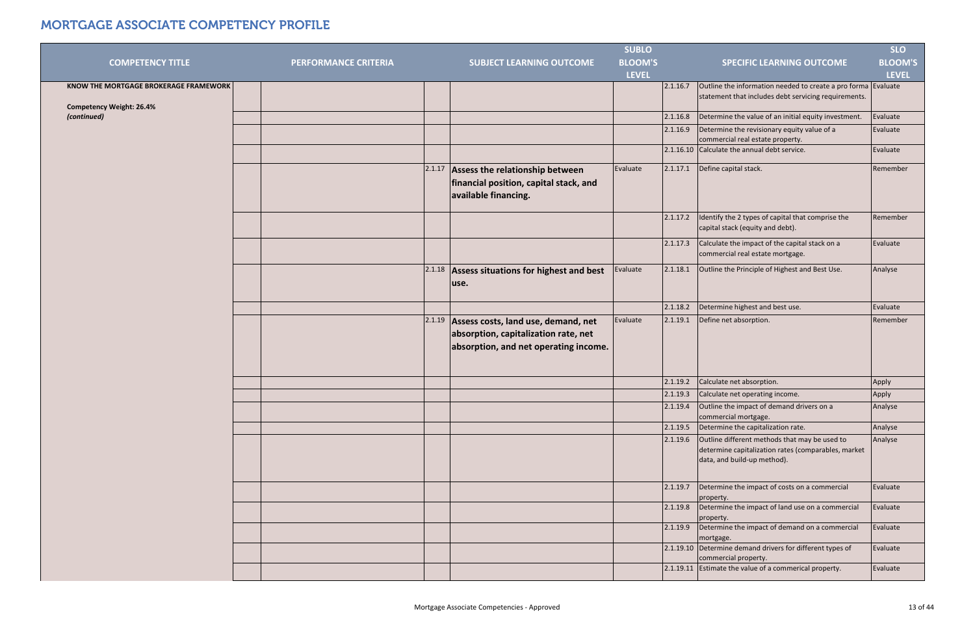|                                       |                      |        |                                                                                                                      | <b>SUBLO</b>   |          |                                                                                                                                     | <b>SLO</b>     |
|---------------------------------------|----------------------|--------|----------------------------------------------------------------------------------------------------------------------|----------------|----------|-------------------------------------------------------------------------------------------------------------------------------------|----------------|
| <b>COMPETENCY TITLE</b>               | PERFORMANCE CRITERIA |        | <b>SUBJECT LEARNING OUTCOME</b>                                                                                      | <b>BLOOM'S</b> |          | <b>SPECIFIC LEARNING OUTCOME</b>                                                                                                    | <b>BLOOM'S</b> |
|                                       |                      |        |                                                                                                                      | <b>LEVEL</b>   |          |                                                                                                                                     | <b>LEVEL</b>   |
| KNOW THE MORTGAGE BROKERAGE FRAMEWORK |                      |        |                                                                                                                      |                | 2.1.16.7 | Outline the information needed to create a pro forma Evaluate                                                                       |                |
| <b>Competency Weight: 26.4%</b>       |                      |        |                                                                                                                      |                |          | statement that includes debt servicing requirements.                                                                                |                |
| (continued)                           |                      |        |                                                                                                                      |                | 2.1.16.8 | Determine the value of an initial equity investment.                                                                                | Evaluate       |
|                                       |                      |        |                                                                                                                      |                | 2.1.16.9 | Determine the revisionary equity value of a<br>commercial real estate property.                                                     | Evaluate       |
|                                       |                      |        |                                                                                                                      |                |          | 2.1.16.10 Calculate the annual debt service.                                                                                        | Evaluate       |
|                                       |                      | 2.1.17 | Assess the relationship between<br>financial position, capital stack, and<br>available financing.                    | Evaluate       | 2.1.17.1 | Define capital stack.                                                                                                               | Remember       |
|                                       |                      |        |                                                                                                                      |                | 2.1.17.2 | Identify the 2 types of capital that comprise the<br>capital stack (equity and debt).                                               | Remember       |
|                                       |                      |        |                                                                                                                      |                | 2.1.17.3 | Calculate the impact of the capital stack on a<br>commercial real estate mortgage.                                                  | Evaluate       |
|                                       |                      | 2.1.18 | Assess situations for highest and best<br>use.                                                                       | Evaluate       | 2.1.18.1 | Outline the Principle of Highest and Best Use.                                                                                      | Analyse        |
|                                       |                      |        |                                                                                                                      |                | 2.1.18.2 | Determine highest and best use.                                                                                                     | Evaluate       |
|                                       |                      | 2.1.19 | Assess costs, land use, demand, net<br>absorption, capitalization rate, net<br>absorption, and net operating income. | Evaluate       | 2.1.19.1 | Define net absorption.                                                                                                              | Remember       |
|                                       |                      |        |                                                                                                                      |                | 2.1.19.2 | Calculate net absorption.                                                                                                           | Apply          |
|                                       |                      |        |                                                                                                                      |                | 2.1.19.3 | Calculate net operating income.                                                                                                     | Apply          |
|                                       |                      |        |                                                                                                                      |                | 2.1.19.4 | Outline the impact of demand drivers on a<br>commercial mortgage.                                                                   | Analyse        |
|                                       |                      |        |                                                                                                                      |                | 2.1.19.5 | Determine the capitalization rate.                                                                                                  | Analyse        |
|                                       |                      |        |                                                                                                                      |                | 2.1.19.6 | Outline different methods that may be used to<br>determine capitalization rates (comparables, market<br>data, and build-up method). | Analyse        |
|                                       |                      |        |                                                                                                                      |                | 2.1.19.7 | Determine the impact of costs on a commercial<br>property.                                                                          | Evaluate       |
|                                       |                      |        |                                                                                                                      |                | 2.1.19.8 | Determine the impact of land use on a commercial<br>property.                                                                       | Evaluate       |
|                                       |                      |        |                                                                                                                      |                | 2.1.19.9 | Determine the impact of demand on a commercial<br>mortgage.                                                                         | Evaluate       |
|                                       |                      |        |                                                                                                                      |                |          | 2.1.19.10 Determine demand drivers for different types of<br>commercial property.                                                   | Evaluate       |
|                                       |                      |        |                                                                                                                      |                |          | 2.1.19.11 Estimate the value of a commerical property.                                                                              | Evaluate       |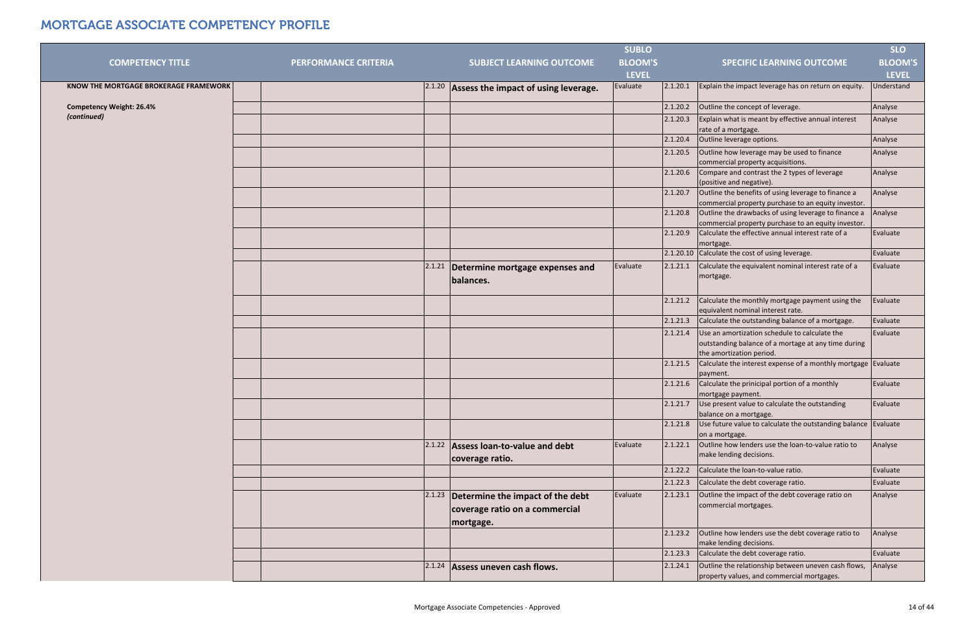|                                       |                             |        |                                                                             | <b>SUBLO</b>   |          |                                                                                                                                  | <b>SLO</b>     |
|---------------------------------------|-----------------------------|--------|-----------------------------------------------------------------------------|----------------|----------|----------------------------------------------------------------------------------------------------------------------------------|----------------|
| <b>COMPETENCY TITLE</b>               | <b>PERFORMANCE CRITERIA</b> |        | <b>SUBJECT LEARNING OUTCOME</b>                                             | <b>BLOOM'S</b> |          | <b>SPECIFIC LEARNING OUTCOME</b>                                                                                                 | <b>BLOOM'S</b> |
|                                       |                             |        |                                                                             | <b>LEVEL</b>   |          |                                                                                                                                  | <b>LEVEL</b>   |
| KNOW THE MORTGAGE BROKERAGE FRAMEWORK |                             |        | $2.1.20$ Assess the impact of using leverage.                               | Evaluate       | 2.1.20.1 | Explain the impact leverage has on return on equity.                                                                             | Understand     |
| <b>Competency Weight: 26.4%</b>       |                             |        |                                                                             |                | 2.1.20.2 | Outline the concept of leverage.                                                                                                 | Analyse        |
| (continued)                           |                             |        |                                                                             |                | 2.1.20.3 | Explain what is meant by effective annual interest<br>rate of a mortgage.                                                        | Analyse        |
|                                       |                             |        |                                                                             |                | 2.1.20.4 | Outline leverage options.                                                                                                        | Analyse        |
|                                       |                             |        |                                                                             |                | 2.1.20.5 | Outline how leverage may be used to finance<br>commercial property acquisitions.                                                 | Analyse        |
|                                       |                             |        |                                                                             |                | 2.1.20.6 | Compare and contrast the 2 types of leverage<br>(positive and negative).                                                         | Analyse        |
|                                       |                             |        |                                                                             |                | 2.1.20.7 | Outline the benefits of using leverage to finance a<br>commercial property purchase to an equity investor.                       | Analyse        |
|                                       |                             |        |                                                                             |                | 2.1.20.8 | Outline the drawbacks of using leverage to finance a<br>commercial property purchase to an equity investor.                      | Analyse        |
|                                       |                             |        |                                                                             |                | 2.1.20.9 | Calculate the effective annual interest rate of a<br>mortgage.                                                                   | Evaluate       |
|                                       |                             |        |                                                                             |                |          | 2.1.20.10 Calculate the cost of using leverage.                                                                                  | Evaluate       |
|                                       |                             | 2.1.21 | Determine mortgage expenses and<br>balances.                                | Evaluate       | 2.1.21.1 | Calculate the equivalent nominal interest rate of a<br>mortgage.                                                                 | Evaluate       |
|                                       |                             |        |                                                                             |                | 2.1.21.2 | Calculate the monthly mortgage payment using the<br>equivalent nominal interest rate.                                            | Evaluate       |
|                                       |                             |        |                                                                             |                | 2.1.21.3 | Calculate the outstanding balance of a mortgage.                                                                                 | Evaluate       |
|                                       |                             |        |                                                                             |                | 2.1.21.4 | Use an amortization schedule to calculate the<br>outstanding balance of a mortage at any time during<br>the amortization period. | Evaluate       |
|                                       |                             |        |                                                                             |                | 2.1.21.5 | Calculate the interest expense of a monthly mortgage Evaluate<br>payment.                                                        |                |
|                                       |                             |        |                                                                             |                | 2.1.21.6 | Calculate the prinicipal portion of a monthly<br>mortgage payment.                                                               | Evaluate       |
|                                       |                             |        |                                                                             |                | 2.1.21.7 | Use present value to calculate the outstanding<br>balance on a mortgage.                                                         | Evaluate       |
|                                       |                             |        |                                                                             |                | 2.1.21.8 | Use future value to calculate the outstanding balance   Evaluate<br>on a mortgage.                                               |                |
|                                       |                             |        | 2.1.22 Assess Ioan-to-value and debt<br>coverage ratio.                     | Evaluate       | 2.1.22.1 | Outline how lenders use the loan-to-value ratio to<br>make lending decisions.                                                    | Analyse        |
|                                       |                             |        |                                                                             |                | 2.1.22.2 | Calculate the loan-to-value ratio.                                                                                               | Evaluate       |
|                                       |                             |        |                                                                             |                | 2.1.22.3 | Calculate the debt coverage ratio.                                                                                               | Evaluate       |
|                                       |                             |        | $2.1.23$ Determine the impact of the debt<br>coverage ratio on a commercial | Evaluate       | 2.1.23.1 | Outline the impact of the debt coverage ratio on<br>commercial mortgages.                                                        | Analyse        |
|                                       |                             |        | mortgage.                                                                   |                |          |                                                                                                                                  |                |
|                                       |                             |        |                                                                             |                | 2.1.23.2 | Outline how lenders use the debt coverage ratio to<br>make lending decisions.                                                    | Analyse        |
|                                       |                             |        |                                                                             |                | 2.1.23.3 | Calculate the debt coverage ratio.                                                                                               | Evaluate       |
|                                       |                             |        | $2.1.24$ Assess uneven cash flows.                                          |                | 2.1.24.1 | Outline the relationship between uneven cash flows,<br>property values, and commercial mortgages.                                | Analyse        |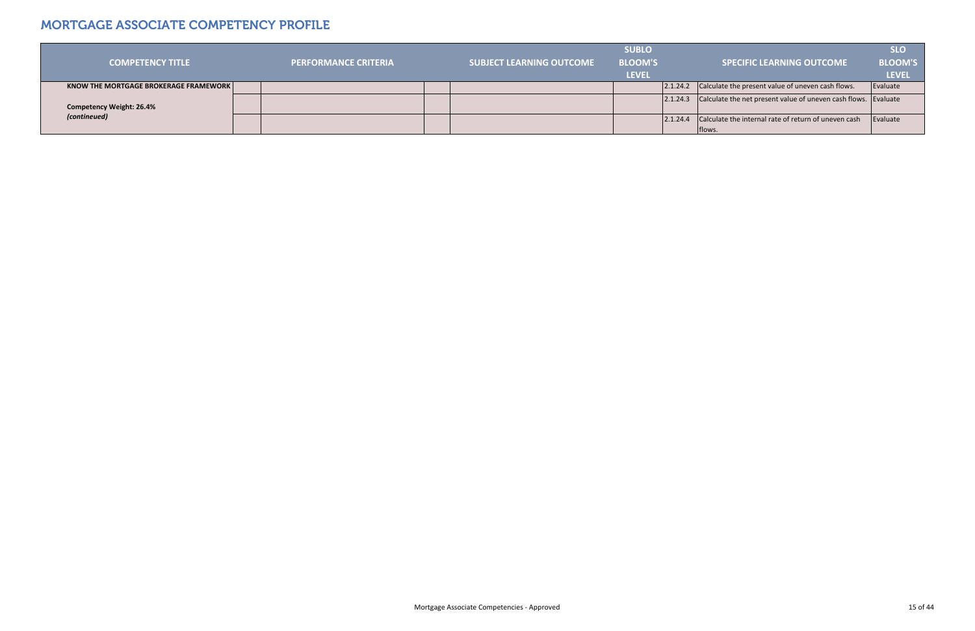|                                              |                             |                          | <b>SUBLO</b>   |                                                                         | <b>SLO</b>   |
|----------------------------------------------|-----------------------------|--------------------------|----------------|-------------------------------------------------------------------------|--------------|
| <b>COMPETENCY TITLE</b>                      | <b>PERFORMANCE CRITERIA</b> | SUBJECT LEARNING OUTCOME | <b>BLOOM'S</b> | <b>SPECIFIC LEARNING OUTCOME</b>                                        | BLOOM'S      |
|                                              |                             |                          | <b>LEVEL</b>   |                                                                         | <b>LEVEL</b> |
| <b>KNOW THE MORTGAGE BROKERAGE FRAMEWORK</b> |                             |                          |                | 2.1.24.2 Calculate the present value of uneven cash flows.              | Evaluate     |
|                                              |                             |                          |                | 2.1.24.3 Calculate the net present value of uneven cash flows. Evaluate |              |
| <b>Competency Weight: 26.4%</b>              |                             |                          |                |                                                                         |              |
| (contineued)                                 |                             |                          |                | 2.1.24.4 Calculate the internal rate of return of uneven cash           | Evaluate     |
|                                              |                             |                          |                | Iflows.                                                                 |              |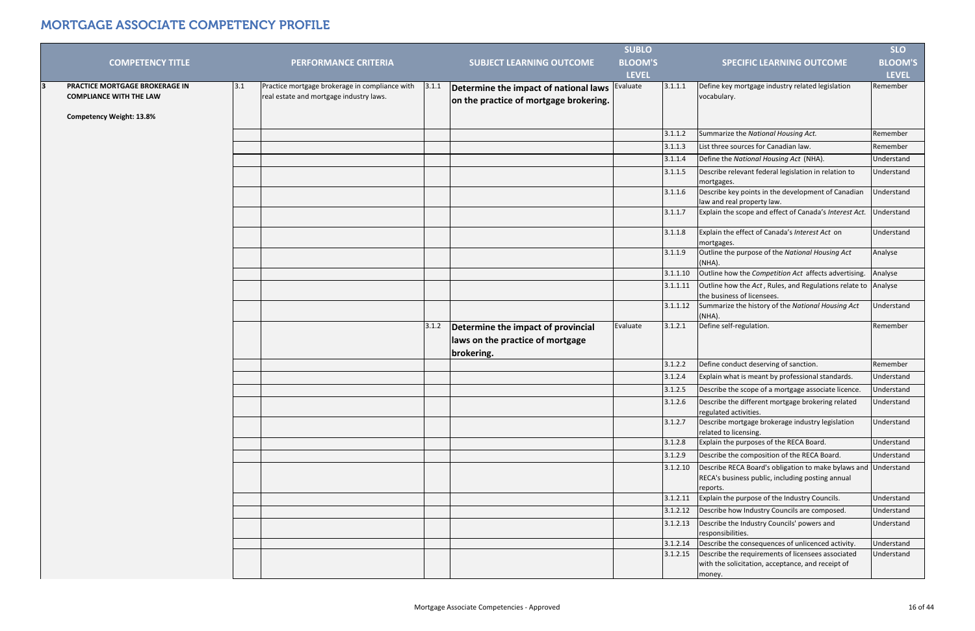| <b>COMPETENCY TITLE</b>                                                                             |     | <b>PERFORMANCE CRITERIA</b>                                                               |       | <b>SUBJECT LEARNING OUTCOME</b>                                                 | <b>SUBLO</b><br><b>BLOOM'S</b> |          | <b>SPECIFIC LEARNING OUTCOME</b>                                                                                    | <b>SLO</b><br><b>BLOOM'S</b> |
|-----------------------------------------------------------------------------------------------------|-----|-------------------------------------------------------------------------------------------|-------|---------------------------------------------------------------------------------|--------------------------------|----------|---------------------------------------------------------------------------------------------------------------------|------------------------------|
|                                                                                                     |     |                                                                                           |       |                                                                                 | <b>LEVEL</b>                   |          |                                                                                                                     | <b>LEVEL</b>                 |
| PRACTICE MORTGAGE BROKERAGE IN<br><b>COMPLIANCE WITH THE LAW</b><br><b>Competency Weight: 13.8%</b> | 3.1 | Practice mortgage brokerage in compliance with<br>real estate and mortgage industry laws. | 3.1.1 | Determine the impact of national laws<br>on the practice of mortgage brokering. | Evaluate                       | 3.1.1.1  | Define key mortgage industry related legislation<br>vocabulary.                                                     | Remember                     |
|                                                                                                     |     |                                                                                           |       |                                                                                 |                                | 3.1.1.2  | Summarize the National Housing Act.                                                                                 | Remember                     |
|                                                                                                     |     |                                                                                           |       |                                                                                 |                                | 3.1.1.3  | List three sources for Canadian law.                                                                                | Remember                     |
|                                                                                                     |     |                                                                                           |       |                                                                                 |                                | 3.1.1.4  | Define the National Housing Act (NHA).                                                                              | Understand                   |
|                                                                                                     |     |                                                                                           |       |                                                                                 |                                | 3.1.1.5  | Describe relevant federal legislation in relation to<br>mortgages.                                                  | Understand                   |
|                                                                                                     |     |                                                                                           |       |                                                                                 |                                | 3.1.1.6  | Describe key points in the development of Canadian<br>law and real property law.                                    | Understand                   |
|                                                                                                     |     |                                                                                           |       |                                                                                 |                                | 3.1.1.7  | Explain the scope and effect of Canada's Interest Act.                                                              | Understand                   |
|                                                                                                     |     |                                                                                           |       |                                                                                 |                                | 3.1.1.8  | Explain the effect of Canada's Interest Act on<br>mortgages.                                                        | Understand                   |
|                                                                                                     |     |                                                                                           |       |                                                                                 |                                | 3.1.1.9  | Outline the purpose of the National Housing Act<br>$(NHA)$ .                                                        | Analyse                      |
|                                                                                                     |     |                                                                                           |       |                                                                                 |                                | 3.1.1.10 | Outline how the Competition Act affects advertising.                                                                | Analyse                      |
|                                                                                                     |     |                                                                                           |       |                                                                                 |                                | 3.1.1.11 | Outline how the Act, Rules, and Regulations relate to Analyse<br>the business of licensees.                         |                              |
|                                                                                                     |     |                                                                                           |       |                                                                                 |                                | 3.1.1.12 | Summarize the history of the National Housing Act                                                                   | Understand                   |
|                                                                                                     |     |                                                                                           |       |                                                                                 |                                |          | $(NHA)$ .                                                                                                           |                              |
|                                                                                                     |     |                                                                                           | 3.1.2 | Determine the impact of provincial<br>laws on the practice of mortgage          | Evaluate                       | 3.1.2.1  | Define self-regulation.                                                                                             | Remember                     |
|                                                                                                     |     |                                                                                           |       | brokering.                                                                      |                                |          |                                                                                                                     |                              |
|                                                                                                     |     |                                                                                           |       |                                                                                 |                                | 3.1.2.2  | Define conduct deserving of sanction.                                                                               | Remember                     |
|                                                                                                     |     |                                                                                           |       |                                                                                 |                                | 3.1.2.4  | Explain what is meant by professional standards.                                                                    | Understand                   |
|                                                                                                     |     |                                                                                           |       |                                                                                 |                                | 3.1.2.5  | Describe the scope of a mortgage associate licence.                                                                 | Understand                   |
|                                                                                                     |     |                                                                                           |       |                                                                                 |                                | 3.1.2.6  | Describe the different mortgage brokering related<br>regulated activities.                                          | Understand                   |
|                                                                                                     |     |                                                                                           |       |                                                                                 |                                | 3.1.2.7  | Describe mortgage brokerage industry legislation<br>related to licensing.                                           | Understand                   |
|                                                                                                     |     |                                                                                           |       |                                                                                 |                                | 3.1.2.8  | Explain the purposes of the RECA Board.                                                                             | Understand                   |
|                                                                                                     |     |                                                                                           |       |                                                                                 |                                | 3.1.2.9  | Describe the composition of the RECA Board.                                                                         | Understand                   |
|                                                                                                     |     |                                                                                           |       |                                                                                 |                                | 3.1.2.10 | Describe RECA Board's obligation to make bylaws and<br>RECA's business public, including posting annual<br>reports. | Understand                   |
|                                                                                                     |     |                                                                                           |       |                                                                                 |                                | 3.1.2.11 | Explain the purpose of the Industry Councils.                                                                       | Understand                   |
|                                                                                                     |     |                                                                                           |       |                                                                                 |                                | 3.1.2.12 | Describe how Industry Councils are composed.                                                                        | Understand                   |
|                                                                                                     |     |                                                                                           |       |                                                                                 |                                | 3.1.2.13 | Describe the Industry Councils' powers and<br>responsibilities.                                                     | Understand                   |
|                                                                                                     |     |                                                                                           |       |                                                                                 |                                | 3.1.2.14 | Describe the consequences of unlicenced activity.                                                                   | Understand                   |
|                                                                                                     |     |                                                                                           |       |                                                                                 |                                | 3.1.2.15 | Describe the requirements of licensees associated<br>with the solicitation, acceptance, and receipt of<br>money.    | Understand                   |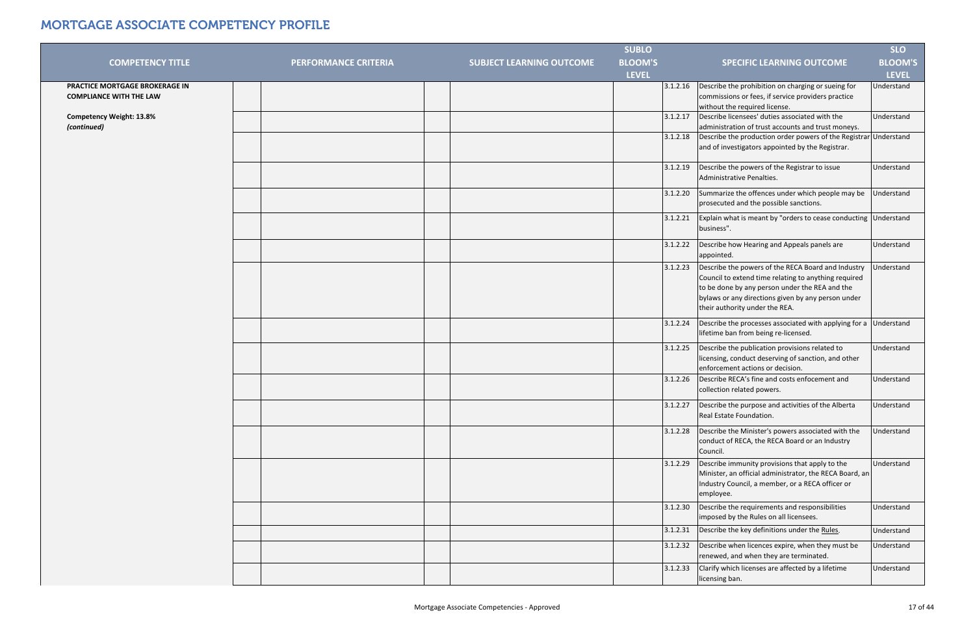| <b>BLOOM'S</b><br><b>COMPETENCY TITLE</b><br><b>PERFORMANCE CRITERIA</b><br><b>SUBJECT LEARNING OUTCOME</b><br><b>SPECIFIC LEARNING OUTCOME</b><br><b>LEVEL</b><br><b>LEVEL</b><br>Describe the prohibition on charging or sueing for<br>PRACTICE MORTGAGE BROKERAGE IN<br>3.1.2.16<br>commissions or fees, if service providers practice<br><b>COMPLIANCE WITH THE LAW</b><br>without the required license.<br>Describe licensees' duties associated with the<br>3.1.2.17<br>Understand<br><b>Competency Weight: 13.8%</b><br>administration of trust accounts and trust moneys.<br>(continued)<br>Describe the production order powers of the Registrar Understand<br>3.1.2.18<br>and of investigators appointed by the Registrar.<br>Describe the powers of the Registrar to issue<br>3.1.2.19<br>Understand<br>Administrative Penalties.<br>Summarize the offences under which people may be<br>3.1.2.20<br>Understand<br>prosecuted and the possible sanctions.<br>Explain what is meant by "orders to cease conducting Understand<br>3.1.2.21<br>business".<br>3.1.2.22<br>Describe how Hearing and Appeals panels are<br>Understand<br>appointed.<br>Describe the powers of the RECA Board and Industry<br>3.1.2.23<br>Jnderstand<br>Council to extend time relating to anything required<br>to be done by any person under the REA and the<br>bylaws or any directions given by any person under<br>their authority under the REA.<br>Describe the processes associated with applying for a Understand<br>3.1.2.24<br>lifetime ban from being re-licensed.<br>Describe the publication provisions related to<br>3.1.2.25<br>Understand<br>licensing, conduct deserving of sanction, and other<br>enforcement actions or decision.<br>Describe RECA's fine and costs enfocement and<br>3.1.2.26<br>Understand<br>collection related powers.<br>Describe the purpose and activities of the Alberta<br>3.1.2.27<br>Understand<br>Real Estate Foundation.<br>Describe the Minister's powers associated with the<br>Understand<br>3.1.2.28<br>conduct of RECA, the RECA Board or an Industry<br>Council.<br>3.1.2.29<br>Describe immunity provisions that apply to the<br>Understand<br>Minister, an official administrator, the RECA Board, an<br>Industry Council, a member, or a RECA officer or<br>employee.<br>Describe the requirements and responsibilities<br>Understand<br>3.1.2.30<br>imposed by the Rules on all licensees.<br>3.1.2.31<br>Describe the key definitions under the Rules.<br>Understand<br>Describe when licences expire, when they must be<br>3.1.2.32<br>Understand<br>renewed, and when they are terminated. |  | <b>SUBLO</b> |  | <b>SLO</b>     |
|----------------------------------------------------------------------------------------------------------------------------------------------------------------------------------------------------------------------------------------------------------------------------------------------------------------------------------------------------------------------------------------------------------------------------------------------------------------------------------------------------------------------------------------------------------------------------------------------------------------------------------------------------------------------------------------------------------------------------------------------------------------------------------------------------------------------------------------------------------------------------------------------------------------------------------------------------------------------------------------------------------------------------------------------------------------------------------------------------------------------------------------------------------------------------------------------------------------------------------------------------------------------------------------------------------------------------------------------------------------------------------------------------------------------------------------------------------------------------------------------------------------------------------------------------------------------------------------------------------------------------------------------------------------------------------------------------------------------------------------------------------------------------------------------------------------------------------------------------------------------------------------------------------------------------------------------------------------------------------------------------------------------------------------------------------------------------------------------------------------------------------------------------------------------------------------------------------------------------------------------------------------------------------------------------------------------------------------------------------------------------------------------------------------------------------------------------------------------------------------------------------------------------------------------------------------------------------------------------------------------------------------------|--|--------------|--|----------------|
|                                                                                                                                                                                                                                                                                                                                                                                                                                                                                                                                                                                                                                                                                                                                                                                                                                                                                                                                                                                                                                                                                                                                                                                                                                                                                                                                                                                                                                                                                                                                                                                                                                                                                                                                                                                                                                                                                                                                                                                                                                                                                                                                                                                                                                                                                                                                                                                                                                                                                                                                                                                                                                              |  |              |  | <b>BLOOM'S</b> |
|                                                                                                                                                                                                                                                                                                                                                                                                                                                                                                                                                                                                                                                                                                                                                                                                                                                                                                                                                                                                                                                                                                                                                                                                                                                                                                                                                                                                                                                                                                                                                                                                                                                                                                                                                                                                                                                                                                                                                                                                                                                                                                                                                                                                                                                                                                                                                                                                                                                                                                                                                                                                                                              |  |              |  |                |
|                                                                                                                                                                                                                                                                                                                                                                                                                                                                                                                                                                                                                                                                                                                                                                                                                                                                                                                                                                                                                                                                                                                                                                                                                                                                                                                                                                                                                                                                                                                                                                                                                                                                                                                                                                                                                                                                                                                                                                                                                                                                                                                                                                                                                                                                                                                                                                                                                                                                                                                                                                                                                                              |  |              |  | Understand     |
|                                                                                                                                                                                                                                                                                                                                                                                                                                                                                                                                                                                                                                                                                                                                                                                                                                                                                                                                                                                                                                                                                                                                                                                                                                                                                                                                                                                                                                                                                                                                                                                                                                                                                                                                                                                                                                                                                                                                                                                                                                                                                                                                                                                                                                                                                                                                                                                                                                                                                                                                                                                                                                              |  |              |  |                |
|                                                                                                                                                                                                                                                                                                                                                                                                                                                                                                                                                                                                                                                                                                                                                                                                                                                                                                                                                                                                                                                                                                                                                                                                                                                                                                                                                                                                                                                                                                                                                                                                                                                                                                                                                                                                                                                                                                                                                                                                                                                                                                                                                                                                                                                                                                                                                                                                                                                                                                                                                                                                                                              |  |              |  |                |
|                                                                                                                                                                                                                                                                                                                                                                                                                                                                                                                                                                                                                                                                                                                                                                                                                                                                                                                                                                                                                                                                                                                                                                                                                                                                                                                                                                                                                                                                                                                                                                                                                                                                                                                                                                                                                                                                                                                                                                                                                                                                                                                                                                                                                                                                                                                                                                                                                                                                                                                                                                                                                                              |  |              |  |                |
|                                                                                                                                                                                                                                                                                                                                                                                                                                                                                                                                                                                                                                                                                                                                                                                                                                                                                                                                                                                                                                                                                                                                                                                                                                                                                                                                                                                                                                                                                                                                                                                                                                                                                                                                                                                                                                                                                                                                                                                                                                                                                                                                                                                                                                                                                                                                                                                                                                                                                                                                                                                                                                              |  |              |  |                |
|                                                                                                                                                                                                                                                                                                                                                                                                                                                                                                                                                                                                                                                                                                                                                                                                                                                                                                                                                                                                                                                                                                                                                                                                                                                                                                                                                                                                                                                                                                                                                                                                                                                                                                                                                                                                                                                                                                                                                                                                                                                                                                                                                                                                                                                                                                                                                                                                                                                                                                                                                                                                                                              |  |              |  |                |
|                                                                                                                                                                                                                                                                                                                                                                                                                                                                                                                                                                                                                                                                                                                                                                                                                                                                                                                                                                                                                                                                                                                                                                                                                                                                                                                                                                                                                                                                                                                                                                                                                                                                                                                                                                                                                                                                                                                                                                                                                                                                                                                                                                                                                                                                                                                                                                                                                                                                                                                                                                                                                                              |  |              |  |                |
|                                                                                                                                                                                                                                                                                                                                                                                                                                                                                                                                                                                                                                                                                                                                                                                                                                                                                                                                                                                                                                                                                                                                                                                                                                                                                                                                                                                                                                                                                                                                                                                                                                                                                                                                                                                                                                                                                                                                                                                                                                                                                                                                                                                                                                                                                                                                                                                                                                                                                                                                                                                                                                              |  |              |  |                |
|                                                                                                                                                                                                                                                                                                                                                                                                                                                                                                                                                                                                                                                                                                                                                                                                                                                                                                                                                                                                                                                                                                                                                                                                                                                                                                                                                                                                                                                                                                                                                                                                                                                                                                                                                                                                                                                                                                                                                                                                                                                                                                                                                                                                                                                                                                                                                                                                                                                                                                                                                                                                                                              |  |              |  |                |
|                                                                                                                                                                                                                                                                                                                                                                                                                                                                                                                                                                                                                                                                                                                                                                                                                                                                                                                                                                                                                                                                                                                                                                                                                                                                                                                                                                                                                                                                                                                                                                                                                                                                                                                                                                                                                                                                                                                                                                                                                                                                                                                                                                                                                                                                                                                                                                                                                                                                                                                                                                                                                                              |  |              |  |                |
|                                                                                                                                                                                                                                                                                                                                                                                                                                                                                                                                                                                                                                                                                                                                                                                                                                                                                                                                                                                                                                                                                                                                                                                                                                                                                                                                                                                                                                                                                                                                                                                                                                                                                                                                                                                                                                                                                                                                                                                                                                                                                                                                                                                                                                                                                                                                                                                                                                                                                                                                                                                                                                              |  |              |  |                |
|                                                                                                                                                                                                                                                                                                                                                                                                                                                                                                                                                                                                                                                                                                                                                                                                                                                                                                                                                                                                                                                                                                                                                                                                                                                                                                                                                                                                                                                                                                                                                                                                                                                                                                                                                                                                                                                                                                                                                                                                                                                                                                                                                                                                                                                                                                                                                                                                                                                                                                                                                                                                                                              |  |              |  |                |
|                                                                                                                                                                                                                                                                                                                                                                                                                                                                                                                                                                                                                                                                                                                                                                                                                                                                                                                                                                                                                                                                                                                                                                                                                                                                                                                                                                                                                                                                                                                                                                                                                                                                                                                                                                                                                                                                                                                                                                                                                                                                                                                                                                                                                                                                                                                                                                                                                                                                                                                                                                                                                                              |  |              |  |                |
|                                                                                                                                                                                                                                                                                                                                                                                                                                                                                                                                                                                                                                                                                                                                                                                                                                                                                                                                                                                                                                                                                                                                                                                                                                                                                                                                                                                                                                                                                                                                                                                                                                                                                                                                                                                                                                                                                                                                                                                                                                                                                                                                                                                                                                                                                                                                                                                                                                                                                                                                                                                                                                              |  |              |  |                |
|                                                                                                                                                                                                                                                                                                                                                                                                                                                                                                                                                                                                                                                                                                                                                                                                                                                                                                                                                                                                                                                                                                                                                                                                                                                                                                                                                                                                                                                                                                                                                                                                                                                                                                                                                                                                                                                                                                                                                                                                                                                                                                                                                                                                                                                                                                                                                                                                                                                                                                                                                                                                                                              |  |              |  |                |
|                                                                                                                                                                                                                                                                                                                                                                                                                                                                                                                                                                                                                                                                                                                                                                                                                                                                                                                                                                                                                                                                                                                                                                                                                                                                                                                                                                                                                                                                                                                                                                                                                                                                                                                                                                                                                                                                                                                                                                                                                                                                                                                                                                                                                                                                                                                                                                                                                                                                                                                                                                                                                                              |  |              |  |                |
|                                                                                                                                                                                                                                                                                                                                                                                                                                                                                                                                                                                                                                                                                                                                                                                                                                                                                                                                                                                                                                                                                                                                                                                                                                                                                                                                                                                                                                                                                                                                                                                                                                                                                                                                                                                                                                                                                                                                                                                                                                                                                                                                                                                                                                                                                                                                                                                                                                                                                                                                                                                                                                              |  |              |  |                |
|                                                                                                                                                                                                                                                                                                                                                                                                                                                                                                                                                                                                                                                                                                                                                                                                                                                                                                                                                                                                                                                                                                                                                                                                                                                                                                                                                                                                                                                                                                                                                                                                                                                                                                                                                                                                                                                                                                                                                                                                                                                                                                                                                                                                                                                                                                                                                                                                                                                                                                                                                                                                                                              |  |              |  |                |
|                                                                                                                                                                                                                                                                                                                                                                                                                                                                                                                                                                                                                                                                                                                                                                                                                                                                                                                                                                                                                                                                                                                                                                                                                                                                                                                                                                                                                                                                                                                                                                                                                                                                                                                                                                                                                                                                                                                                                                                                                                                                                                                                                                                                                                                                                                                                                                                                                                                                                                                                                                                                                                              |  |              |  |                |
|                                                                                                                                                                                                                                                                                                                                                                                                                                                                                                                                                                                                                                                                                                                                                                                                                                                                                                                                                                                                                                                                                                                                                                                                                                                                                                                                                                                                                                                                                                                                                                                                                                                                                                                                                                                                                                                                                                                                                                                                                                                                                                                                                                                                                                                                                                                                                                                                                                                                                                                                                                                                                                              |  |              |  |                |
|                                                                                                                                                                                                                                                                                                                                                                                                                                                                                                                                                                                                                                                                                                                                                                                                                                                                                                                                                                                                                                                                                                                                                                                                                                                                                                                                                                                                                                                                                                                                                                                                                                                                                                                                                                                                                                                                                                                                                                                                                                                                                                                                                                                                                                                                                                                                                                                                                                                                                                                                                                                                                                              |  |              |  |                |
|                                                                                                                                                                                                                                                                                                                                                                                                                                                                                                                                                                                                                                                                                                                                                                                                                                                                                                                                                                                                                                                                                                                                                                                                                                                                                                                                                                                                                                                                                                                                                                                                                                                                                                                                                                                                                                                                                                                                                                                                                                                                                                                                                                                                                                                                                                                                                                                                                                                                                                                                                                                                                                              |  |              |  |                |
|                                                                                                                                                                                                                                                                                                                                                                                                                                                                                                                                                                                                                                                                                                                                                                                                                                                                                                                                                                                                                                                                                                                                                                                                                                                                                                                                                                                                                                                                                                                                                                                                                                                                                                                                                                                                                                                                                                                                                                                                                                                                                                                                                                                                                                                                                                                                                                                                                                                                                                                                                                                                                                              |  |              |  |                |
|                                                                                                                                                                                                                                                                                                                                                                                                                                                                                                                                                                                                                                                                                                                                                                                                                                                                                                                                                                                                                                                                                                                                                                                                                                                                                                                                                                                                                                                                                                                                                                                                                                                                                                                                                                                                                                                                                                                                                                                                                                                                                                                                                                                                                                                                                                                                                                                                                                                                                                                                                                                                                                              |  |              |  |                |
|                                                                                                                                                                                                                                                                                                                                                                                                                                                                                                                                                                                                                                                                                                                                                                                                                                                                                                                                                                                                                                                                                                                                                                                                                                                                                                                                                                                                                                                                                                                                                                                                                                                                                                                                                                                                                                                                                                                                                                                                                                                                                                                                                                                                                                                                                                                                                                                                                                                                                                                                                                                                                                              |  |              |  |                |
|                                                                                                                                                                                                                                                                                                                                                                                                                                                                                                                                                                                                                                                                                                                                                                                                                                                                                                                                                                                                                                                                                                                                                                                                                                                                                                                                                                                                                                                                                                                                                                                                                                                                                                                                                                                                                                                                                                                                                                                                                                                                                                                                                                                                                                                                                                                                                                                                                                                                                                                                                                                                                                              |  |              |  |                |
|                                                                                                                                                                                                                                                                                                                                                                                                                                                                                                                                                                                                                                                                                                                                                                                                                                                                                                                                                                                                                                                                                                                                                                                                                                                                                                                                                                                                                                                                                                                                                                                                                                                                                                                                                                                                                                                                                                                                                                                                                                                                                                                                                                                                                                                                                                                                                                                                                                                                                                                                                                                                                                              |  |              |  |                |
|                                                                                                                                                                                                                                                                                                                                                                                                                                                                                                                                                                                                                                                                                                                                                                                                                                                                                                                                                                                                                                                                                                                                                                                                                                                                                                                                                                                                                                                                                                                                                                                                                                                                                                                                                                                                                                                                                                                                                                                                                                                                                                                                                                                                                                                                                                                                                                                                                                                                                                                                                                                                                                              |  |              |  |                |
|                                                                                                                                                                                                                                                                                                                                                                                                                                                                                                                                                                                                                                                                                                                                                                                                                                                                                                                                                                                                                                                                                                                                                                                                                                                                                                                                                                                                                                                                                                                                                                                                                                                                                                                                                                                                                                                                                                                                                                                                                                                                                                                                                                                                                                                                                                                                                                                                                                                                                                                                                                                                                                              |  |              |  |                |
| Clarify which licenses are affected by a lifetime<br>3.1.2.33<br>Understand<br>licensing ban.                                                                                                                                                                                                                                                                                                                                                                                                                                                                                                                                                                                                                                                                                                                                                                                                                                                                                                                                                                                                                                                                                                                                                                                                                                                                                                                                                                                                                                                                                                                                                                                                                                                                                                                                                                                                                                                                                                                                                                                                                                                                                                                                                                                                                                                                                                                                                                                                                                                                                                                                                |  |              |  |                |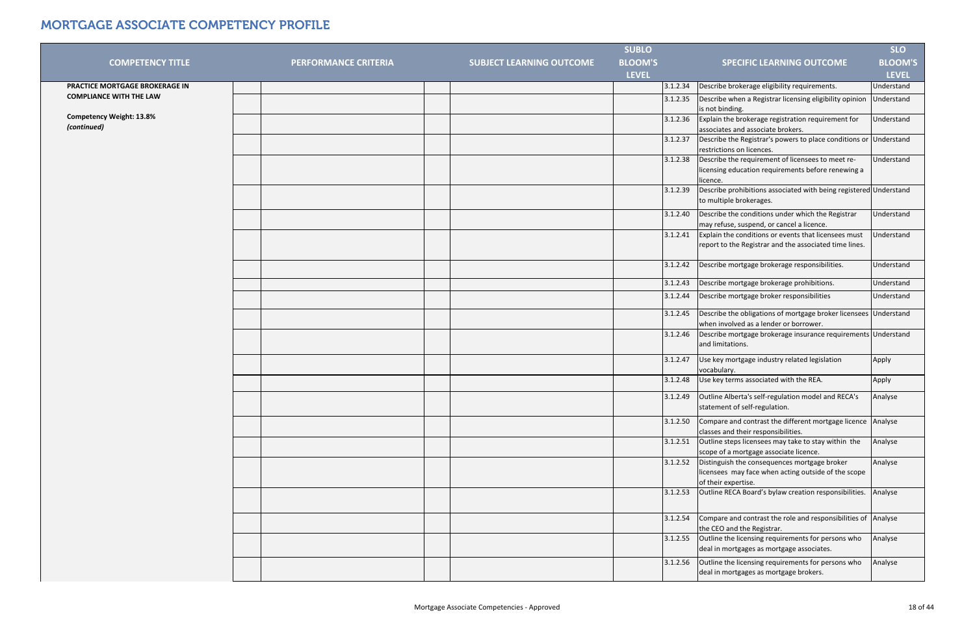|                                                |                             |                                 | <b>SUBLO</b>   |                                                                                                                                        | <b>SLO</b>        |
|------------------------------------------------|-----------------------------|---------------------------------|----------------|----------------------------------------------------------------------------------------------------------------------------------------|-------------------|
| <b>COMPETENCY TITLE</b>                        | <b>PERFORMANCE CRITERIA</b> | <b>SUBJECT LEARNING OUTCOME</b> | <b>BLOOM'S</b> | <b>SPECIFIC LEARNING OUTCOME</b>                                                                                                       | <b>BLOOM'S</b>    |
|                                                |                             |                                 | <b>LEVEL</b>   |                                                                                                                                        | <b>LEVEL</b>      |
| PRACTICE MORTGAGE BROKERAGE IN                 |                             |                                 |                | Describe brokerage eligibility requirements.<br>3.1.2.34                                                                               | Jnderstand        |
| <b>COMPLIANCE WITH THE LAW</b>                 |                             |                                 |                | Describe when a Registrar licensing eligibility opinion<br>3.1.2.35<br>is not binding.                                                 | Understand        |
| <b>Competency Weight: 13.8%</b><br>(continued) |                             |                                 |                | Explain the brokerage registration requirement for<br>3.1.2.36<br>associates and associate brokers.                                    | Understand        |
|                                                |                             |                                 |                | Describe the Registrar's powers to place conditions or<br>3.1.2.37<br>restrictions on licences.                                        | Understand        |
|                                                |                             |                                 |                | Describe the requirement of licensees to meet re-<br>3.1.2.38<br>licensing education requirements before renewing a<br>licence.        | Understand        |
|                                                |                             |                                 |                | Describe prohibitions associated with being registered Understand<br>3.1.2.39<br>to multiple brokerages.                               |                   |
|                                                |                             |                                 |                | Describe the conditions under which the Registrar<br>3.1.2.40<br>may refuse, suspend, or cancel a licence.                             | <b>Understand</b> |
|                                                |                             |                                 |                | Explain the conditions or events that licensees must<br>3.1.2.41<br>report to the Registrar and the associated time lines.             | <b>Understand</b> |
|                                                |                             |                                 |                | Describe mortgage brokerage responsibilities.<br>3.1.2.42                                                                              | Understand        |
|                                                |                             |                                 |                | Describe mortgage brokerage prohibitions.<br>3.1.2.43                                                                                  | Understand        |
|                                                |                             |                                 |                | Describe mortgage broker responsibilities<br>3.1.2.44                                                                                  | Understand        |
|                                                |                             |                                 |                | Describe the obligations of mortgage broker licensees<br>3.1.2.45<br>when involved as a lender or borrower.                            | Understand        |
|                                                |                             |                                 |                | Describe mortgage brokerage insurance requirements Understand<br>3.1.2.46<br>and limitations.                                          |                   |
|                                                |                             |                                 |                | 3.1.2.47<br>Use key mortgage industry related legislation<br>vocabulary.                                                               | Apply             |
|                                                |                             |                                 |                | Use key terms associated with the REA.<br>3.1.2.48                                                                                     | Apply             |
|                                                |                             |                                 |                | 3.1.2.49 <b>Outline Alberta's self-regulation model and RECA's</b><br>statement of self-regulation.                                    | Analyse           |
|                                                |                             |                                 |                | Compare and contrast the different mortgage licence Analyse<br>3.1.2.50<br>classes and their responsibilities.                         |                   |
|                                                |                             |                                 |                | Outline steps licensees may take to stay within the<br>3.1.2.51<br>scope of a mortgage associate licence.                              | Analyse           |
|                                                |                             |                                 |                | Distinguish the consequences mortgage broker<br>3.1.2.52<br>licensees may face when acting outside of the scope<br>of their expertise. | Analyse           |
|                                                |                             |                                 |                | Outline RECA Board's bylaw creation responsibilities.<br>3.1.2.53                                                                      | Analyse           |
|                                                |                             |                                 |                | Compare and contrast the role and responsibilities of Analyse<br>3.1.2.54<br>the CEO and the Registrar.                                |                   |
|                                                |                             |                                 |                | Outline the licensing requirements for persons who<br>3.1.2.55<br>deal in mortgages as mortgage associates.                            | Analyse           |
|                                                |                             |                                 |                | Outline the licensing requirements for persons who<br>3.1.2.56<br>deal in mortgages as mortgage brokers.                               | Analyse           |
|                                                |                             |                                 |                |                                                                                                                                        |                   |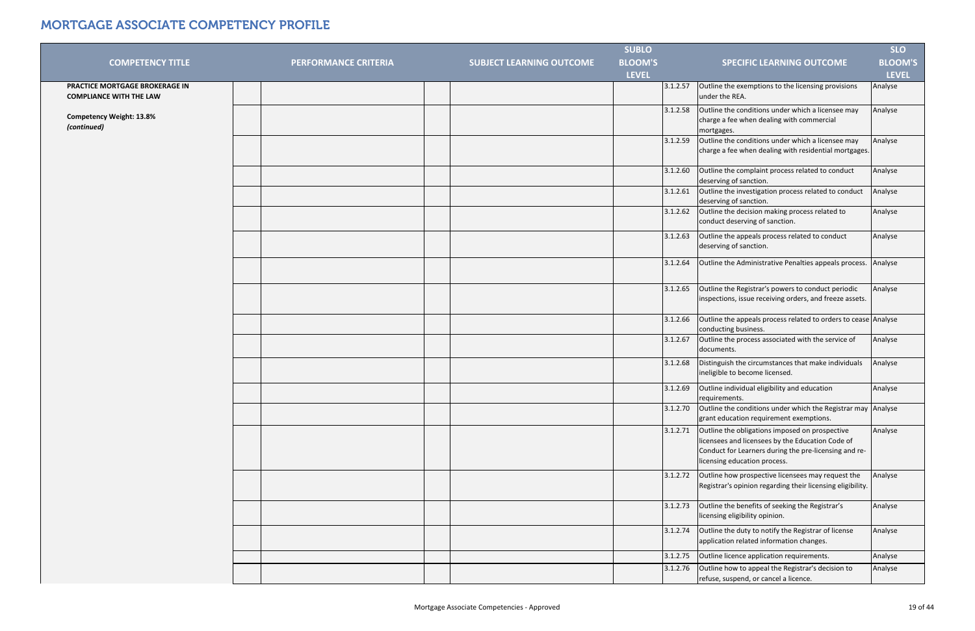|                                                                  |                             |                                 | <b>SUBLO</b>   |                                                                                                                                                                                             | <b>SLO</b>     |
|------------------------------------------------------------------|-----------------------------|---------------------------------|----------------|---------------------------------------------------------------------------------------------------------------------------------------------------------------------------------------------|----------------|
| <b>COMPETENCY TITLE</b>                                          | <b>PERFORMANCE CRITERIA</b> | <b>SUBJECT LEARNING OUTCOME</b> | <b>BLOOM'S</b> | <b>SPECIFIC LEARNING OUTCOME</b>                                                                                                                                                            | <b>BLOOM'S</b> |
|                                                                  |                             |                                 | <b>LEVEL</b>   |                                                                                                                                                                                             | <b>LEVEL</b>   |
| PRACTICE MORTGAGE BROKERAGE IN<br><b>COMPLIANCE WITH THE LAW</b> |                             |                                 | 3.1.2.57       | Outline the exemptions to the licensing provisions<br>under the REA.                                                                                                                        | Analyse        |
| <b>Competency Weight: 13.8%</b><br>(continued)                   |                             |                                 | 3.1.2.58       | Outline the conditions under which a licensee may<br>charge a fee when dealing with commercial<br>mortgages.                                                                                | Analyse        |
|                                                                  |                             |                                 | 3.1.2.59       | Outline the conditions under which a licensee may<br>charge a fee when dealing with residential mortgages.                                                                                  | Analyse        |
|                                                                  |                             |                                 | 3.1.2.60       | Outline the complaint process related to conduct<br>deserving of sanction.                                                                                                                  | Analyse        |
|                                                                  |                             |                                 | 3.1.2.61       | Outline the investigation process related to conduct<br>deserving of sanction.                                                                                                              | Analyse        |
|                                                                  |                             |                                 | 3.1.2.62       | Outline the decision making process related to<br>conduct deserving of sanction.                                                                                                            | Analyse        |
|                                                                  |                             |                                 | 3.1.2.63       | Outline the appeals process related to conduct<br>deserving of sanction.                                                                                                                    | Analyse        |
|                                                                  |                             |                                 | 3.1.2.64       | Outline the Administrative Penalties appeals process. Analyse                                                                                                                               |                |
|                                                                  |                             |                                 | 3.1.2.65       | Outline the Registrar's powers to conduct periodic<br>inspections, issue receiving orders, and freeze assets.                                                                               | Analyse        |
|                                                                  |                             |                                 | 3.1.2.66       | Outline the appeals process related to orders to cease Analyse<br>conducting business.                                                                                                      |                |
|                                                                  |                             |                                 | 3.1.2.67       | Outline the process associated with the service of<br>documents.                                                                                                                            | Analyse        |
|                                                                  |                             |                                 | 3.1.2.68       | Distinguish the circumstances that make individuals<br>ineligible to become licensed.                                                                                                       | Analyse        |
|                                                                  |                             |                                 | 3.1.2.69       | Outline individual eligibility and education<br>requirements.                                                                                                                               | Analyse        |
|                                                                  |                             |                                 | 3.1.2.70       | Outline the conditions under which the Registrar may Analyse<br>grant education requirement exemptions.                                                                                     |                |
|                                                                  |                             |                                 | 3.1.2.71       | Outline the obligations imposed on prospective<br>licensees and licensees by the Education Code of<br>Conduct for Learners during the pre-licensing and re-<br>licensing education process. | Analyse        |
|                                                                  |                             |                                 | 3.1.2.72       | Outline how prospective licensees may request the<br>Registrar's opinion regarding their licensing eligibility.                                                                             | Analyse        |
|                                                                  |                             |                                 | 3.1.2.73       | Outline the benefits of seeking the Registrar's<br>licensing eligibility opinion.                                                                                                           | Analyse        |
|                                                                  |                             |                                 | 3.1.2.74       | Outline the duty to notify the Registrar of license<br>application related information changes.                                                                                             | Analyse        |
|                                                                  |                             |                                 | 3.1.2.75       | Outline licence application requirements.                                                                                                                                                   | Analyse        |
|                                                                  |                             |                                 | 3.1.2.76       | Outline how to appeal the Registrar's decision to<br>refuse, suspend, or cancel a licence.                                                                                                  | Analyse        |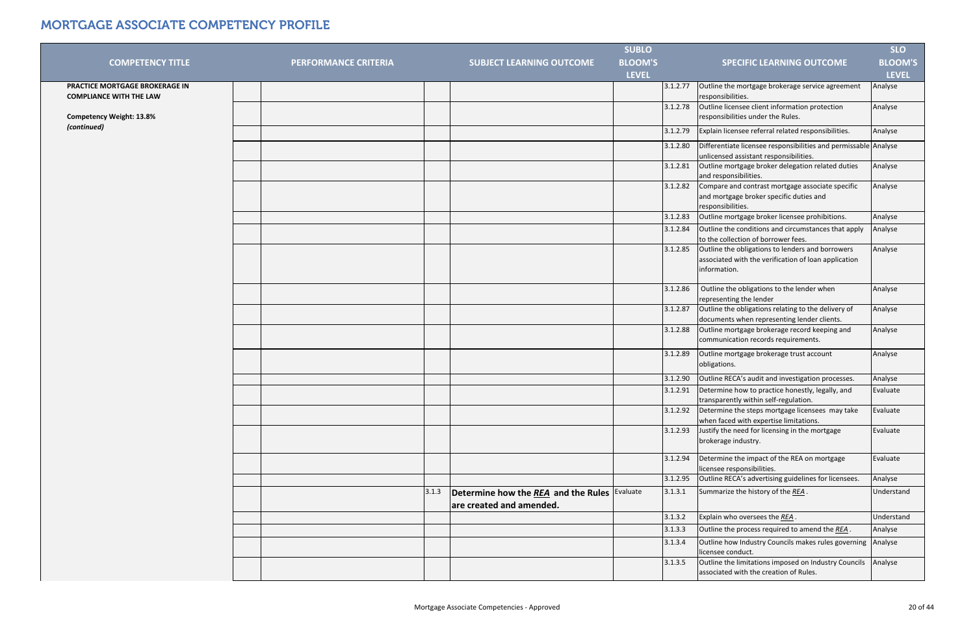| <b>BLOOM'S</b><br><b>BLOOM'S</b><br><b>COMPETENCY TITLE</b><br><b>PERFORMANCE CRITERIA</b><br><b>SUBJECT LEARNING OUTCOME</b><br><b>SPECIFIC LEARNING OUTCOME</b><br><b>LEVEL</b><br><b>LEVEL</b><br>PRACTICE MORTGAGE BROKERAGE IN<br>Outline the mortgage brokerage service agreement<br>Analyse<br>3.1.2.77<br><b>COMPLIANCE WITH THE LAW</b><br>responsibilities.<br>Outline licensee client information protection<br>Analyse<br>3.1.2.78<br>responsibilities under the Rules.<br><b>Competency Weight: 13.8%</b><br>(continued)<br>Explain licensee referral related responsibilities.<br>3.1.2.79<br>Analyse<br>Differentiate licensee responsibilities and permissable Analyse<br>3.1.2.80<br>unlicensed assistant responsibilities.<br>3.1.2.81<br>Outline mortgage broker delegation related duties<br>Analyse<br>and responsibilities.<br>3.1.2.82<br>Compare and contrast mortgage associate specific<br>Analyse<br>and mortgage broker specific duties and<br>responsibilities.<br>Outline mortgage broker licensee prohibitions.<br>Analyse<br>3.1.2.83<br>Outline the conditions and circumstances that apply<br>3.1.2.84<br>Analyse<br>to the collection of borrower fees.<br>Outline the obligations to lenders and borrowers<br>3.1.2.85<br>Analyse<br>associated with the verification of loan application<br>information.<br>Outline the obligations to the lender when<br>3.1.2.86<br>Analyse<br>representing the lender<br>Outline the obligations relating to the delivery of<br>3.1.2.87<br>Analyse<br>documents when representing lender clients.<br>Outline mortgage brokerage record keeping and<br>3.1.2.88<br>Analyse<br>communication records requirements.<br>Analyse<br>3.1.2.89<br>Outline mortgage brokerage trust account<br>obligations.<br>3.1.2.90<br>Outline RECA's audit and investigation processes.<br>Analyse<br>Determine how to practice honestly, legally, and<br>3.1.2.91<br>Evaluate<br>transparently within self-regulation.<br>Determine the steps mortgage licensees may take<br>Evaluate<br>3.1.2.92<br>when faced with expertise limitations.<br>3.1.2.93<br>Justify the need for licensing in the mortgage<br>Evaluate<br>brokerage industry.<br>Determine the impact of the REA on mortgage<br>Evaluate<br>3.1.2.94<br>licensee responsibilities.<br>Outline RECA's advertising guidelines for licensees.<br>3.1.2.95<br>Analyse<br>Summarize the history of the REA.<br>3.1.3<br>3.1.3.1<br>Evaluate<br>Understand<br>Determine how the REA and the Rules<br>are created and amended.<br>Explain who oversees the REA.<br>Understand<br>3.1.3.2<br>Outline the process required to amend the REA.<br>3.1.3.3<br>Analyse<br>Outline how Industry Councils makes rules governing<br>Analyse<br>3.1.3.4<br>licensee conduct.<br>Outline the limitations imposed on Industry Councils<br>Analyse<br>3.1.3.5<br>associated with the creation of Rules. |  | <b>SUBLO</b> | <b>SLO</b> |
|-----------------------------------------------------------------------------------------------------------------------------------------------------------------------------------------------------------------------------------------------------------------------------------------------------------------------------------------------------------------------------------------------------------------------------------------------------------------------------------------------------------------------------------------------------------------------------------------------------------------------------------------------------------------------------------------------------------------------------------------------------------------------------------------------------------------------------------------------------------------------------------------------------------------------------------------------------------------------------------------------------------------------------------------------------------------------------------------------------------------------------------------------------------------------------------------------------------------------------------------------------------------------------------------------------------------------------------------------------------------------------------------------------------------------------------------------------------------------------------------------------------------------------------------------------------------------------------------------------------------------------------------------------------------------------------------------------------------------------------------------------------------------------------------------------------------------------------------------------------------------------------------------------------------------------------------------------------------------------------------------------------------------------------------------------------------------------------------------------------------------------------------------------------------------------------------------------------------------------------------------------------------------------------------------------------------------------------------------------------------------------------------------------------------------------------------------------------------------------------------------------------------------------------------------------------------------------------------------------------------------------------------------------------------------------------------------------------------------------------------------------------------------------------------------------------------------------------------------------------------------------------------------------------|--|--------------|------------|
|                                                                                                                                                                                                                                                                                                                                                                                                                                                                                                                                                                                                                                                                                                                                                                                                                                                                                                                                                                                                                                                                                                                                                                                                                                                                                                                                                                                                                                                                                                                                                                                                                                                                                                                                                                                                                                                                                                                                                                                                                                                                                                                                                                                                                                                                                                                                                                                                                                                                                                                                                                                                                                                                                                                                                                                                                                                                                                           |  |              |            |
|                                                                                                                                                                                                                                                                                                                                                                                                                                                                                                                                                                                                                                                                                                                                                                                                                                                                                                                                                                                                                                                                                                                                                                                                                                                                                                                                                                                                                                                                                                                                                                                                                                                                                                                                                                                                                                                                                                                                                                                                                                                                                                                                                                                                                                                                                                                                                                                                                                                                                                                                                                                                                                                                                                                                                                                                                                                                                                           |  |              |            |
|                                                                                                                                                                                                                                                                                                                                                                                                                                                                                                                                                                                                                                                                                                                                                                                                                                                                                                                                                                                                                                                                                                                                                                                                                                                                                                                                                                                                                                                                                                                                                                                                                                                                                                                                                                                                                                                                                                                                                                                                                                                                                                                                                                                                                                                                                                                                                                                                                                                                                                                                                                                                                                                                                                                                                                                                                                                                                                           |  |              |            |
|                                                                                                                                                                                                                                                                                                                                                                                                                                                                                                                                                                                                                                                                                                                                                                                                                                                                                                                                                                                                                                                                                                                                                                                                                                                                                                                                                                                                                                                                                                                                                                                                                                                                                                                                                                                                                                                                                                                                                                                                                                                                                                                                                                                                                                                                                                                                                                                                                                                                                                                                                                                                                                                                                                                                                                                                                                                                                                           |  |              |            |
|                                                                                                                                                                                                                                                                                                                                                                                                                                                                                                                                                                                                                                                                                                                                                                                                                                                                                                                                                                                                                                                                                                                                                                                                                                                                                                                                                                                                                                                                                                                                                                                                                                                                                                                                                                                                                                                                                                                                                                                                                                                                                                                                                                                                                                                                                                                                                                                                                                                                                                                                                                                                                                                                                                                                                                                                                                                                                                           |  |              |            |
|                                                                                                                                                                                                                                                                                                                                                                                                                                                                                                                                                                                                                                                                                                                                                                                                                                                                                                                                                                                                                                                                                                                                                                                                                                                                                                                                                                                                                                                                                                                                                                                                                                                                                                                                                                                                                                                                                                                                                                                                                                                                                                                                                                                                                                                                                                                                                                                                                                                                                                                                                                                                                                                                                                                                                                                                                                                                                                           |  |              |            |
|                                                                                                                                                                                                                                                                                                                                                                                                                                                                                                                                                                                                                                                                                                                                                                                                                                                                                                                                                                                                                                                                                                                                                                                                                                                                                                                                                                                                                                                                                                                                                                                                                                                                                                                                                                                                                                                                                                                                                                                                                                                                                                                                                                                                                                                                                                                                                                                                                                                                                                                                                                                                                                                                                                                                                                                                                                                                                                           |  |              |            |
|                                                                                                                                                                                                                                                                                                                                                                                                                                                                                                                                                                                                                                                                                                                                                                                                                                                                                                                                                                                                                                                                                                                                                                                                                                                                                                                                                                                                                                                                                                                                                                                                                                                                                                                                                                                                                                                                                                                                                                                                                                                                                                                                                                                                                                                                                                                                                                                                                                                                                                                                                                                                                                                                                                                                                                                                                                                                                                           |  |              |            |
|                                                                                                                                                                                                                                                                                                                                                                                                                                                                                                                                                                                                                                                                                                                                                                                                                                                                                                                                                                                                                                                                                                                                                                                                                                                                                                                                                                                                                                                                                                                                                                                                                                                                                                                                                                                                                                                                                                                                                                                                                                                                                                                                                                                                                                                                                                                                                                                                                                                                                                                                                                                                                                                                                                                                                                                                                                                                                                           |  |              |            |
|                                                                                                                                                                                                                                                                                                                                                                                                                                                                                                                                                                                                                                                                                                                                                                                                                                                                                                                                                                                                                                                                                                                                                                                                                                                                                                                                                                                                                                                                                                                                                                                                                                                                                                                                                                                                                                                                                                                                                                                                                                                                                                                                                                                                                                                                                                                                                                                                                                                                                                                                                                                                                                                                                                                                                                                                                                                                                                           |  |              |            |
|                                                                                                                                                                                                                                                                                                                                                                                                                                                                                                                                                                                                                                                                                                                                                                                                                                                                                                                                                                                                                                                                                                                                                                                                                                                                                                                                                                                                                                                                                                                                                                                                                                                                                                                                                                                                                                                                                                                                                                                                                                                                                                                                                                                                                                                                                                                                                                                                                                                                                                                                                                                                                                                                                                                                                                                                                                                                                                           |  |              |            |
|                                                                                                                                                                                                                                                                                                                                                                                                                                                                                                                                                                                                                                                                                                                                                                                                                                                                                                                                                                                                                                                                                                                                                                                                                                                                                                                                                                                                                                                                                                                                                                                                                                                                                                                                                                                                                                                                                                                                                                                                                                                                                                                                                                                                                                                                                                                                                                                                                                                                                                                                                                                                                                                                                                                                                                                                                                                                                                           |  |              |            |
|                                                                                                                                                                                                                                                                                                                                                                                                                                                                                                                                                                                                                                                                                                                                                                                                                                                                                                                                                                                                                                                                                                                                                                                                                                                                                                                                                                                                                                                                                                                                                                                                                                                                                                                                                                                                                                                                                                                                                                                                                                                                                                                                                                                                                                                                                                                                                                                                                                                                                                                                                                                                                                                                                                                                                                                                                                                                                                           |  |              |            |
|                                                                                                                                                                                                                                                                                                                                                                                                                                                                                                                                                                                                                                                                                                                                                                                                                                                                                                                                                                                                                                                                                                                                                                                                                                                                                                                                                                                                                                                                                                                                                                                                                                                                                                                                                                                                                                                                                                                                                                                                                                                                                                                                                                                                                                                                                                                                                                                                                                                                                                                                                                                                                                                                                                                                                                                                                                                                                                           |  |              |            |
|                                                                                                                                                                                                                                                                                                                                                                                                                                                                                                                                                                                                                                                                                                                                                                                                                                                                                                                                                                                                                                                                                                                                                                                                                                                                                                                                                                                                                                                                                                                                                                                                                                                                                                                                                                                                                                                                                                                                                                                                                                                                                                                                                                                                                                                                                                                                                                                                                                                                                                                                                                                                                                                                                                                                                                                                                                                                                                           |  |              |            |
|                                                                                                                                                                                                                                                                                                                                                                                                                                                                                                                                                                                                                                                                                                                                                                                                                                                                                                                                                                                                                                                                                                                                                                                                                                                                                                                                                                                                                                                                                                                                                                                                                                                                                                                                                                                                                                                                                                                                                                                                                                                                                                                                                                                                                                                                                                                                                                                                                                                                                                                                                                                                                                                                                                                                                                                                                                                                                                           |  |              |            |
|                                                                                                                                                                                                                                                                                                                                                                                                                                                                                                                                                                                                                                                                                                                                                                                                                                                                                                                                                                                                                                                                                                                                                                                                                                                                                                                                                                                                                                                                                                                                                                                                                                                                                                                                                                                                                                                                                                                                                                                                                                                                                                                                                                                                                                                                                                                                                                                                                                                                                                                                                                                                                                                                                                                                                                                                                                                                                                           |  |              |            |
|                                                                                                                                                                                                                                                                                                                                                                                                                                                                                                                                                                                                                                                                                                                                                                                                                                                                                                                                                                                                                                                                                                                                                                                                                                                                                                                                                                                                                                                                                                                                                                                                                                                                                                                                                                                                                                                                                                                                                                                                                                                                                                                                                                                                                                                                                                                                                                                                                                                                                                                                                                                                                                                                                                                                                                                                                                                                                                           |  |              |            |
|                                                                                                                                                                                                                                                                                                                                                                                                                                                                                                                                                                                                                                                                                                                                                                                                                                                                                                                                                                                                                                                                                                                                                                                                                                                                                                                                                                                                                                                                                                                                                                                                                                                                                                                                                                                                                                                                                                                                                                                                                                                                                                                                                                                                                                                                                                                                                                                                                                                                                                                                                                                                                                                                                                                                                                                                                                                                                                           |  |              |            |
|                                                                                                                                                                                                                                                                                                                                                                                                                                                                                                                                                                                                                                                                                                                                                                                                                                                                                                                                                                                                                                                                                                                                                                                                                                                                                                                                                                                                                                                                                                                                                                                                                                                                                                                                                                                                                                                                                                                                                                                                                                                                                                                                                                                                                                                                                                                                                                                                                                                                                                                                                                                                                                                                                                                                                                                                                                                                                                           |  |              |            |
|                                                                                                                                                                                                                                                                                                                                                                                                                                                                                                                                                                                                                                                                                                                                                                                                                                                                                                                                                                                                                                                                                                                                                                                                                                                                                                                                                                                                                                                                                                                                                                                                                                                                                                                                                                                                                                                                                                                                                                                                                                                                                                                                                                                                                                                                                                                                                                                                                                                                                                                                                                                                                                                                                                                                                                                                                                                                                                           |  |              |            |
|                                                                                                                                                                                                                                                                                                                                                                                                                                                                                                                                                                                                                                                                                                                                                                                                                                                                                                                                                                                                                                                                                                                                                                                                                                                                                                                                                                                                                                                                                                                                                                                                                                                                                                                                                                                                                                                                                                                                                                                                                                                                                                                                                                                                                                                                                                                                                                                                                                                                                                                                                                                                                                                                                                                                                                                                                                                                                                           |  |              |            |
|                                                                                                                                                                                                                                                                                                                                                                                                                                                                                                                                                                                                                                                                                                                                                                                                                                                                                                                                                                                                                                                                                                                                                                                                                                                                                                                                                                                                                                                                                                                                                                                                                                                                                                                                                                                                                                                                                                                                                                                                                                                                                                                                                                                                                                                                                                                                                                                                                                                                                                                                                                                                                                                                                                                                                                                                                                                                                                           |  |              |            |
|                                                                                                                                                                                                                                                                                                                                                                                                                                                                                                                                                                                                                                                                                                                                                                                                                                                                                                                                                                                                                                                                                                                                                                                                                                                                                                                                                                                                                                                                                                                                                                                                                                                                                                                                                                                                                                                                                                                                                                                                                                                                                                                                                                                                                                                                                                                                                                                                                                                                                                                                                                                                                                                                                                                                                                                                                                                                                                           |  |              |            |
|                                                                                                                                                                                                                                                                                                                                                                                                                                                                                                                                                                                                                                                                                                                                                                                                                                                                                                                                                                                                                                                                                                                                                                                                                                                                                                                                                                                                                                                                                                                                                                                                                                                                                                                                                                                                                                                                                                                                                                                                                                                                                                                                                                                                                                                                                                                                                                                                                                                                                                                                                                                                                                                                                                                                                                                                                                                                                                           |  |              |            |
|                                                                                                                                                                                                                                                                                                                                                                                                                                                                                                                                                                                                                                                                                                                                                                                                                                                                                                                                                                                                                                                                                                                                                                                                                                                                                                                                                                                                                                                                                                                                                                                                                                                                                                                                                                                                                                                                                                                                                                                                                                                                                                                                                                                                                                                                                                                                                                                                                                                                                                                                                                                                                                                                                                                                                                                                                                                                                                           |  |              |            |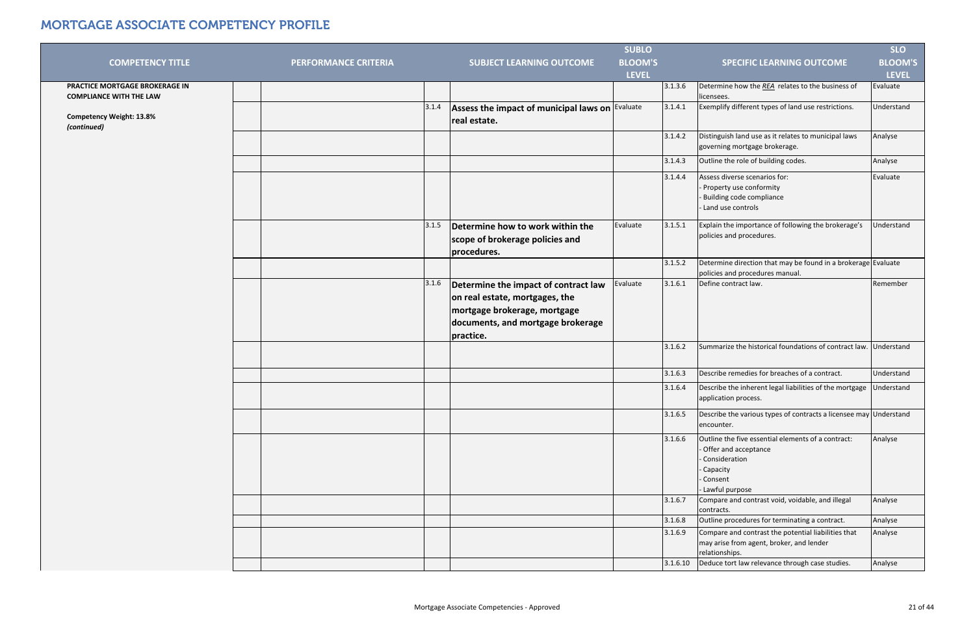|                                                                  |                             |       |                                                                                                                                                          | <b>SUBLO</b>   |          |                                                                                                                                          | <b>SLO</b>     |
|------------------------------------------------------------------|-----------------------------|-------|----------------------------------------------------------------------------------------------------------------------------------------------------------|----------------|----------|------------------------------------------------------------------------------------------------------------------------------------------|----------------|
| <b>COMPETENCY TITLE</b>                                          | <b>PERFORMANCE CRITERIA</b> |       | <b>SUBJECT LEARNING OUTCOME</b>                                                                                                                          | <b>BLOOM'S</b> |          | <b>SPECIFIC LEARNING OUTCOME</b>                                                                                                         | <b>BLOOM'S</b> |
|                                                                  |                             |       |                                                                                                                                                          | <b>LEVEL</b>   |          |                                                                                                                                          | <b>LEVEL</b>   |
| PRACTICE MORTGAGE BROKERAGE IN<br><b>COMPLIANCE WITH THE LAW</b> |                             |       |                                                                                                                                                          |                | 3.1.3.6  | Determine how the REA relates to the business of<br>licensees.                                                                           | Evaluate       |
| <b>Competency Weight: 13.8%</b><br>(continued)                   |                             | 3.1.4 | Assess the impact of municipal laws on Evaluate<br>real estate.                                                                                          |                | 3.1.4.1  | Exemplify different types of land use restrictions.                                                                                      | Understand     |
|                                                                  |                             |       |                                                                                                                                                          |                | 3.1.4.2  | Distinguish land use as it relates to municipal laws<br>governing mortgage brokerage.                                                    | Analyse        |
|                                                                  |                             |       |                                                                                                                                                          |                | 3.1.4.3  | Outline the role of building codes.                                                                                                      | Analyse        |
|                                                                  |                             |       |                                                                                                                                                          |                | 3.1.4.4  | Assess diverse scenarios for:<br>- Property use conformity<br>- Building code compliance<br>Land use controls                            | Evaluate       |
|                                                                  |                             | 3.1.5 | Determine how to work within the<br>scope of brokerage policies and<br>procedures.                                                                       | Evaluate       | 3.1.5.1  | Explain the importance of following the brokerage's<br>policies and procedures.                                                          | Understand     |
|                                                                  |                             |       |                                                                                                                                                          |                | 3.1.5.2  | Determine direction that may be found in a brokerage Evaluate<br>policies and procedures manual.                                         |                |
|                                                                  |                             | 3.1.6 | Determine the impact of contract law<br>on real estate, mortgages, the<br>mortgage brokerage, mortgage<br>documents, and mortgage brokerage<br>practice. | Evaluate       | 3.1.6.1  | Define contract law.                                                                                                                     | Remember       |
|                                                                  |                             |       |                                                                                                                                                          |                | 3.1.6.2  | Summarize the historical foundations of contract law.                                                                                    | Understand     |
|                                                                  |                             |       |                                                                                                                                                          |                | 3.1.6.3  | Describe remedies for breaches of a contract.                                                                                            | Understand     |
|                                                                  |                             |       |                                                                                                                                                          |                | 3.1.6.4  | Describe the inherent legal liabilities of the mortgage<br>application process.                                                          | Understand     |
|                                                                  |                             |       |                                                                                                                                                          |                | 3.1.6.5  | Describe the various types of contracts a licensee may Understand<br>encounter.                                                          |                |
|                                                                  |                             |       |                                                                                                                                                          |                | 3.1.6.6  | Outline the five essential elements of a contract:<br>- Offer and acceptance<br>Consideration<br>Capacity<br>Consent<br>- Lawful purpose | Analyse        |
|                                                                  |                             |       |                                                                                                                                                          |                | 3.1.6.7  | Compare and contrast void, voidable, and illegal<br>contracts.                                                                           | Analyse        |
|                                                                  |                             |       |                                                                                                                                                          |                | 3.1.6.8  | Outline procedures for terminating a contract.                                                                                           | Analyse        |
|                                                                  |                             |       |                                                                                                                                                          |                | 3.1.6.9  | Compare and contrast the potential liabilities that<br>may arise from agent, broker, and lender<br>relationships.                        | Analyse        |
|                                                                  |                             |       |                                                                                                                                                          |                | 3.1.6.10 | Deduce tort law relevance through case studies.                                                                                          | Analyse        |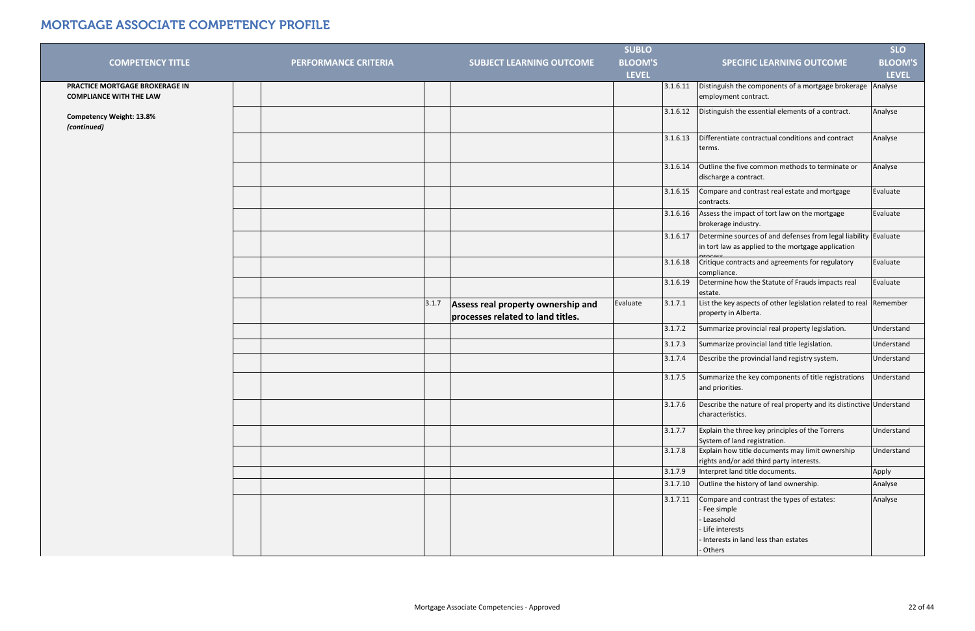|                                                                  |                             |       |                                                                         | <b>SUBLO</b>   |          |                                                                                                                                        | <b>SLO</b>     |
|------------------------------------------------------------------|-----------------------------|-------|-------------------------------------------------------------------------|----------------|----------|----------------------------------------------------------------------------------------------------------------------------------------|----------------|
| <b>COMPETENCY TITLE</b>                                          | <b>PERFORMANCE CRITERIA</b> |       | <b>SUBJECT LEARNING OUTCOME</b>                                         | <b>BLOOM'S</b> |          | <b>SPECIFIC LEARNING OUTCOME</b>                                                                                                       | <b>BLOOM'S</b> |
|                                                                  |                             |       |                                                                         | <b>LEVEL</b>   |          |                                                                                                                                        | <b>LEVEL</b>   |
| PRACTICE MORTGAGE BROKERAGE IN<br><b>COMPLIANCE WITH THE LAW</b> |                             |       |                                                                         |                | 3.1.6.11 | Distinguish the components of a mortgage brokerage Analyse<br>employment contract.                                                     |                |
| <b>Competency Weight: 13.8%</b><br>(continued)                   |                             |       |                                                                         |                | 3.1.6.12 | Distinguish the essential elements of a contract.                                                                                      | Analyse        |
|                                                                  |                             |       |                                                                         |                | 3.1.6.13 | Differentiate contractual conditions and contract<br>terms.                                                                            | Analyse        |
|                                                                  |                             |       |                                                                         |                | 3.1.6.14 | Outline the five common methods to terminate or<br>discharge a contract.                                                               | Analyse        |
|                                                                  |                             |       |                                                                         |                | 3.1.6.15 | Compare and contrast real estate and mortgage<br>contracts.                                                                            | Evaluate       |
|                                                                  |                             |       |                                                                         |                | 3.1.6.16 | Assess the impact of tort law on the mortgage<br>brokerage industry.                                                                   | Evaluate       |
|                                                                  |                             |       |                                                                         |                | 3.1.6.17 | Determine sources of and defenses from legal liability Evaluate<br>in tort law as applied to the mortgage application                  |                |
|                                                                  |                             |       |                                                                         |                | 3.1.6.18 | Critique contracts and agreements for regulatory<br>compliance.                                                                        | Evaluate       |
|                                                                  |                             |       |                                                                         |                | 3.1.6.19 | Determine how the Statute of Frauds impacts real<br>estate.                                                                            | Evaluate       |
|                                                                  |                             | 3.1.7 | Assess real property ownership and<br>processes related to land titles. | Evaluate       | 3.1.7.1  | List the key aspects of other legislation related to real Remember<br>property in Alberta.                                             |                |
|                                                                  |                             |       |                                                                         |                | 3.1.7.2  | Summarize provincial real property legislation.                                                                                        | Understand     |
|                                                                  |                             |       |                                                                         |                | 3.1.7.3  | Summarize provincial land title legislation.                                                                                           | Understand     |
|                                                                  |                             |       |                                                                         |                | 3.1.7.4  | Describe the provincial land registry system.                                                                                          | Understand     |
|                                                                  |                             |       |                                                                         |                | 3.1.7.5  | Summarize the key components of title registrations<br>and priorities.                                                                 | Understand     |
|                                                                  |                             |       |                                                                         |                | 3.1.7.6  | Describe the nature of real property and its distinctive Understand<br>characteristics.                                                |                |
|                                                                  |                             |       |                                                                         |                | 3.1.7.7  | Explain the three key principles of the Torrens<br>System of land registration.                                                        | Understand     |
|                                                                  |                             |       |                                                                         |                | 3.1.7.8  | Explain how title documents may limit ownership<br>rights and/or add third party interests.                                            | Understand     |
|                                                                  |                             |       |                                                                         |                | 3.1.7.9  | Interpret land title documents.                                                                                                        | Apply          |
|                                                                  |                             |       |                                                                         |                | 3.1.7.10 | Outline the history of land ownership.                                                                                                 | Analyse        |
|                                                                  |                             |       |                                                                         |                | 3.1.7.11 | Compare and contrast the types of estates:<br>- Fee simple<br>- Leasehold<br>- Life interests<br>- Interests in land less than estates | Analyse        |
|                                                                  |                             |       |                                                                         |                |          | - Others                                                                                                                               |                |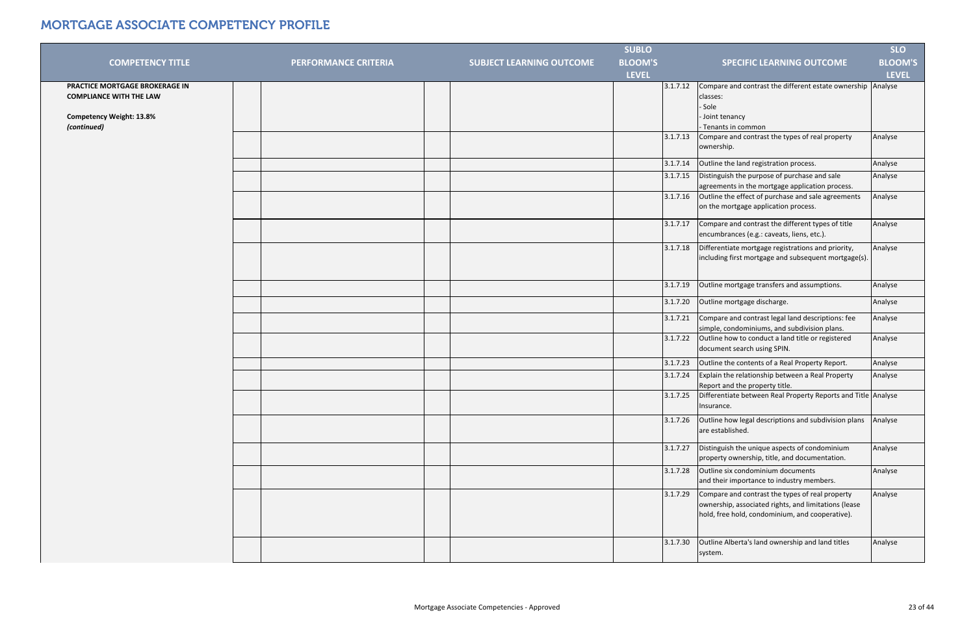|                                                                  |                             |                                 | <b>SUBLO</b>   |                                                                                                                                                                        | <b>SLO</b>     |
|------------------------------------------------------------------|-----------------------------|---------------------------------|----------------|------------------------------------------------------------------------------------------------------------------------------------------------------------------------|----------------|
| <b>COMPETENCY TITLE</b>                                          | <b>PERFORMANCE CRITERIA</b> | <b>SUBJECT LEARNING OUTCOME</b> | <b>BLOOM'S</b> | <b>SPECIFIC LEARNING OUTCOME</b>                                                                                                                                       | <b>BLOOM'S</b> |
|                                                                  |                             |                                 | <b>LEVEL</b>   |                                                                                                                                                                        | <b>LEVEL</b>   |
| PRACTICE MORTGAGE BROKERAGE IN<br><b>COMPLIANCE WITH THE LAW</b> |                             |                                 |                | Compare and contrast the different estate ownership Analyse<br>3.1.7.12<br>classes:<br>- Sole                                                                          |                |
| <b>Competency Weight: 13.8%</b><br>(continued)                   |                             |                                 |                | Joint tenancy<br>- Tenants in common                                                                                                                                   |                |
|                                                                  |                             |                                 |                | 3.1.7.13<br>Compare and contrast the types of real property<br>ownership.                                                                                              | Analyse        |
|                                                                  |                             |                                 |                | Outline the land registration process.<br>3.1.7.14                                                                                                                     | Analyse        |
|                                                                  |                             |                                 |                | Distinguish the purpose of purchase and sale<br>3.1.7.15<br>agreements in the mortgage application process.                                                            | Analyse        |
|                                                                  |                             |                                 |                | Outline the effect of purchase and sale agreements<br>3.1.7.16<br>on the mortgage application process.                                                                 | Analyse        |
|                                                                  |                             |                                 |                | Compare and contrast the different types of title<br>3.1.7.17<br>encumbrances (e.g.: caveats, liens, etc.).                                                            | Analyse        |
|                                                                  |                             |                                 |                | 3.1.7.18<br>Differentiate mortgage registrations and priority,<br>including first mortgage and subsequent mortgage(s).                                                 | Analyse        |
|                                                                  |                             |                                 |                | 3.1.7.19<br>Outline mortgage transfers and assumptions.                                                                                                                | Analyse        |
|                                                                  |                             |                                 |                | 3.1.7.20<br>Outline mortgage discharge.                                                                                                                                | Analyse        |
|                                                                  |                             |                                 |                | 3.1.7.21<br>Compare and contrast legal land descriptions: fee<br>simple, condominiums, and subdivision plans.                                                          | Analyse        |
|                                                                  |                             |                                 |                | 3.1.7.22<br>Outline how to conduct a land title or registered<br>document search using SPIN.                                                                           | Analyse        |
|                                                                  |                             |                                 |                | 3.1.7.23<br>Outline the contents of a Real Property Report.                                                                                                            | Analyse        |
|                                                                  |                             |                                 |                | 3.1.7.24<br>Explain the relationship between a Real Property<br>Report and the property title.                                                                         | Analyse        |
|                                                                  |                             |                                 |                | 3.1.7.25<br>Differentiate between Real Property Reports and Title Analyse<br>Insurance.                                                                                |                |
|                                                                  |                             |                                 |                | Outline how legal descriptions and subdivision plans<br>3.1.7.26<br>are established.                                                                                   | Analyse        |
|                                                                  |                             |                                 |                | Distinguish the unique aspects of condominium<br>3.1.7.27<br>property ownership, title, and documentation.                                                             | Analyse        |
|                                                                  |                             |                                 |                | Outline six condominium documents<br>3.1.7.28<br>and their importance to industry members.                                                                             | Analyse        |
|                                                                  |                             |                                 |                | Compare and contrast the types of real property<br>3.1.7.29<br>ownership, associated rights, and limitations (lease<br>hold, free hold, condominium, and cooperative). | Analyse        |
|                                                                  |                             |                                 |                | Outline Alberta's land ownership and land titles<br>3.1.7.30<br>system.                                                                                                | Analyse        |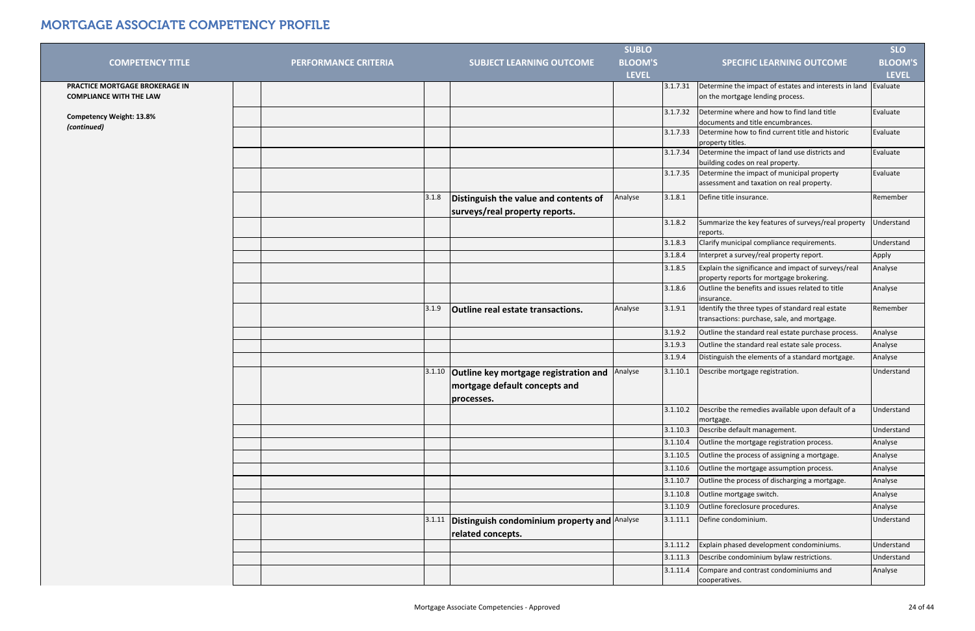|                                 |                             |        |                                                                   | <b>SUBLO</b>   |          |                                                                                                 | <b>SLO</b>        |
|---------------------------------|-----------------------------|--------|-------------------------------------------------------------------|----------------|----------|-------------------------------------------------------------------------------------------------|-------------------|
| <b>COMPETENCY TITLE</b>         | <b>PERFORMANCE CRITERIA</b> |        | <b>SUBJECT LEARNING OUTCOME</b>                                   | <b>BLOOM'S</b> |          | <b>SPECIFIC LEARNING OUTCOME</b>                                                                | <b>BLOOM'S</b>    |
|                                 |                             |        |                                                                   | <b>LEVEL</b>   |          |                                                                                                 | <b>LEVEL</b>      |
| PRACTICE MORTGAGE BROKERAGE IN  |                             |        |                                                                   |                | 3.1.7.31 | Determine the impact of estates and interests in land Evaluate                                  |                   |
| <b>COMPLIANCE WITH THE LAW</b>  |                             |        |                                                                   |                |          | on the mortgage lending process.                                                                |                   |
| <b>Competency Weight: 13.8%</b> |                             |        |                                                                   |                | 3.1.7.32 | Determine where and how to find land title<br>documents and title encumbrances.                 | Evaluate          |
| (continued)                     |                             |        |                                                                   |                | 3.1.7.33 | Determine how to find current title and historic<br>property titles.                            | Evaluate          |
|                                 |                             |        |                                                                   |                | 3.1.7.34 | Determine the impact of land use districts and<br>building codes on real property.              | Evaluate          |
|                                 |                             |        |                                                                   |                | 3.1.7.35 | Determine the impact of municipal property<br>assessment and taxation on real property.         | Evaluate          |
|                                 |                             | 3.1.8  | Distinguish the value and contents of                             | Analyse        | 3.1.8.1  | Define title insurance.                                                                         | Remember          |
|                                 |                             |        | surveys/real property reports.                                    |                |          |                                                                                                 |                   |
|                                 |                             |        |                                                                   |                | 3.1.8.2  | Summarize the key features of surveys/real property<br>reports.                                 | Understand        |
|                                 |                             |        |                                                                   |                | 3.1.8.3  | Clarify municipal compliance requirements.                                                      | Understand        |
|                                 |                             |        |                                                                   |                | 3.1.8.4  | Interpret a survey/real property report.                                                        | Apply             |
|                                 |                             |        |                                                                   |                | 3.1.8.5  | Explain the significance and impact of surveys/real                                             | Analyse           |
|                                 |                             |        |                                                                   |                |          | property reports for mortgage brokering.                                                        |                   |
|                                 |                             |        |                                                                   |                | 3.1.8.6  | Outline the benefits and issues related to title<br>insurance.                                  | Analyse           |
|                                 |                             | 3.1.9  | <b>Outline real estate transactions.</b>                          | Analyse        | 3.1.9.1  | Identify the three types of standard real estate<br>transactions: purchase, sale, and mortgage. | Remember          |
|                                 |                             |        |                                                                   |                | 3.1.9.2  | Outline the standard real estate purchase process.                                              | Analyse           |
|                                 |                             |        |                                                                   |                | 3.1.9.3  | Outline the standard real estate sale process.                                                  | Analyse           |
|                                 |                             |        |                                                                   |                | 3.1.9.4  | Distinguish the elements of a standard mortgage.                                                | Analyse           |
|                                 |                             | 3.1.10 | Outline key mortgage registration and                             | Analyse        | 3.1.10.1 | Describe mortgage registration.                                                                 | <b>Understand</b> |
|                                 |                             |        | mortgage default concepts and                                     |                |          |                                                                                                 |                   |
|                                 |                             |        |                                                                   |                |          |                                                                                                 |                   |
|                                 |                             |        | processes.                                                        |                | 3.1.10.2 | Describe the remedies available upon default of a                                               | <b>Understand</b> |
|                                 |                             |        |                                                                   |                |          | mortgage.                                                                                       |                   |
|                                 |                             |        |                                                                   |                | 3.1.10.3 | Describe default management.                                                                    | Understand        |
|                                 |                             |        |                                                                   |                | 3.1.10.4 | Outline the mortgage registration process.                                                      | Analyse           |
|                                 |                             |        |                                                                   |                | 3.1.10.5 | Outline the process of assigning a mortgage.                                                    | Analyse           |
|                                 |                             |        |                                                                   |                | 3.1.10.6 | Outline the mortgage assumption process.                                                        | Analyse           |
|                                 |                             |        |                                                                   |                | 3.1.10.7 | Outline the process of discharging a mortgage.                                                  | Analyse           |
|                                 |                             |        |                                                                   |                | 3.1.10.8 | Outline mortgage switch.                                                                        | Analyse           |
|                                 |                             |        |                                                                   |                | 3.1.10.9 | Outline foreclosure procedures.                                                                 | Analyse           |
|                                 |                             | 3.1.11 | Distinguish condominium property and Analyse<br>related concepts. |                | 3.1.11.1 | Define condominium.                                                                             | Understand        |
|                                 |                             |        |                                                                   |                | 3.1.11.2 | Explain phased development condominiums.                                                        | <b>Understand</b> |
|                                 |                             |        |                                                                   |                | 3.1.11.3 | Describe condominium bylaw restrictions.                                                        | <b>Understand</b> |
|                                 |                             |        |                                                                   |                | 3.1.11.4 | Compare and contrast condominiums and                                                           | Analyse           |
|                                 |                             |        |                                                                   |                |          | cooperatives.                                                                                   |                   |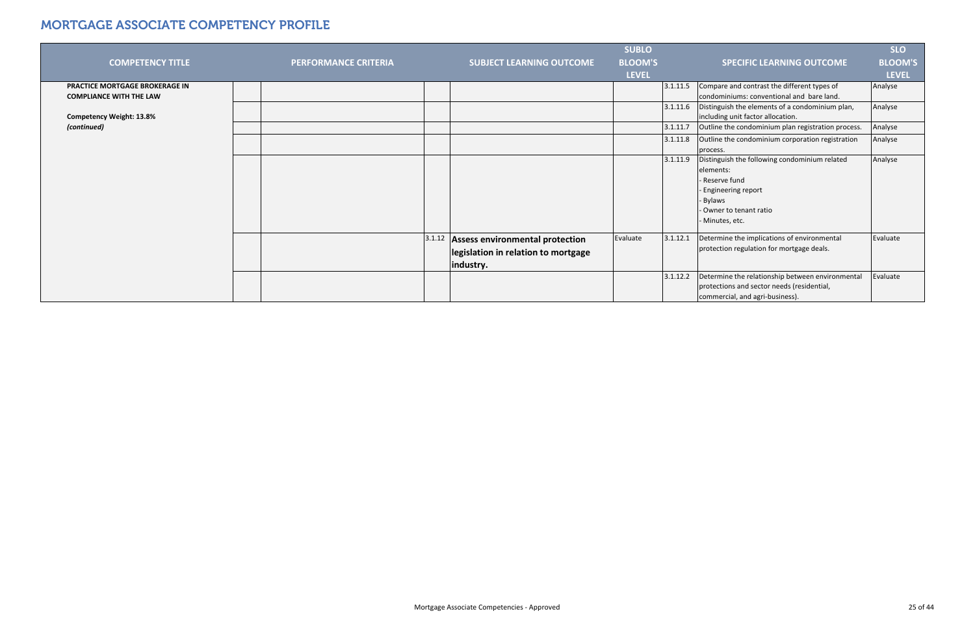|                                                                         |                             |        |                                                                                            | <b>SUBLO</b>   |          |                                                                                                                                                                | <b>SLO</b>     |
|-------------------------------------------------------------------------|-----------------------------|--------|--------------------------------------------------------------------------------------------|----------------|----------|----------------------------------------------------------------------------------------------------------------------------------------------------------------|----------------|
| <b>COMPETENCY TITLE</b>                                                 | <b>PERFORMANCE CRITERIA</b> |        | <b>SUBJECT LEARNING OUTCOME</b>                                                            | <b>BLOOM'S</b> |          | <b>SPECIFIC LEARNING OUTCOME</b>                                                                                                                               | <b>BLOOM'S</b> |
|                                                                         |                             |        |                                                                                            | <b>LEVEL</b>   |          |                                                                                                                                                                | <b>LEVEL</b>   |
| <b>PRACTICE MORTGAGE BROKERAGE IN</b><br><b>COMPLIANCE WITH THE LAW</b> |                             |        |                                                                                            |                | 3.1.11.5 | Compare and contrast the different types of<br>condominiums: conventional and bare land.                                                                       | Analyse        |
| <b>Competency Weight: 13.8%</b>                                         |                             |        |                                                                                            |                | 3.1.11.6 | Distinguish the elements of a condominium plan,<br>including unit factor allocation.                                                                           | Analyse        |
| (continued)                                                             |                             |        |                                                                                            |                | 3.1.11.7 | Outline the condominium plan registration process.                                                                                                             | Analyse        |
|                                                                         |                             |        |                                                                                            |                | 3.1.11.8 | Outline the condominium corporation registration<br>process.                                                                                                   | Analyse        |
|                                                                         |                             |        |                                                                                            |                | 3.1.11.9 | Distinguish the following condominium related<br>elements:<br>- Reserve fund<br>- Engineering report<br>- Bylaws<br>- Owner to tenant ratio<br>- Minutes, etc. | Analyse        |
|                                                                         |                             | 3.1.12 | <b>Assess environmental protection</b><br>legislation in relation to mortgage<br>industry. | Evaluate       | 3.1.12.1 | Determine the implications of environmental<br>protection regulation for mortgage deals.                                                                       | Evaluate       |
|                                                                         |                             |        |                                                                                            |                | 3.1.12.2 | Determine the relationship between environmental<br>protections and sector needs (residential,<br>commercial, and agri-business).                              | Evaluate       |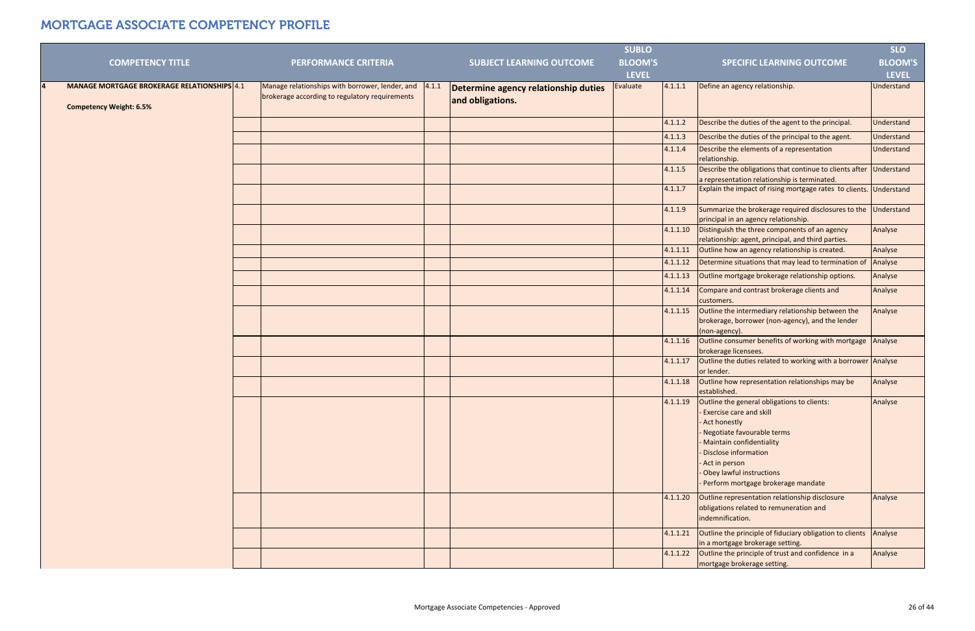|                                                    |                                                 |       |                                      | <b>SUBLO</b>   |          |                                                                                                                                                                                                                                                                                     | <b>SLO</b>     |
|----------------------------------------------------|-------------------------------------------------|-------|--------------------------------------|----------------|----------|-------------------------------------------------------------------------------------------------------------------------------------------------------------------------------------------------------------------------------------------------------------------------------------|----------------|
| <b>COMPETENCY TITLE</b>                            | <b>PERFORMANCE CRITERIA</b>                     |       | <b>SUBJECT LEARNING OUTCOME</b>      | <b>BLOOM'S</b> |          | <b>SPECIFIC LEARNING OUTCOME</b>                                                                                                                                                                                                                                                    | <b>BLOOM'S</b> |
|                                                    |                                                 |       |                                      | <b>LEVEL</b>   |          |                                                                                                                                                                                                                                                                                     | <b>LEVEL</b>   |
| <b>MANAGE MORTGAGE BROKERAGE RELATIONSHIPS</b> 4.1 | Manage relationships with borrower, lender, and | 4.1.1 | Determine agency relationship duties | Evaluate       | 4.1.1.1  | Define an agency relationship.                                                                                                                                                                                                                                                      | Understand     |
| <b>Competency Weight: 6.5%</b>                     | brokerage according to regulatory requirements  |       | and obligations.                     |                |          |                                                                                                                                                                                                                                                                                     |                |
|                                                    |                                                 |       |                                      |                | 4.1.1.2  | Describe the duties of the agent to the principal.                                                                                                                                                                                                                                  | Understand     |
|                                                    |                                                 |       |                                      |                | 4.1.1.3  | Describe the duties of the principal to the agent.                                                                                                                                                                                                                                  | Understand     |
|                                                    |                                                 |       |                                      |                | 4.1.1.4  | Describe the elements of a representation<br>relationship.                                                                                                                                                                                                                          | Understand     |
|                                                    |                                                 |       |                                      |                | 4.1.1.5  | Describe the obligations that continue to clients after<br>a representation relationship is terminated.                                                                                                                                                                             | Understand     |
|                                                    |                                                 |       |                                      |                | 4.1.1.7  | Explain the impact of rising mortgage rates to clients. Understand                                                                                                                                                                                                                  |                |
|                                                    |                                                 |       |                                      |                | 4.1.1.9  | Summarize the brokerage required disclosures to the<br>principal in an agency relationship.                                                                                                                                                                                         | Understand     |
|                                                    |                                                 |       |                                      |                | 4.1.1.10 | Distinguish the three components of an agency<br>relationship: agent, principal, and third parties.                                                                                                                                                                                 | Analyse        |
|                                                    |                                                 |       |                                      |                | 4.1.1.11 | Outline how an agency relationship is created.                                                                                                                                                                                                                                      | Analyse        |
|                                                    |                                                 |       |                                      |                | 4.1.1.12 | Determine situations that may lead to termination of                                                                                                                                                                                                                                | Analyse        |
|                                                    |                                                 |       |                                      |                | 4.1.1.13 | Outline mortgage brokerage relationship options.                                                                                                                                                                                                                                    | Analyse        |
|                                                    |                                                 |       |                                      |                | 4.1.1.14 | Compare and contrast brokerage clients and<br>customers.                                                                                                                                                                                                                            | Analyse        |
|                                                    |                                                 |       |                                      |                | 4.1.1.15 | Outline the intermediary relationship between the<br>brokerage, borrower (non-agency), and the lender<br>(non-agency).                                                                                                                                                              | Analyse        |
|                                                    |                                                 |       |                                      |                | 4.1.1.16 | Outline consumer benefits of working with mortgage<br>brokerage licensees.                                                                                                                                                                                                          | Analyse        |
|                                                    |                                                 |       |                                      |                | 4.1.1.17 | Outline the duties related to working with a borrower Analyse<br>or lender.                                                                                                                                                                                                         |                |
|                                                    |                                                 |       |                                      |                | 4.1.1.18 | Outline how representation relationships may be<br>established.                                                                                                                                                                                                                     | Analyse        |
|                                                    |                                                 |       |                                      |                |          | 4.1.1.19 Outline the general obligations to clients:<br><b>Exercise care and skill</b><br>Act honestly<br>Negotiate favourable terms<br>- Maintain confidentiality<br>Disclose information<br>- Act in person<br>- Obey lawful instructions<br>- Perform mortgage brokerage mandate | Analyse        |
|                                                    |                                                 |       |                                      |                | 4.1.1.20 | Outline representation relationship disclosure<br>obligations related to remuneration and<br>indemnification.                                                                                                                                                                       | Analyse        |
|                                                    |                                                 |       |                                      |                | 4.1.1.21 | Outline the principle of fiduciary obligation to clients Analyse<br>in a mortgage brokerage setting.                                                                                                                                                                                |                |
|                                                    |                                                 |       |                                      |                | 4.1.1.22 | Outline the principle of trust and confidence in a<br>mortgage brokerage setting.                                                                                                                                                                                                   | Analyse        |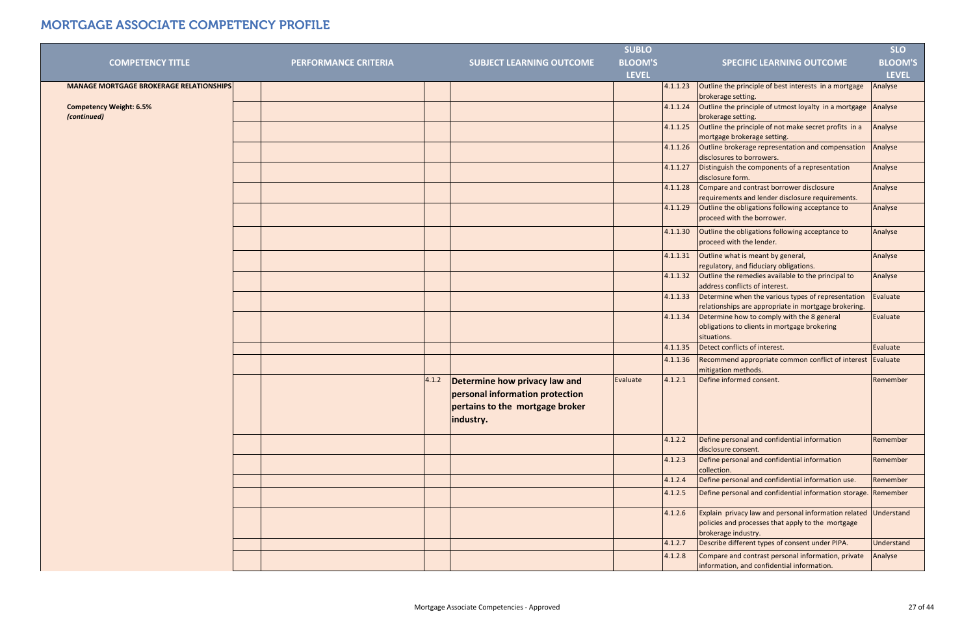|                                                |                             |       |                                 | <b>SUBLO</b>   |          |                                                             | <b>SLO</b>     |
|------------------------------------------------|-----------------------------|-------|---------------------------------|----------------|----------|-------------------------------------------------------------|----------------|
| <b>COMPETENCY TITLE</b>                        | <b>PERFORMANCE CRITERIA</b> |       | <b>SUBJECT LEARNING OUTCOME</b> | <b>BLOOM'S</b> |          | <b>SPECIFIC LEARNING OUTCOME</b>                            | <b>BLOOM'S</b> |
|                                                |                             |       |                                 | <b>LEVEL</b>   |          |                                                             | <b>LEVEL</b>   |
| <b>MANAGE MORTGAGE BROKERAGE RELATIONSHIPS</b> |                             |       |                                 |                | 4.1.1.23 | Outline the principle of best interests in a mortgage       | Analyse        |
|                                                |                             |       |                                 |                |          | brokerage setting.                                          |                |
| <b>Competency Weight: 6.5%</b>                 |                             |       |                                 |                | 4.1.1.24 | Outline the principle of utmost loyalty in a mortgage       | Analyse        |
| (continued)                                    |                             |       |                                 |                |          | brokerage setting.                                          |                |
|                                                |                             |       |                                 |                | 4.1.1.25 | Outline the principle of not make secret profits in a       | Analyse        |
|                                                |                             |       |                                 |                |          | mortgage brokerage setting.                                 |                |
|                                                |                             |       |                                 |                | 4.1.1.26 | Outline brokerage representation and compensation           | Analyse        |
|                                                |                             |       |                                 |                |          | disclosures to borrowers.                                   |                |
|                                                |                             |       |                                 |                | 4.1.1.27 | Distinguish the components of a representation              | Analyse        |
|                                                |                             |       |                                 |                |          | disclosure form.                                            |                |
|                                                |                             |       |                                 |                | 4.1.1.28 | Compare and contrast borrower disclosure                    | Analyse        |
|                                                |                             |       |                                 |                |          | requirements and lender disclosure requirements.            |                |
|                                                |                             |       |                                 |                | 4.1.1.29 | Outline the obligations following acceptance to             | Analyse        |
|                                                |                             |       |                                 |                |          | proceed with the borrower.                                  |                |
|                                                |                             |       |                                 |                | 4.1.1.30 | Outline the obligations following acceptance to             | Analyse        |
|                                                |                             |       |                                 |                |          | proceed with the lender.                                    |                |
|                                                |                             |       |                                 |                | 4.1.1.31 | Outline what is meant by general,                           | Analyse        |
|                                                |                             |       |                                 |                |          | regulatory, and fiduciary obligations.                      |                |
|                                                |                             |       |                                 |                | 4.1.1.32 | Outline the remedies available to the principal to          | Analyse        |
|                                                |                             |       |                                 |                |          | address conflicts of interest.                              |                |
|                                                |                             |       |                                 |                | 4.1.1.33 | Determine when the various types of representation          | Evaluate       |
|                                                |                             |       |                                 |                |          | relationships are appropriate in mortgage brokering.        |                |
|                                                |                             |       |                                 |                | 4.1.1.34 | Determine how to comply with the 8 general                  | Evaluate       |
|                                                |                             |       |                                 |                |          | obligations to clients in mortgage brokering<br>situations. |                |
|                                                |                             |       |                                 |                | 4.1.1.35 | Detect conflicts of interest.                               | Evaluate       |
|                                                |                             |       |                                 |                | 4.1.1.36 | Recommend appropriate common conflict of interest Evaluate  |                |
|                                                |                             |       |                                 |                |          | mitigation methods.                                         |                |
|                                                |                             | 4.1.2 | Determine how privacy law and   | Evaluate       | 4.1.2.1  | Define informed consent.                                    | Remember       |
|                                                |                             |       | personal information protection |                |          |                                                             |                |
|                                                |                             |       |                                 |                |          |                                                             |                |
|                                                |                             |       | pertains to the mortgage broker |                |          |                                                             |                |
|                                                |                             |       | industry.                       |                |          |                                                             |                |
|                                                |                             |       |                                 |                | 4.1.2.2  | Define personal and confidential information                | Remember       |
|                                                |                             |       |                                 |                |          | disclosure consent.                                         |                |
|                                                |                             |       |                                 |                | 4.1.2.3  | Define personal and confidential information                | Remember       |
|                                                |                             |       |                                 |                |          | collection.                                                 |                |
|                                                |                             |       |                                 |                | 4.1.2.4  | Define personal and confidential information use.           | Remember       |
|                                                |                             |       |                                 |                | 4.1.2.5  | Define personal and confidential information storage.       | Remember       |
|                                                |                             |       |                                 |                |          |                                                             |                |
|                                                |                             |       |                                 |                | 4.1.2.6  | Explain privacy law and personal information related        | Understand     |
|                                                |                             |       |                                 |                |          | policies and processes that apply to the mortgage           |                |
|                                                |                             |       |                                 |                |          | brokerage industry.                                         |                |
|                                                |                             |       |                                 |                | 4.1.2.7  | Describe different types of consent under PIPA.             | Understand     |
|                                                |                             |       |                                 |                | 4.1.2.8  | Compare and contrast personal information, private          | Analyse        |
|                                                |                             |       |                                 |                |          | information, and confidential information.                  |                |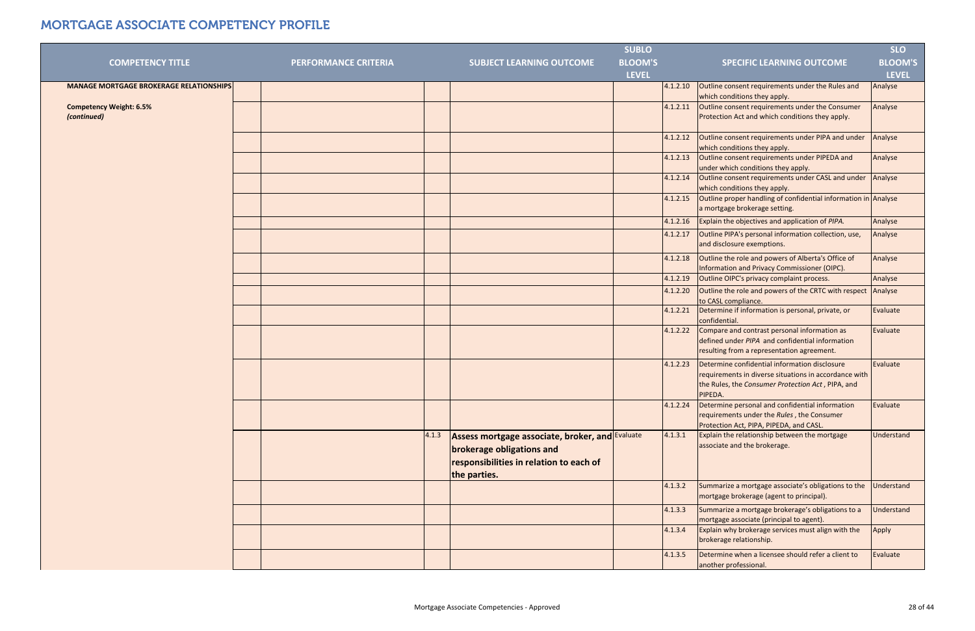|                                                |                             |       |                                                 | <b>SUBLO</b>   |          |                                                                                       | <b>SLO</b>     |
|------------------------------------------------|-----------------------------|-------|-------------------------------------------------|----------------|----------|---------------------------------------------------------------------------------------|----------------|
| <b>COMPETENCY TITLE</b>                        | <b>PERFORMANCE CRITERIA</b> |       | <b>SUBJECT LEARNING OUTCOME</b>                 | <b>BLOOM'S</b> |          | <b>SPECIFIC LEARNING OUTCOME</b>                                                      | <b>BLOOM'S</b> |
|                                                |                             |       |                                                 | <b>LEVEL</b>   |          |                                                                                       | <b>LEVEL</b>   |
| <b>MANAGE MORTGAGE BROKERAGE RELATIONSHIPS</b> |                             |       |                                                 |                | 4.1.2.10 | Outline consent requirements under the Rules and                                      | Analyse        |
|                                                |                             |       |                                                 |                |          | which conditions they apply.                                                          |                |
| <b>Competency Weight: 6.5%</b>                 |                             |       |                                                 |                | 4.1.2.11 | Outline consent requirements under the Consumer                                       | Analyse        |
| (continued)                                    |                             |       |                                                 |                |          | Protection Act and which conditions they apply.                                       |                |
|                                                |                             |       |                                                 |                |          |                                                                                       |                |
|                                                |                             |       |                                                 |                | 4.1.2.12 | Outline consent requirements under PIPA and under                                     | Analyse        |
|                                                |                             |       |                                                 |                |          | which conditions they apply.                                                          |                |
|                                                |                             |       |                                                 |                | 4.1.2.13 | Outline consent requirements under PIPEDA and                                         | Analyse        |
|                                                |                             |       |                                                 |                |          | under which conditions they apply.                                                    |                |
|                                                |                             |       |                                                 |                | 4.1.2.14 | Outline consent requirements under CASL and under                                     | Analyse        |
|                                                |                             |       |                                                 |                |          | which conditions they apply.                                                          |                |
|                                                |                             |       |                                                 |                | 4.1.2.15 | Outline proper handling of confidential information in Analyse                        |                |
|                                                |                             |       |                                                 |                |          | a mortgage brokerage setting.                                                         |                |
|                                                |                             |       |                                                 |                | 4.1.2.16 | Explain the objectives and application of PIPA.                                       | Analyse        |
|                                                |                             |       |                                                 |                | 4.1.2.17 | Outline PIPA's personal information collection, use,                                  | Analyse        |
|                                                |                             |       |                                                 |                |          | and disclosure exemptions.                                                            |                |
|                                                |                             |       |                                                 |                | 4.1.2.18 | Outline the role and powers of Alberta's Office of                                    | Analyse        |
|                                                |                             |       |                                                 |                |          | Information and Privacy Commissioner (OIPC).                                          |                |
|                                                |                             |       |                                                 |                | 4.1.2.19 | Outline OIPC's privacy complaint process.                                             | Analyse        |
|                                                |                             |       |                                                 |                | 4.1.2.20 | Outline the role and powers of the CRTC with respect Analyse                          |                |
|                                                |                             |       |                                                 |                |          | to CASL compliance.                                                                   |                |
|                                                |                             |       |                                                 |                | 4.1.2.21 | Determine if information is personal, private, or                                     | Evaluate       |
|                                                |                             |       |                                                 |                |          | confidential.                                                                         |                |
|                                                |                             |       |                                                 |                | 4.1.2.22 | Compare and contrast personal information as                                          | Evaluate       |
|                                                |                             |       |                                                 |                |          | defined under PIPA and confidential information                                       |                |
|                                                |                             |       |                                                 |                |          | resulting from a representation agreement.                                            |                |
|                                                |                             |       |                                                 |                | 4.1.2.23 | Determine confidential information disclosure                                         | Evaluate       |
|                                                |                             |       |                                                 |                |          | requirements in diverse situations in accordance with                                 |                |
|                                                |                             |       |                                                 |                |          | the Rules, the Consumer Protection Act, PIPA, and                                     |                |
|                                                |                             |       |                                                 |                |          | PIPEDA.                                                                               |                |
|                                                |                             |       |                                                 |                | 4.1.2.24 | Determine personal and confidential information                                       | Evaluate       |
|                                                |                             |       |                                                 |                |          | requirements under the Rules, the Consumer<br>Protection Act, PIPA, PIPEDA, and CASL. |                |
|                                                |                             | 4.1.3 | Assess mortgage associate, broker, and Evaluate |                | 4.1.3.1  | Explain the relationship between the mortgage                                         | Understand     |
|                                                |                             |       |                                                 |                |          | associate and the brokerage.                                                          |                |
|                                                |                             |       | brokerage obligations and                       |                |          |                                                                                       |                |
|                                                |                             |       | responsibilities in relation to each of         |                |          |                                                                                       |                |
|                                                |                             |       | the parties.                                    |                |          |                                                                                       |                |
|                                                |                             |       |                                                 |                | 4.1.3.2  | Summarize a mortgage associate's obligations to the                                   | Understand     |
|                                                |                             |       |                                                 |                |          | mortgage brokerage (agent to principal).                                              |                |
|                                                |                             |       |                                                 |                | 4.1.3.3  | Summarize a mortgage brokerage's obligations to a                                     | Understand     |
|                                                |                             |       |                                                 |                |          | mortgage associate (principal to agent).                                              |                |
|                                                |                             |       |                                                 |                | 4.1.3.4  | Explain why brokerage services must align with the                                    | Apply          |
|                                                |                             |       |                                                 |                |          | brokerage relationship.                                                               |                |
|                                                |                             |       |                                                 |                | 4.1.3.5  | Determine when a licensee should refer a client to                                    | Evaluate       |
|                                                |                             |       |                                                 |                |          | another professional.                                                                 |                |
|                                                |                             |       |                                                 |                |          |                                                                                       |                |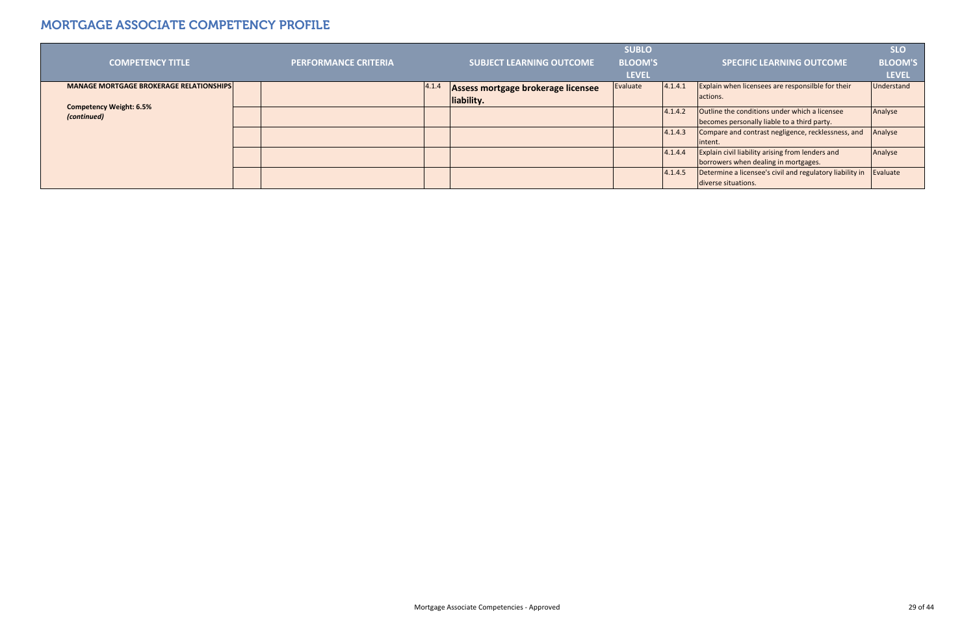|                                                |                             |       |                                    | <b>SUBLO</b>   |         |                                                          | <b>SLO</b>   |
|------------------------------------------------|-----------------------------|-------|------------------------------------|----------------|---------|----------------------------------------------------------|--------------|
| <b>COMPETENCY TITLE</b>                        | <b>PERFORMANCE CRITERIA</b> |       | <b>SUBJECT LEARNING OUTCOME</b>    | <b>BLOOM'S</b> |         | <b>SPECIFIC LEARNING OUTCOME</b>                         | BLOOM'S      |
|                                                |                             |       |                                    | <b>LEVEL</b>   |         |                                                          | <b>LEVEL</b> |
| <b>MANAGE MORTGAGE BROKERAGE RELATIONSHIPS</b> |                             | 4.1.4 | Assess mortgage brokerage licensee | Evaluate       | 4.1.4.1 | Explain when licensees are responsilble for their        | Understand   |
|                                                |                             |       | liability.                         |                |         | actions.                                                 |              |
| <b>Competency Weight: 6.5%</b><br>(continued)  |                             |       |                                    |                | 4.1.4.2 | Outline the conditions under which a licensee            | Analyse      |
|                                                |                             |       |                                    |                |         | becomes personally liable to a third party.              |              |
|                                                |                             |       |                                    |                | 4.1.4.3 | Compare and contrast negligence, recklessness, and       | Analyse      |
|                                                |                             |       |                                    |                |         | intent.                                                  |              |
|                                                |                             |       |                                    |                | 4.1.4.4 | <b>Explain civil liability arising from lenders and</b>  | Analyse      |
|                                                |                             |       |                                    |                |         | borrowers when dealing in mortgages.                     |              |
|                                                |                             |       |                                    |                | 4.1.4.5 | Determine a licensee's civil and regulatory liability in | Evaluate     |
|                                                |                             |       |                                    |                |         | diverse situations.                                      |              |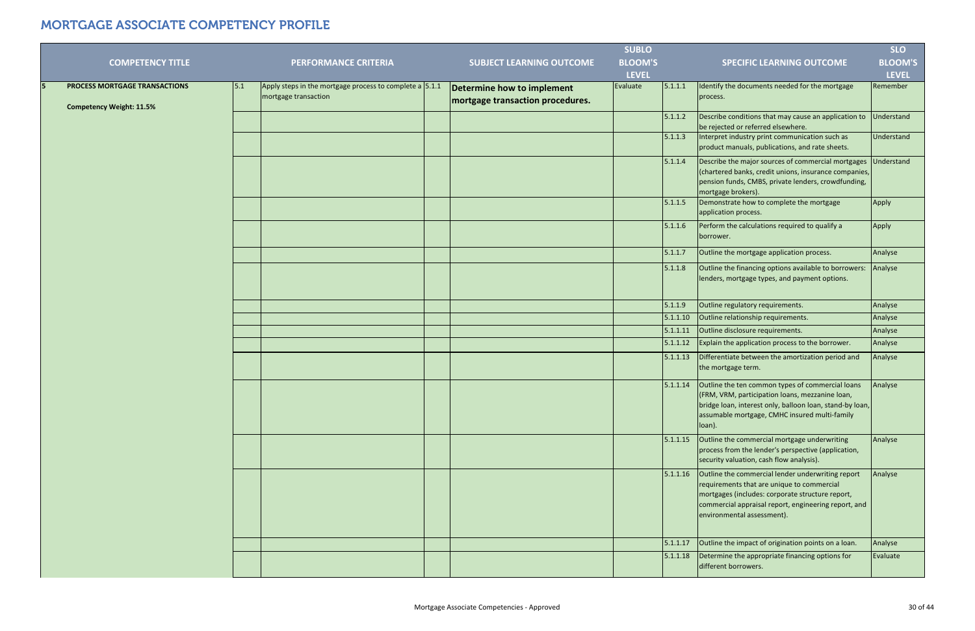|                                                                  |     |                                                                                 |                                                                | <b>SUBLO</b>   |          |                                                                                                                                                                                                                                           | <b>SLO</b>     |
|------------------------------------------------------------------|-----|---------------------------------------------------------------------------------|----------------------------------------------------------------|----------------|----------|-------------------------------------------------------------------------------------------------------------------------------------------------------------------------------------------------------------------------------------------|----------------|
| <b>COMPETENCY TITLE</b>                                          |     | <b>PERFORMANCE CRITERIA</b>                                                     | <b>SUBJECT LEARNING OUTCOME</b>                                | <b>BLOOM'S</b> |          | <b>SPECIFIC LEARNING OUTCOME</b>                                                                                                                                                                                                          | <b>BLOOM'S</b> |
|                                                                  |     |                                                                                 |                                                                | <b>LEVEL</b>   |          |                                                                                                                                                                                                                                           | <b>LEVEL</b>   |
| PROCESS MORTGAGE TRANSACTIONS<br><b>Competency Weight: 11.5%</b> | 5.1 | Apply steps in the mortgage process to complete a 5.1.1<br>mortgage transaction | Determine how to implement<br>mortgage transaction procedures. | Evaluate       | 5.1.1.1  | Identify the documents needed for the mortgage<br>process.                                                                                                                                                                                | Remember       |
|                                                                  |     |                                                                                 |                                                                |                | 5.1.1.2  | Describe conditions that may cause an application to<br>be rejected or referred elsewhere.                                                                                                                                                | Understand     |
|                                                                  |     |                                                                                 |                                                                |                | 5.1.1.3  | Interpret industry print communication such as<br>product manuals, publications, and rate sheets.                                                                                                                                         | Understand     |
|                                                                  |     |                                                                                 |                                                                |                | 5.1.1.4  | Describe the major sources of commercial mortgages<br>(chartered banks, credit unions, insurance companies,<br>pension funds, CMBS, private lenders, crowdfunding,<br>mortgage brokers).                                                  | Understand     |
|                                                                  |     |                                                                                 |                                                                |                | 5.1.1.5  | Demonstrate how to complete the mortgage<br>application process.                                                                                                                                                                          | Apply          |
|                                                                  |     |                                                                                 |                                                                |                | 5.1.1.6  | Perform the calculations required to qualify a<br>borrower.                                                                                                                                                                               | Apply          |
|                                                                  |     |                                                                                 |                                                                |                | 5.1.1.7  | Outline the mortgage application process.                                                                                                                                                                                                 | Analyse        |
|                                                                  |     |                                                                                 |                                                                |                | 5.1.1.8  | Outline the financing options available to borrowers:<br>lenders, mortgage types, and payment options.                                                                                                                                    | Analyse        |
|                                                                  |     |                                                                                 |                                                                |                | 5.1.1.9  | Outline regulatory requirements.                                                                                                                                                                                                          | Analyse        |
|                                                                  |     |                                                                                 |                                                                |                | 5.1.1.10 | Outline relationship requirements.                                                                                                                                                                                                        | Analyse        |
|                                                                  |     |                                                                                 |                                                                |                | 5.1.1.11 | Outline disclosure requirements.                                                                                                                                                                                                          | Analyse        |
|                                                                  |     |                                                                                 |                                                                |                | 5.1.1.12 | Explain the application process to the borrower.                                                                                                                                                                                          | Analyse        |
|                                                                  |     |                                                                                 |                                                                |                | 5.1.1.13 | Differentiate between the amortization period and<br>the mortgage term.                                                                                                                                                                   | Analyse        |
|                                                                  |     |                                                                                 |                                                                |                | 5.1.1.14 | Outline the ten common types of commercial loans<br>(FRM, VRM, participation loans, mezzanine loan,<br>bridge loan, interest only, balloon loan, stand-by loan,<br>assumable mortgage, CMHC insured multi-family<br>loan).                | Analyse        |
|                                                                  |     |                                                                                 |                                                                |                | 5.1.1.15 | Outline the commercial mortgage underwriting<br>process from the lender's perspective (application,<br>security valuation, cash flow analysis).                                                                                           | Analyse        |
|                                                                  |     |                                                                                 |                                                                |                | 5.1.1.16 | Outline the commercial lender underwriting report<br>requirements that are unique to commercial<br>mortgages (includes: corporate structure report,<br>commercial appraisal report, engineering report, and<br>environmental assessment). | Analyse        |
|                                                                  |     |                                                                                 |                                                                |                | 5.1.1.17 | Outline the impact of origination points on a loan.                                                                                                                                                                                       | Analyse        |
|                                                                  |     |                                                                                 |                                                                |                | 5.1.1.18 | Determine the appropriate financing options for<br>different borrowers.                                                                                                                                                                   | Evaluate       |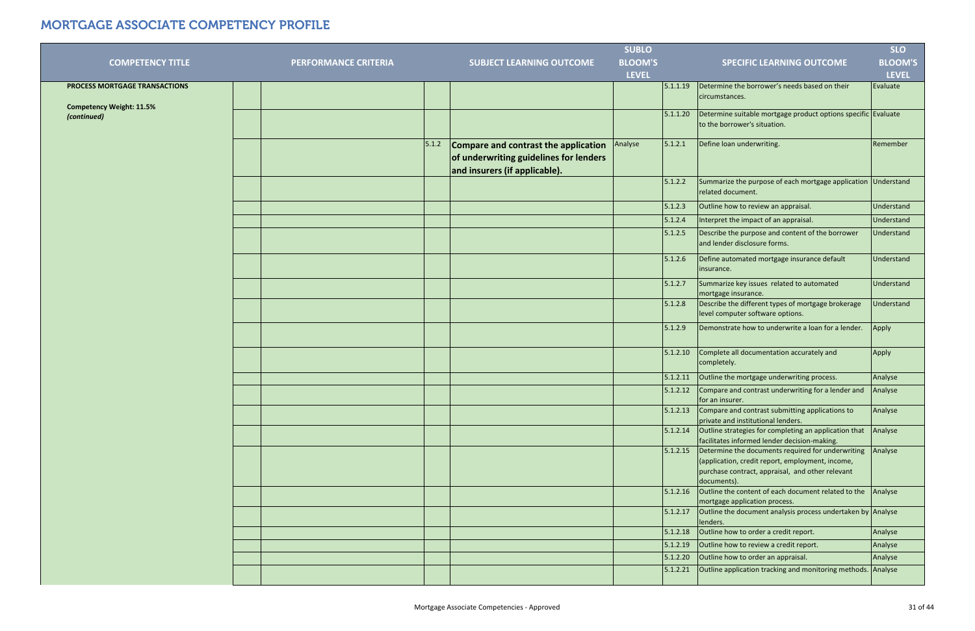|                                                |                      |       |                                                                                                                 | <b>SUBLO</b>   |          |                                                                                                                                                                          | <b>SLO</b>     |
|------------------------------------------------|----------------------|-------|-----------------------------------------------------------------------------------------------------------------|----------------|----------|--------------------------------------------------------------------------------------------------------------------------------------------------------------------------|----------------|
| <b>COMPETENCY TITLE</b>                        | PERFORMANCE CRITERIA |       | <b>SUBJECT LEARNING OUTCOME</b>                                                                                 | <b>BLOOM'S</b> |          | <b>SPECIFIC LEARNING OUTCOME</b>                                                                                                                                         | <b>BLOOM'S</b> |
|                                                |                      |       |                                                                                                                 | <b>LEVEL</b>   |          |                                                                                                                                                                          | <b>LEVEL</b>   |
| PROCESS MORTGAGE TRANSACTIONS                  |                      |       |                                                                                                                 |                | 5.1.1.19 | Determine the borrower's needs based on their<br>circumstances.                                                                                                          | Evaluate       |
| <b>Competency Weight: 11.5%</b><br>(continued) |                      |       |                                                                                                                 |                | 5.1.1.20 | Determine suitable mortgage product options specific Evaluate<br>to the borrower's situation.                                                                            |                |
|                                                |                      | 5.1.2 | Compare and contrast the application<br>of underwriting guidelines for lenders<br>and insurers (if applicable). | Analyse        | 5.1.2.1  | Define loan underwriting.                                                                                                                                                | Remember       |
|                                                |                      |       |                                                                                                                 |                | 5.1.2.2  | Summarize the purpose of each mortgage application<br>related document.                                                                                                  | Understand     |
|                                                |                      |       |                                                                                                                 |                | 5.1.2.3  | Outline how to review an appraisal.                                                                                                                                      | Understand     |
|                                                |                      |       |                                                                                                                 |                | 5.1.2.4  | Interpret the impact of an appraisal.                                                                                                                                    | Understand     |
|                                                |                      |       |                                                                                                                 |                | 5.1.2.5  | Describe the purpose and content of the borrower<br>and lender disclosure forms.                                                                                         | Understand     |
|                                                |                      |       |                                                                                                                 |                | 5.1.2.6  | Define automated mortgage insurance default<br>insurance.                                                                                                                | Understand     |
|                                                |                      |       |                                                                                                                 |                | 5.1.2.7  | Summarize key issues related to automated<br>mortgage insurance.                                                                                                         | Understand     |
|                                                |                      |       |                                                                                                                 |                | 5.1.2.8  | Describe the different types of mortgage brokerage<br>level computer software options.                                                                                   | Understand     |
|                                                |                      |       |                                                                                                                 |                | 5.1.2.9  | Demonstrate how to underwrite a loan for a lender.                                                                                                                       | Apply          |
|                                                |                      |       |                                                                                                                 |                | 5.1.2.10 | Complete all documentation accurately and<br>completely.                                                                                                                 | Apply          |
|                                                |                      |       |                                                                                                                 |                | 5.1.2.11 | Outline the mortgage underwriting process.                                                                                                                               | Analyse        |
|                                                |                      |       |                                                                                                                 |                | 5.1.2.12 | Compare and contrast underwriting for a lender and<br>for an insurer.                                                                                                    | Analyse        |
|                                                |                      |       |                                                                                                                 |                | 5.1.2.13 | Compare and contrast submitting applications to<br>private and institutional lenders.                                                                                    | Analyse        |
|                                                |                      |       |                                                                                                                 |                | 5.1.2.14 | Outline strategies for completing an application that<br>facilitates informed lender decision-making.                                                                    | Analyse        |
|                                                |                      |       |                                                                                                                 |                | 5.1.2.15 | Determine the documents required for underwriting<br>(application, credit report, employment, income,<br>purchase contract, appraisal, and other relevant<br>documents). | Analyse        |
|                                                |                      |       |                                                                                                                 |                | 5.1.2.16 | Outline the content of each document related to the Analyse<br>mortgage application process.                                                                             |                |
|                                                |                      |       |                                                                                                                 |                | 5.1.2.17 | Outline the document analysis process undertaken by Analyse<br>lenders.                                                                                                  |                |
|                                                |                      |       |                                                                                                                 |                | 5.1.2.18 | Outline how to order a credit report.                                                                                                                                    | Analyse        |
|                                                |                      |       |                                                                                                                 |                | 5.1.2.19 | Outline how to review a credit report.                                                                                                                                   | Analyse        |
|                                                |                      |       |                                                                                                                 |                | 5.1.2.20 | Outline how to order an appraisal.                                                                                                                                       | Analyse        |
|                                                |                      |       |                                                                                                                 |                | 5.1.2.21 | Outline application tracking and monitoring methods.                                                                                                                     | Analyse        |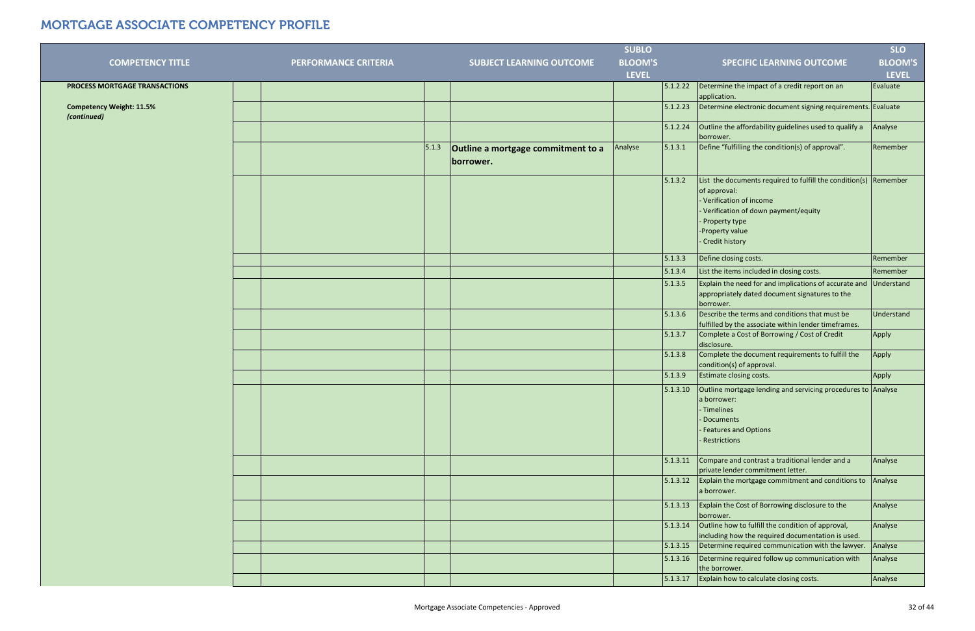|                                                |                      |       |                                                 | <b>SUBLO</b>   |          |                                                                                                                                                                                                                                    | <b>SLO</b>     |
|------------------------------------------------|----------------------|-------|-------------------------------------------------|----------------|----------|------------------------------------------------------------------------------------------------------------------------------------------------------------------------------------------------------------------------------------|----------------|
| <b>COMPETENCY TITLE</b>                        | PERFORMANCE CRITERIA |       | <b>SUBJECT LEARNING OUTCOME</b>                 | <b>BLOOM'S</b> |          | <b>SPECIFIC LEARNING OUTCOME</b>                                                                                                                                                                                                   | <b>BLOOM'S</b> |
|                                                |                      |       |                                                 | <b>LEVEL</b>   |          |                                                                                                                                                                                                                                    | <b>LEVEL</b>   |
| PROCESS MORTGAGE TRANSACTIONS                  |                      |       |                                                 |                | 5.1.2.22 | Determine the impact of a credit report on an<br>application.                                                                                                                                                                      | Evaluate       |
| <b>Competency Weight: 11.5%</b><br>(continued) |                      |       |                                                 |                | 5.1.2.23 | Determine electronic document signing requirements. Evaluate                                                                                                                                                                       |                |
|                                                |                      |       |                                                 |                | 5.1.2.24 | Outline the affordability guidelines used to qualify a<br>borrower.                                                                                                                                                                | Analyse        |
|                                                |                      | 5.1.3 | Outline a mortgage commitment to a<br>borrower. | Analyse        | 5.1.3.1  | Define "fulfilling the condition(s) of approval".                                                                                                                                                                                  | Remember       |
|                                                |                      |       |                                                 |                | 5.1.3.2  | List the documents required to fulfill the condition(s) $\sqrt{\frac{1}{1}}$ Remember<br>of approval:<br>- Verification of income<br>Verification of down payment/equity<br>- Property type<br>-Property value<br>- Credit history |                |
|                                                |                      |       |                                                 |                | 5.1.3.3  | Define closing costs.                                                                                                                                                                                                              | Remember       |
|                                                |                      |       |                                                 |                | 5.1.3.4  | List the items included in closing costs.                                                                                                                                                                                          | Remember       |
|                                                |                      |       |                                                 |                | 5.1.3.5  | Explain the need for and implications of accurate and Understand<br>appropriately dated document signatures to the<br>borrower.                                                                                                    |                |
|                                                |                      |       |                                                 |                | 5.1.3.6  | Describe the terms and conditions that must be<br>fulfilled by the associate within lender timeframes.                                                                                                                             | Understand     |
|                                                |                      |       |                                                 |                | 5.1.3.7  | Complete a Cost of Borrowing / Cost of Credit<br>disclosure.                                                                                                                                                                       | Apply          |
|                                                |                      |       |                                                 |                | 5.1.3.8  | Complete the document requirements to fulfill the<br>condition(s) of approval.                                                                                                                                                     | Apply          |
|                                                |                      |       |                                                 |                | 5.1.3.9  | Estimate closing costs.                                                                                                                                                                                                            | Apply          |
|                                                |                      |       |                                                 |                | 5.1.3.10 | Outline mortgage lending and servicing procedures to Analyse<br>a borrower:<br>- Timelines<br>- Documents<br>- Features and Options<br>- Restrictions                                                                              |                |
|                                                |                      |       |                                                 |                | 5.1.3.11 | Compare and contrast a traditional lender and a<br>private lender commitment letter.                                                                                                                                               | Analyse        |
|                                                |                      |       |                                                 |                | 5.1.3.12 | Explain the mortgage commitment and conditions to $\vert$ Analyse<br>a borrower.                                                                                                                                                   |                |
|                                                |                      |       |                                                 |                | 5.1.3.13 | Explain the Cost of Borrowing disclosure to the<br>borrower.                                                                                                                                                                       | Analyse        |
|                                                |                      |       |                                                 |                | 5.1.3.14 | Outline how to fulfill the condition of approval,<br>including how the required documentation is used.                                                                                                                             | Analyse        |
|                                                |                      |       |                                                 |                | 5.1.3.15 | Determine required communication with the lawyer.                                                                                                                                                                                  | Analyse        |
|                                                |                      |       |                                                 |                | 5.1.3.16 | Determine required follow up communication with<br>the borrower.                                                                                                                                                                   | Analyse        |
|                                                |                      |       |                                                 |                | 5.1.3.17 | Explain how to calculate closing costs.                                                                                                                                                                                            | Analyse        |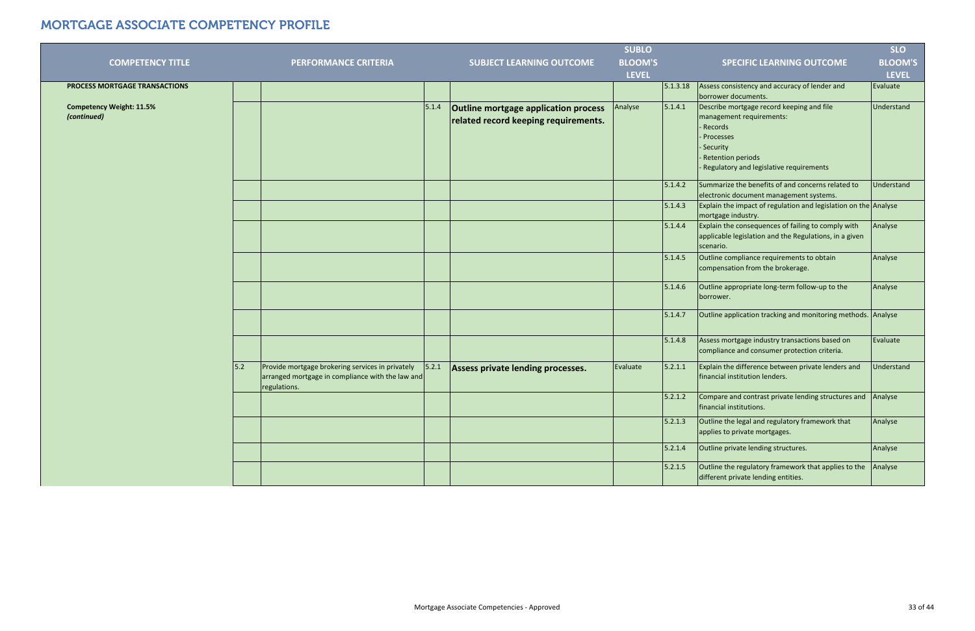|                                                |                                                                                                                      |       |                                                                                     | <b>SUBLO</b>   |          |                                                                                                                                                                                     | <b>SLO</b>     |
|------------------------------------------------|----------------------------------------------------------------------------------------------------------------------|-------|-------------------------------------------------------------------------------------|----------------|----------|-------------------------------------------------------------------------------------------------------------------------------------------------------------------------------------|----------------|
| <b>COMPETENCY TITLE</b>                        | <b>PERFORMANCE CRITERIA</b>                                                                                          |       | <b>SUBJECT LEARNING OUTCOME</b>                                                     | <b>BLOOM'S</b> |          | <b>SPECIFIC LEARNING OUTCOME</b>                                                                                                                                                    | <b>BLOOM'S</b> |
|                                                |                                                                                                                      |       |                                                                                     | <b>LEVEL</b>   |          |                                                                                                                                                                                     | <b>LEVEL</b>   |
| PROCESS MORTGAGE TRANSACTIONS                  |                                                                                                                      |       |                                                                                     |                | 5.1.3.18 | Assess consistency and accuracy of lender and<br>borrower documents.                                                                                                                | Evaluate       |
| <b>Competency Weight: 11.5%</b><br>(continued) |                                                                                                                      | 5.1.4 | <b>Outline mortgage application process</b><br>related record keeping requirements. | Analyse        | 5.1.4.1  | Describe mortgage record keeping and file<br>management requirements:<br>- Records<br>- Processes<br>- Security<br>- Retention periods<br>- Regulatory and legislative requirements | Understand     |
|                                                |                                                                                                                      |       |                                                                                     |                | 5.1.4.2  | Summarize the benefits of and concerns related to<br>electronic document management systems.                                                                                        | Understand     |
|                                                |                                                                                                                      |       |                                                                                     |                | 5.1.4.3  | Explain the impact of regulation and legislation on the Analyse<br>mortgage industry.                                                                                               |                |
|                                                |                                                                                                                      |       |                                                                                     |                | 5.1.4.4  | Explain the consequences of failing to comply with<br>applicable legislation and the Regulations, in a given<br>scenario.                                                           | Analyse        |
|                                                |                                                                                                                      |       |                                                                                     |                | 5.1.4.5  | Outline compliance requirements to obtain<br>compensation from the brokerage.                                                                                                       | Analyse        |
|                                                |                                                                                                                      |       |                                                                                     |                | 5.1.4.6  | Outline appropriate long-term follow-up to the<br>borrower.                                                                                                                         | Analyse        |
|                                                |                                                                                                                      |       |                                                                                     |                | 5.1.4.7  | Outline application tracking and monitoring methods. Analyse                                                                                                                        |                |
|                                                |                                                                                                                      |       |                                                                                     |                | 5.1.4.8  | Assess mortgage industry transactions based on<br>compliance and consumer protection criteria.                                                                                      | Evaluate       |
| 5.2                                            | Provide mortgage brokering services in privately<br>arranged mortgage in compliance with the law and<br>regulations. | 5.2.1 | Assess private lending processes.                                                   | Evaluate       | 5.2.1.1  | Explain the difference between private lenders and<br>financial institution lenders.                                                                                                | Understand     |
|                                                |                                                                                                                      |       |                                                                                     |                | 5.2.1.2  | Compare and contrast private lending structures and<br>financial institutions.                                                                                                      | Analyse        |
|                                                |                                                                                                                      |       |                                                                                     |                | 5.2.1.3  | Outline the legal and regulatory framework that<br>applies to private mortgages.                                                                                                    | Analyse        |
|                                                |                                                                                                                      |       |                                                                                     |                | 5.2.1.4  | Outline private lending structures.                                                                                                                                                 | Analyse        |
|                                                |                                                                                                                      |       |                                                                                     |                | 5.2.1.5  | Outline the regulatory framework that applies to the<br>different private lending entities.                                                                                         | Analyse        |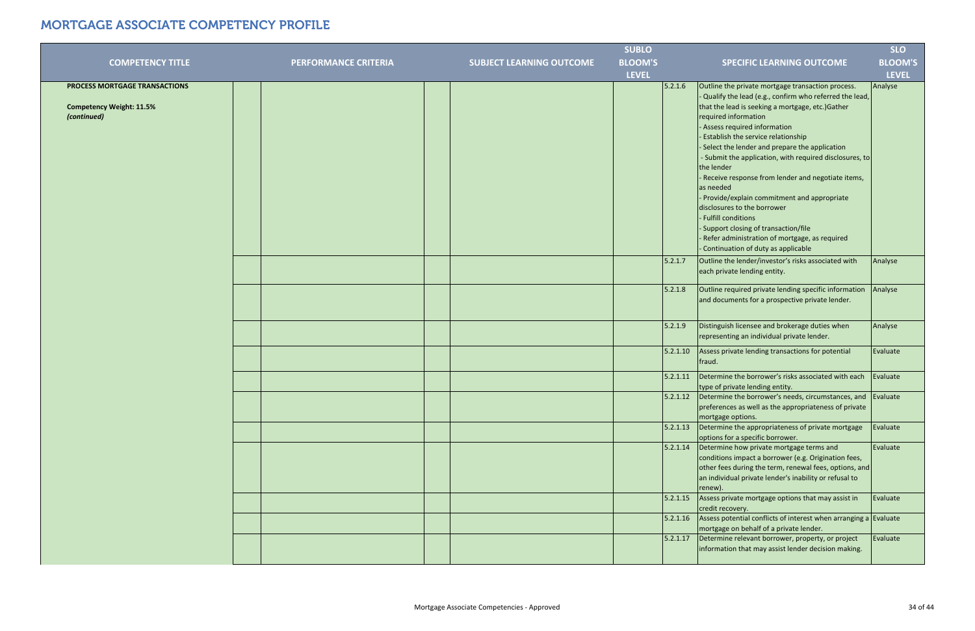|                                                                  |                      |                                 | <b>SUBLO</b>   |                                                                                                                                                                                                                                                                                                                                               | <b>SLO</b>     |
|------------------------------------------------------------------|----------------------|---------------------------------|----------------|-----------------------------------------------------------------------------------------------------------------------------------------------------------------------------------------------------------------------------------------------------------------------------------------------------------------------------------------------|----------------|
| <b>COMPETENCY TITLE</b>                                          | PERFORMANCE CRITERIA | <b>SUBJECT LEARNING OUTCOME</b> | <b>BLOOM'S</b> | <b>SPECIFIC LEARNING OUTCOME</b>                                                                                                                                                                                                                                                                                                              | <b>BLOOM'S</b> |
|                                                                  |                      |                                 | <b>LEVEL</b>   |                                                                                                                                                                                                                                                                                                                                               | <b>LEVEL</b>   |
| PROCESS MORTGAGE TRANSACTIONS<br><b>Competency Weight: 11.5%</b> |                      |                                 | 5.2.1.6        | Outline the private mortgage transaction process.<br>- Qualify the lead (e.g., confirm who referred the lead,<br>that the lead is seeking a mortgage, etc.) Gather                                                                                                                                                                            | Analyse        |
| (continued)                                                      |                      |                                 |                | required information<br>- Assess required information<br>- Establish the service relationship<br>- Select the lender and prepare the application<br>- Submit the application, with required disclosures, to<br>the lender<br>- Receive response from lender and negotiate items,<br>as needed<br>- Provide/explain commitment and appropriate |                |
|                                                                  |                      |                                 |                | disclosures to the borrower<br>- Fulfill conditions<br>- Support closing of transaction/file<br>- Refer administration of mortgage, as required<br>- Continuation of duty as applicable                                                                                                                                                       |                |
|                                                                  |                      |                                 | 5.2.1.7        | Outline the lender/investor's risks associated with<br>each private lending entity.                                                                                                                                                                                                                                                           | Analyse        |
|                                                                  |                      |                                 | 5.2.1.8        | Outline required private lending specific information<br>and documents for a prospective private lender.                                                                                                                                                                                                                                      | Analyse        |
|                                                                  |                      |                                 | 5.2.1.9        | Distinguish licensee and brokerage duties when<br>representing an individual private lender.                                                                                                                                                                                                                                                  | Analyse        |
|                                                                  |                      |                                 | 5.2.1.10       | Assess private lending transactions for potential<br>fraud.                                                                                                                                                                                                                                                                                   | Evaluate       |
|                                                                  |                      |                                 | 5.2.1.11       | Determine the borrower's risks associated with each<br>type of private lending entity.                                                                                                                                                                                                                                                        | Evaluate       |
|                                                                  |                      |                                 | 5.2.1.12       | Determine the borrower's needs, circumstances, and Evaluate<br>preferences as well as the appropriateness of private<br>mortgage options.                                                                                                                                                                                                     |                |
|                                                                  |                      |                                 | 5.2.1.13       | Determine the appropriateness of private mortgage<br>options for a specific borrower.                                                                                                                                                                                                                                                         | Evaluate       |
|                                                                  |                      |                                 | 5.2.1.14       | Determine how private mortgage terms and<br>conditions impact a borrower (e.g. Origination fees,<br>other fees during the term, renewal fees, options, and<br>an individual private lender's inability or refusal to<br>renew).                                                                                                               | Evaluate       |
|                                                                  |                      |                                 | 5.2.1.15       | Assess private mortgage options that may assist in<br>credit recovery.                                                                                                                                                                                                                                                                        | Evaluate       |
|                                                                  |                      |                                 | 5.2.1.16       | Assess potential conflicts of interest when arranging a Evaluate<br>mortgage on behalf of a private lender.                                                                                                                                                                                                                                   |                |
|                                                                  |                      |                                 | 5.2.1.17       | Determine relevant borrower, property, or project<br>information that may assist lender decision making.                                                                                                                                                                                                                                      | Evaluate       |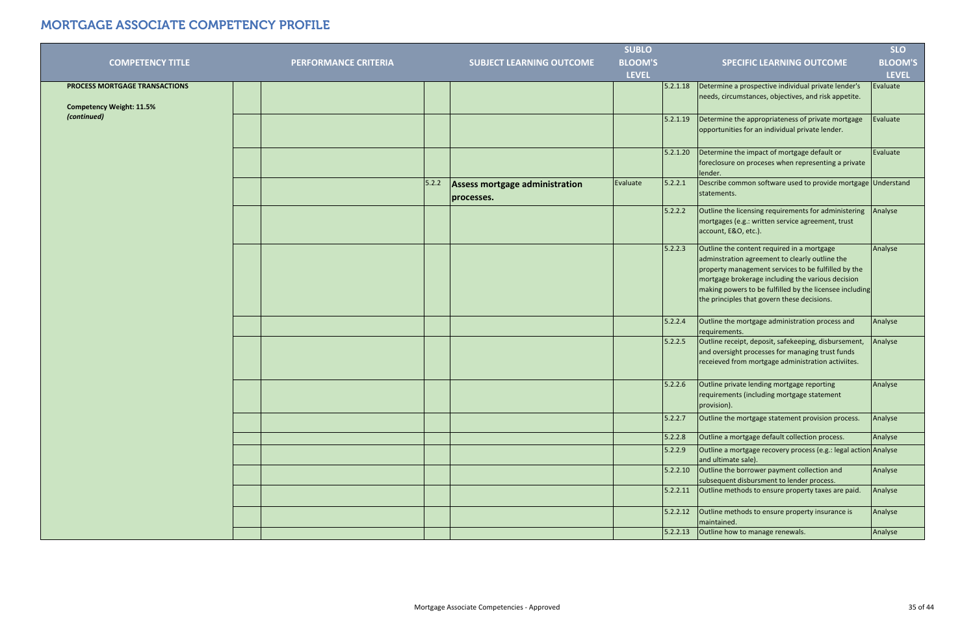|                                 |                             |       |                                              | <b>SUBLO</b>   |          |                                                                                                                                                                                                                                                                                                                    | <b>SLO</b>     |
|---------------------------------|-----------------------------|-------|----------------------------------------------|----------------|----------|--------------------------------------------------------------------------------------------------------------------------------------------------------------------------------------------------------------------------------------------------------------------------------------------------------------------|----------------|
| <b>COMPETENCY TITLE</b>         | <b>PERFORMANCE CRITERIA</b> |       | <b>SUBJECT LEARNING OUTCOME</b>              | <b>BLOOM'S</b> |          | <b>SPECIFIC LEARNING OUTCOME</b>                                                                                                                                                                                                                                                                                   | <b>BLOOM'S</b> |
|                                 |                             |       |                                              | <b>LEVEL</b>   |          |                                                                                                                                                                                                                                                                                                                    | <b>LEVEL</b>   |
| PROCESS MORTGAGE TRANSACTIONS   |                             |       |                                              |                | 5.2.1.18 | Determine a prospective individual private lender's                                                                                                                                                                                                                                                                | Evaluate       |
| <b>Competency Weight: 11.5%</b> |                             |       |                                              |                |          | needs, circumstances, objectives, and risk appetite.                                                                                                                                                                                                                                                               |                |
| (continued)                     |                             |       |                                              |                | 5.2.1.19 | Determine the appropriateness of private mortgage<br>opportunities for an individual private lender.                                                                                                                                                                                                               | Evaluate       |
|                                 |                             |       |                                              |                | 5.2.1.20 | Determine the impact of mortgage default or<br>foreclosure on proceses when representing a private<br>lender.                                                                                                                                                                                                      | Evaluate       |
|                                 |                             | 5.2.2 | Assess mortgage administration<br>processes. | Evaluate       | 5.2.2.1  | Describe common software used to provide mortgage Understand<br>statements.                                                                                                                                                                                                                                        |                |
|                                 |                             |       |                                              |                | 5.2.2.2  | Outline the licensing requirements for administering<br>mortgages (e.g.: written service agreement, trust<br>account, E&O, etc.).                                                                                                                                                                                  | Analyse        |
|                                 |                             |       |                                              |                | 5.2.2.3  | Outline the content required in a mortgage<br>adminstration agreement to clearly outline the<br>property management services to be fulfilled by the<br>mortgage brokerage including the various decision<br>making powers to be fulfilled by the licensee including<br>the principles that govern these decisions. | Analyse        |
|                                 |                             |       |                                              |                | 5.2.2.4  | Outline the mortgage administration process and<br>requirements.                                                                                                                                                                                                                                                   | Analyse        |
|                                 |                             |       |                                              |                | 5.2.2.5  | Outline receipt, deposit, safekeeping, disbursement,<br>and oversight processes for managing trust funds<br>receieved from mortgage administration activiites.                                                                                                                                                     | Analyse        |
|                                 |                             |       |                                              |                | 5.2.2.6  | Outline private lending mortgage reporting<br>requirements (including mortgage statement<br>provision).                                                                                                                                                                                                            | Analyse        |
|                                 |                             |       |                                              |                | 5.2.2.7  | Outline the mortgage statement provision process.                                                                                                                                                                                                                                                                  | Analyse        |
|                                 |                             |       |                                              |                | 5.2.2.8  | Outline a mortgage default collection process.                                                                                                                                                                                                                                                                     | Analyse        |
|                                 |                             |       |                                              |                | 5.2.2.9  | Outline a mortgage recovery process (e.g.: legal action Analyse<br>and ultimate sale).                                                                                                                                                                                                                             |                |
|                                 |                             |       |                                              |                | 5.2.2.10 | Outline the borrower payment collection and<br>subsequent disbursment to lender process.                                                                                                                                                                                                                           | Analyse        |
|                                 |                             |       |                                              |                | 5.2.2.11 | Outline methods to ensure property taxes are paid.                                                                                                                                                                                                                                                                 | Analyse        |
|                                 |                             |       |                                              |                | 5.2.2.12 | Outline methods to ensure property insurance is<br>maintained.                                                                                                                                                                                                                                                     | Analyse        |
|                                 |                             |       |                                              |                | 5.2.2.13 | Outline how to manage renewals.                                                                                                                                                                                                                                                                                    | Analyse        |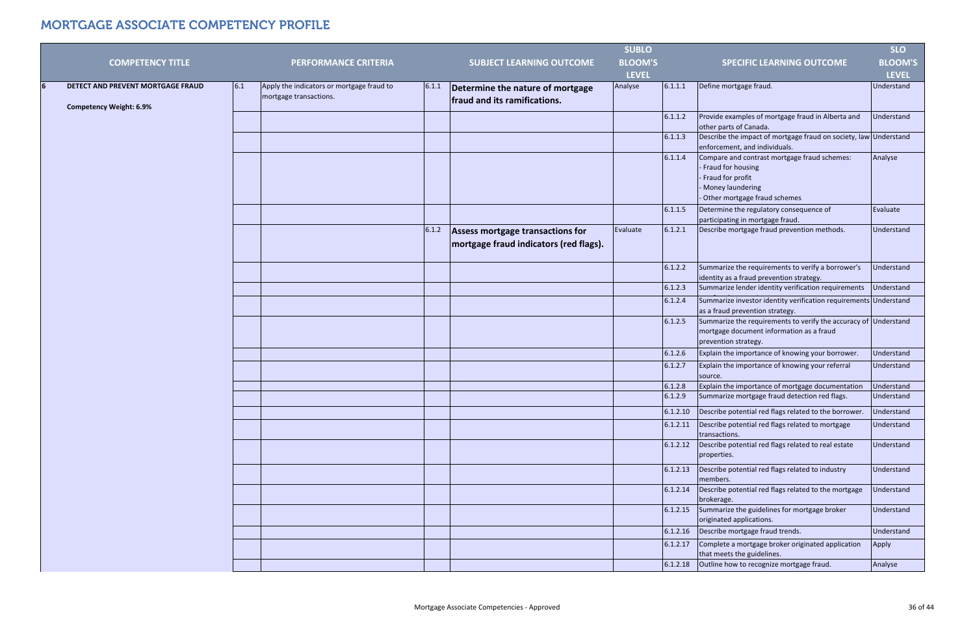|                                                                     |     |                                                                     |       |                                                                            | <b>SUBLO</b>   |          |                                                                                                                                           | <b>SLO</b>     |
|---------------------------------------------------------------------|-----|---------------------------------------------------------------------|-------|----------------------------------------------------------------------------|----------------|----------|-------------------------------------------------------------------------------------------------------------------------------------------|----------------|
| <b>COMPETENCY TITLE</b>                                             |     | <b>PERFORMANCE CRITERIA</b>                                         |       | <b>SUBJECT LEARNING OUTCOME</b>                                            | <b>BLOOM'S</b> |          | <b>SPECIFIC LEARNING OUTCOME</b>                                                                                                          | <b>BLOOM'S</b> |
|                                                                     |     |                                                                     |       |                                                                            | <b>LEVEL</b>   |          |                                                                                                                                           | <b>LEVEL</b>   |
| DETECT AND PREVENT MORTGAGE FRAUD<br><b>Competency Weight: 6.9%</b> | 6.1 | Apply the indicators or mortgage fraud to<br>mortgage transactions. | 6.1.1 | Determine the nature of mortgage<br>fraud and its ramifications.           | Analyse        | 6.1.1.1  | Define mortgage fraud.                                                                                                                    | Understand     |
|                                                                     |     |                                                                     |       |                                                                            |                | 6.1.1.2  | Provide examples of mortgage fraud in Alberta and<br>other parts of Canada.                                                               | Understand     |
|                                                                     |     |                                                                     |       |                                                                            |                | 6.1.1.3  | Describe the impact of mortgage fraud on society, law Understand<br>enforcement, and individuals.                                         |                |
|                                                                     |     |                                                                     |       |                                                                            |                | 6.1.1.4  | Compare and contrast mortgage fraud schemes:<br>Fraud for housing<br>Fraud for profit<br>Money laundering<br>Other mortgage fraud schemes | Analyse        |
|                                                                     |     |                                                                     |       |                                                                            |                | 6.1.1.5  | Determine the regulatory consequence of<br>participating in mortgage fraud.                                                               | Evaluate       |
|                                                                     |     |                                                                     | 6.1.2 | Assess mortgage transactions for<br>mortgage fraud indicators (red flags). | Evaluate       | 6.1.2.1  | Describe mortgage fraud prevention methods.                                                                                               | Understand     |
|                                                                     |     |                                                                     |       |                                                                            |                | 6.1.2.2  | Summarize the requirements to verify a borrower's<br>identity as a fraud prevention strategy.                                             | Understand     |
|                                                                     |     |                                                                     |       |                                                                            |                | 6.1.2.3  | Summarize lender identity verification requirements                                                                                       | Understand     |
|                                                                     |     |                                                                     |       |                                                                            |                | 6.1.2.4  | Summarize investor identity verification requirements Understand<br>as a fraud prevention strategy.                                       |                |
|                                                                     |     |                                                                     |       |                                                                            |                | 6.1.2.5  | Summarize the requirements to verify the accuracy of<br>mortgage document information as a fraud<br>prevention strategy.                  | Understand     |
|                                                                     |     |                                                                     |       |                                                                            |                | 6.1.2.6  | Explain the importance of knowing your borrower.                                                                                          | Understand     |
|                                                                     |     |                                                                     |       |                                                                            |                | 6.1.2.7  | Explain the importance of knowing your referral<br>source.                                                                                | Understand     |
|                                                                     |     |                                                                     |       |                                                                            |                | 6.1.2.8  | Explain the importance of mortgage documentation                                                                                          | Understand     |
|                                                                     |     |                                                                     |       |                                                                            |                | 6.1.2.9  | Summarize mortgage fraud detection red flags.                                                                                             | Understand     |
|                                                                     |     |                                                                     |       |                                                                            |                | 6.1.2.10 | Describe potential red flags related to the borrower.                                                                                     | Understand     |
|                                                                     |     |                                                                     |       |                                                                            |                | 6.1.2.11 | Describe potential red flags related to mortgage<br>transactions.                                                                         | Understand     |
|                                                                     |     |                                                                     |       |                                                                            |                | 6.1.2.12 | Describe potential red flags related to real estate<br>properties.                                                                        | Understand     |
|                                                                     |     |                                                                     |       |                                                                            |                | 6.1.2.13 | Describe potential red flags related to industry<br>members.                                                                              | Understand     |
|                                                                     |     |                                                                     |       |                                                                            |                | 6.1.2.14 | Describe potential red flags related to the mortgage<br>brokerage.                                                                        | Understand     |
|                                                                     |     |                                                                     |       |                                                                            |                | 6.1.2.15 | Summarize the guidelines for mortgage broker<br>originated applications.                                                                  | Understand     |
|                                                                     |     |                                                                     |       |                                                                            |                | 6.1.2.16 | Describe mortgage fraud trends.                                                                                                           | Understand     |
|                                                                     |     |                                                                     |       |                                                                            |                | 6.1.2.17 | Complete a mortgage broker originated application<br>that meets the guidelines.                                                           | Apply          |
|                                                                     |     |                                                                     |       |                                                                            |                | 6.1.2.18 | Outline how to recognize mortgage fraud.                                                                                                  | Analyse        |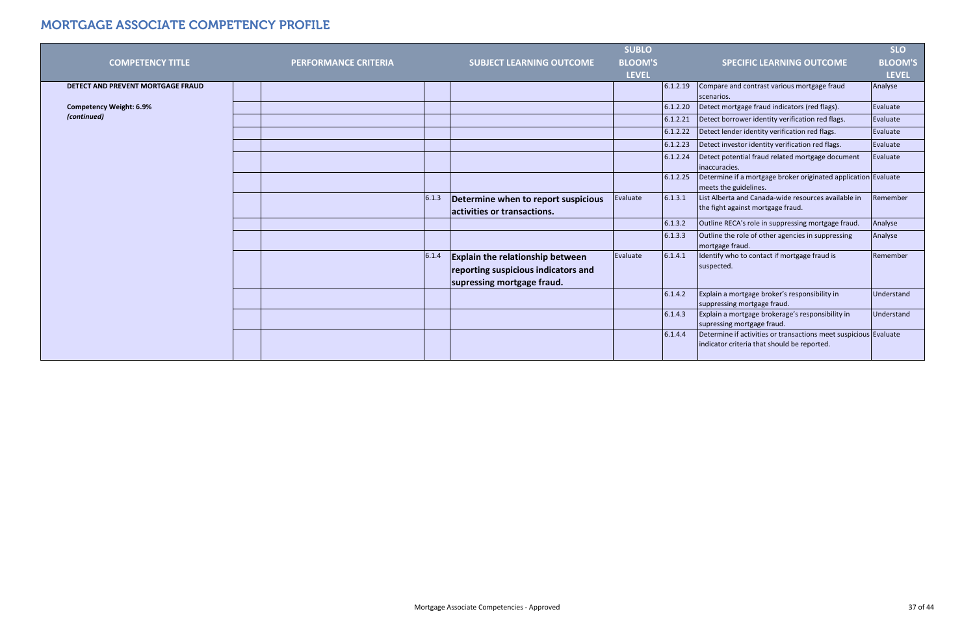|                                   |                             |       |                                                                    | <b>SUBLO</b>   |          |                                                                                                                 | <b>SLO</b>     |
|-----------------------------------|-----------------------------|-------|--------------------------------------------------------------------|----------------|----------|-----------------------------------------------------------------------------------------------------------------|----------------|
| <b>COMPETENCY TITLE</b>           | <b>PERFORMANCE CRITERIA</b> |       | <b>SUBJECT LEARNING OUTCOME</b>                                    | <b>BLOOM'S</b> |          | <b>SPECIFIC LEARNING OUTCOME</b>                                                                                | <b>BLOOM'S</b> |
|                                   |                             |       |                                                                    | <b>LEVEL</b>   |          |                                                                                                                 | <b>LEVEL</b>   |
| DETECT AND PREVENT MORTGAGE FRAUD |                             |       |                                                                    |                | 6.1.2.19 | Compare and contrast various mortgage fraud                                                                     | Analyse        |
|                                   |                             |       |                                                                    |                |          | scenarios.                                                                                                      |                |
| <b>Competency Weight: 6.9%</b>    |                             |       |                                                                    |                | 6.1.2.20 | Detect mortgage fraud indicators (red flags).                                                                   | Evaluate       |
| (continued)                       |                             |       |                                                                    |                | 6.1.2.21 | Detect borrower identity verification red flags.                                                                | Evaluate       |
|                                   |                             |       |                                                                    |                | 6.1.2.22 | Detect lender identity verification red flags.                                                                  | Evaluate       |
|                                   |                             |       |                                                                    |                | 6.1.2.23 | Detect investor identity verification red flags.                                                                | Evaluate       |
|                                   |                             |       |                                                                    |                | 6.1.2.24 | Detect potential fraud related mortgage document<br>inaccuracies.                                               | Evaluate       |
|                                   |                             |       |                                                                    |                | 6.1.2.25 | Determine if a mortgage broker originated application Evaluate<br>meets the guidelines.                         |                |
|                                   |                             | 6.1.3 | Determine when to report suspicious<br>activities or transactions. | Evaluate       | 6.1.3.1  | List Alberta and Canada-wide resources available in<br>the fight against mortgage fraud.                        | Remember       |
|                                   |                             |       |                                                                    |                | 6.1.3.2  | Outline RECA's role in suppressing mortgage fraud.                                                              | Analyse        |
|                                   |                             |       |                                                                    |                | 6.1.3.3  | Outline the role of other agencies in suppressing<br>mortgage fraud.                                            | Analyse        |
|                                   |                             | 6.1.4 | <b>Explain the relationship between</b>                            | Evaluate       | 6.1.4.1  | Identify who to contact if mortgage fraud is                                                                    | Remember       |
|                                   |                             |       | reporting suspicious indicators and                                |                |          | suspected.                                                                                                      |                |
|                                   |                             |       | supressing mortgage fraud.                                         |                |          |                                                                                                                 |                |
|                                   |                             |       |                                                                    |                | 6.1.4.2  | Explain a mortgage broker's responsibility in<br>suppressing mortgage fraud.                                    | Understand     |
|                                   |                             |       |                                                                    |                | 6.1.4.3  | Explain a mortgage brokerage's responsibility in<br>supressing mortgage fraud.                                  | Understand     |
|                                   |                             |       |                                                                    |                | 6.1.4.4  | Determine if activities or transactions meet suspicious Evaluate<br>indicator criteria that should be reported. |                |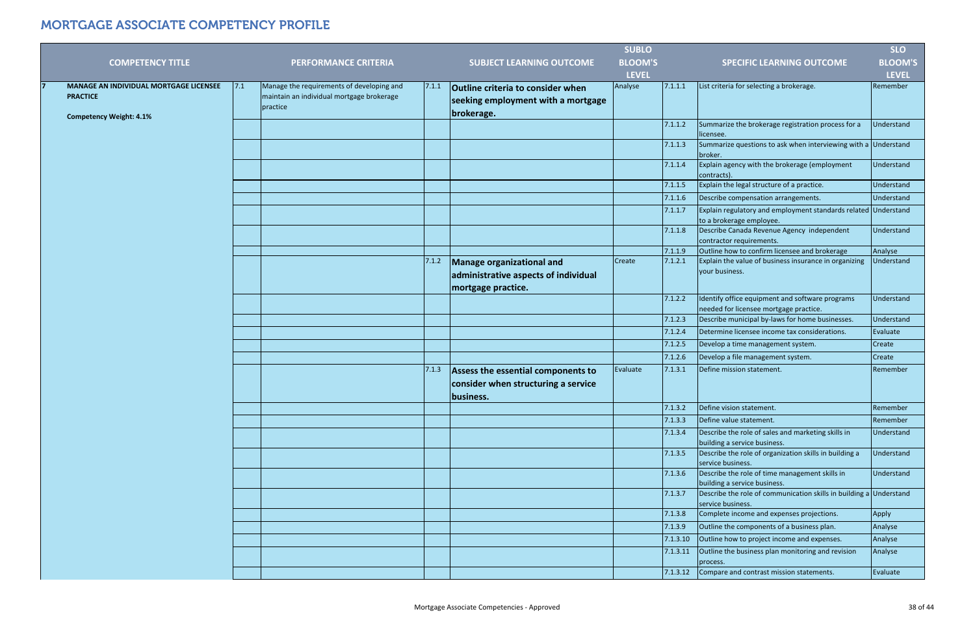|                                                   |     |                                                       |       |                                                  | <b>SUBLO</b>   |          |                                                                                            | <b>SLO</b>     |
|---------------------------------------------------|-----|-------------------------------------------------------|-------|--------------------------------------------------|----------------|----------|--------------------------------------------------------------------------------------------|----------------|
| <b>COMPETENCY TITLE</b>                           |     | <b>PERFORMANCE CRITERIA</b>                           |       | <b>SUBJECT LEARNING OUTCOME</b>                  | <b>BLOOM'S</b> |          | <b>SPECIFIC LEARNING OUTCOME</b>                                                           | <b>BLOOM'S</b> |
|                                                   |     |                                                       |       |                                                  | <b>LEVEL</b>   |          |                                                                                            | <b>LEVEL</b>   |
| MANAGE AN INDIVIDUAL MORTGAGE LICENSEE            | 7.1 | Manage the requirements of developing and             | 7.1.1 | <b>Outline criteria to consider when</b>         | Analyse        | 7.1.1.1  | List criteria for selecting a brokerage.                                                   | Remember       |
| <b>PRACTICE</b><br><b>Competency Weight: 4.1%</b> |     | maintain an individual mortgage brokerage<br>practice |       | seeking employment with a mortgage<br>brokerage. |                |          |                                                                                            |                |
|                                                   |     |                                                       |       |                                                  |                | 7.1.1.2  | Summarize the brokerage registration process for a<br>licensee.                            | Understand     |
|                                                   |     |                                                       |       |                                                  |                | 7.1.1.3  | Summarize questions to ask when interviewing with a Understand<br>broker.                  |                |
|                                                   |     |                                                       |       |                                                  |                | 7.1.1.4  | Explain agency with the brokerage (employment<br>contracts).                               | Understand     |
|                                                   |     |                                                       |       |                                                  |                | 7.1.1.5  | Explain the legal structure of a practice.                                                 | Understand     |
|                                                   |     |                                                       |       |                                                  |                | 7.1.1.6  | Describe compensation arrangements.                                                        | Understand     |
|                                                   |     |                                                       |       |                                                  |                | 7.1.1.7  | Explain regulatory and employment standards related Understand<br>to a brokerage employee. |                |
|                                                   |     |                                                       |       |                                                  |                | 7.1.1.8  | Describe Canada Revenue Agency independent<br>contractor requirements.                     | Understand     |
|                                                   |     |                                                       |       |                                                  |                | 7.1.1.9  | Outline how to confirm licensee and brokerage                                              | Analyse        |
|                                                   |     |                                                       | 7.1.2 | Manage organizational and                        | Create         | 7.1.2.1  | Explain the value of business insurance in organizing<br>your business.                    | Understand     |
|                                                   |     |                                                       |       | administrative aspects of individual             |                |          |                                                                                            |                |
|                                                   |     |                                                       |       | mortgage practice.                               |                |          |                                                                                            |                |
|                                                   |     |                                                       |       |                                                  |                | 7.1.2.2  | Identify office equipment and software programs<br>needed for licensee mortgage practice.  | Understand     |
|                                                   |     |                                                       |       |                                                  |                | 7.1.2.3  | Describe municipal by-laws for home businesses.                                            | Understand     |
|                                                   |     |                                                       |       |                                                  |                | 7.1.2.4  | Determine licensee income tax considerations.                                              | Evaluate       |
|                                                   |     |                                                       |       |                                                  |                | 7.1.2.5  | Develop a time management system.                                                          | Create         |
|                                                   |     |                                                       |       |                                                  |                | 7.1.2.6  | Develop a file management system.                                                          | Create         |
|                                                   |     |                                                       | 7.1.3 | Assess the essential components to               | Evaluate       | 7.1.3.1  | Define mission statement.                                                                  | Remember       |
|                                                   |     |                                                       |       | consider when structuring a service              |                |          |                                                                                            |                |
|                                                   |     |                                                       |       | business.                                        |                |          |                                                                                            |                |
|                                                   |     |                                                       |       |                                                  |                | 7.1.3.2  | Define vision statement.                                                                   | Remember       |
|                                                   |     |                                                       |       |                                                  |                | 7.1.3.3  | Define value statement.                                                                    | Remember       |
|                                                   |     |                                                       |       |                                                  |                | 7.1.3.4  | Describe the role of sales and marketing skills in<br>building a service business.         | Understand     |
|                                                   |     |                                                       |       |                                                  |                | 7.1.3.5  | Describe the role of organization skills in building a<br>service business.                | Understand     |
|                                                   |     |                                                       |       |                                                  |                | 7.1.3.6  | Describe the role of time management skills in<br>building a service business.             | Understand     |
|                                                   |     |                                                       |       |                                                  |                | 7.1.3.7  | Describe the role of communication skills in building a Understand<br>service business.    |                |
|                                                   |     |                                                       |       |                                                  |                | 7.1.3.8  | Complete income and expenses projections.                                                  | Apply          |
|                                                   |     |                                                       |       |                                                  |                | 7.1.3.9  | Outline the components of a business plan.                                                 | Analyse        |
|                                                   |     |                                                       |       |                                                  |                | 7.1.3.10 | Outline how to project income and expenses.                                                | Analyse        |
|                                                   |     |                                                       |       |                                                  |                | 7.1.3.11 | Outline the business plan monitoring and revision<br>process.                              | Analyse        |
|                                                   |     |                                                       |       |                                                  |                | 7.1.3.12 | Compare and contrast mission statements.                                                   | Evaluate       |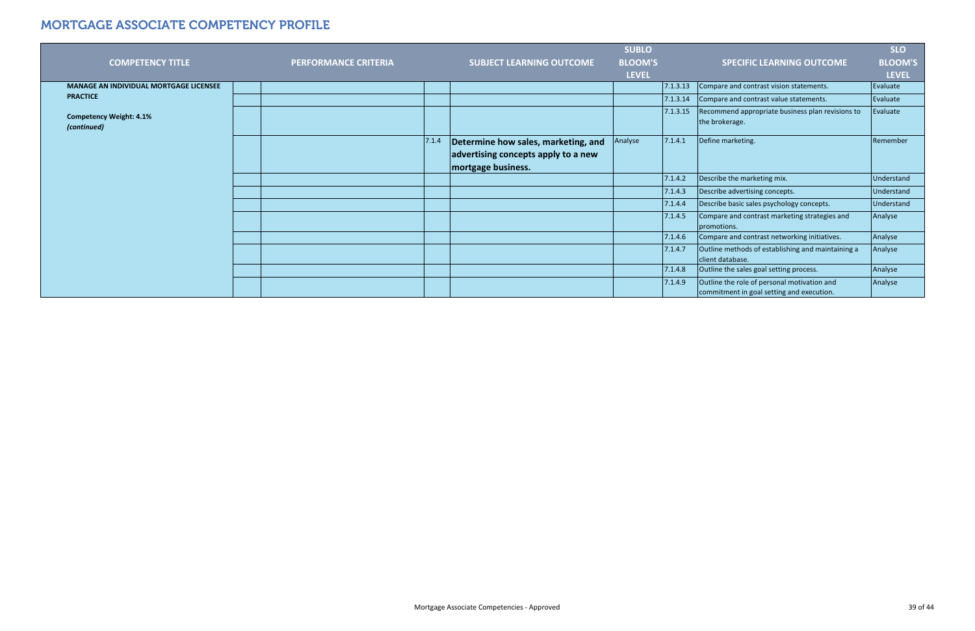|                                               |                             |       |                                     | <b>SUBLO</b>   |          |                                                                                          | <b>SLO</b>        |
|-----------------------------------------------|-----------------------------|-------|-------------------------------------|----------------|----------|------------------------------------------------------------------------------------------|-------------------|
| <b>COMPETENCY TITLE</b>                       | <b>PERFORMANCE CRITERIA</b> |       | <b>SUBJECT LEARNING OUTCOME</b>     | <b>BLOOM'S</b> |          | <b>SPECIFIC LEARNING OUTCOME</b>                                                         | <b>BLOOM'S</b>    |
|                                               |                             |       |                                     | <b>LEVEL</b>   |          |                                                                                          | <b>LEVEL</b>      |
| <b>MANAGE AN INDIVIDUAL MORTGAGE LICENSEE</b> |                             |       |                                     |                | 7.1.3.13 | Compare and contrast vision statements.                                                  | Evaluate          |
| <b>PRACTICE</b>                               |                             |       |                                     |                | 7.1.3.14 | Compare and contrast value statements.                                                   | Evaluate          |
| <b>Competency Weight: 4.1%</b><br>(continued) |                             |       |                                     |                | 7.1.3.15 | Recommend appropriate business plan revisions to<br>the brokerage.                       | Evaluate          |
|                                               |                             | 7.1.4 | Determine how sales, marketing, and | Analyse        | 7.1.4.1  | Define marketing.                                                                        | Remember          |
|                                               |                             |       | advertising concepts apply to a new |                |          |                                                                                          |                   |
|                                               |                             |       | mortgage business.                  |                |          |                                                                                          |                   |
|                                               |                             |       |                                     |                | 7.1.4.2  | Describe the marketing mix.                                                              | <b>Understand</b> |
|                                               |                             |       |                                     |                | 7.1.4.3  | Describe advertising concepts.                                                           | Understand        |
|                                               |                             |       |                                     |                | 7.1.4.4  | Describe basic sales psychology concepts.                                                | Understand        |
|                                               |                             |       |                                     |                | 7.1.4.5  | Compare and contrast marketing strategies and<br>promotions.                             | Analyse           |
|                                               |                             |       |                                     |                | 7.1.4.6  | Compare and contrast networking initiatives.                                             | Analyse           |
|                                               |                             |       |                                     |                | 7.1.4.7  | Outline methods of establishing and maintaining a<br>client database.                    | Analyse           |
|                                               |                             |       |                                     |                | 7.1.4.8  | Outline the sales goal setting process.                                                  | Analyse           |
|                                               |                             |       |                                     |                | 7.1.4.9  | Outline the role of personal motivation and<br>commitment in goal setting and execution. | Analyse           |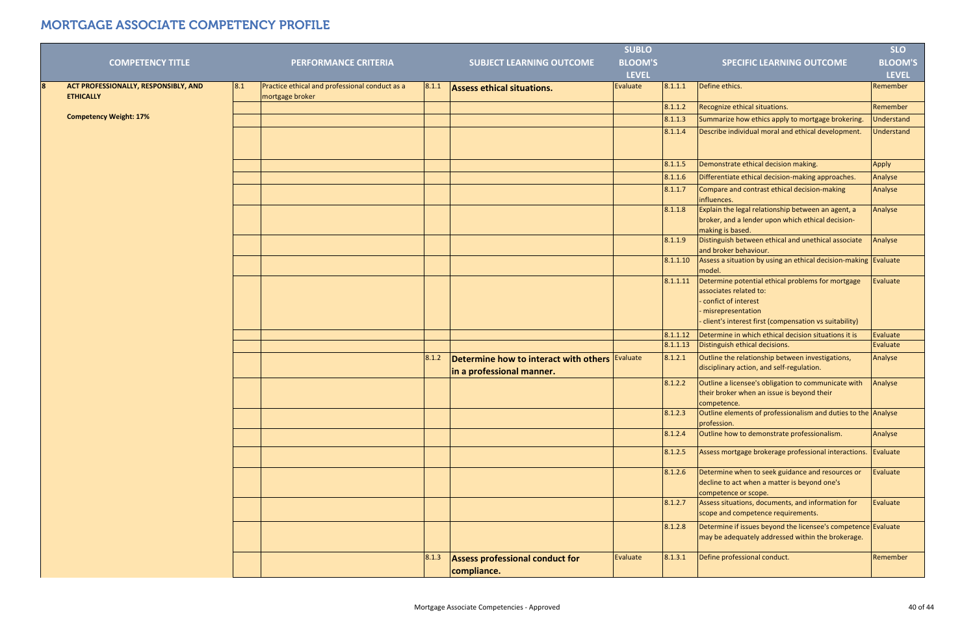|                                                                      |     |                                                                   |       |                                                                                    | <b>SUBLO</b>   |          |                                                                                                                                                                                      | <b>SLO</b>        |
|----------------------------------------------------------------------|-----|-------------------------------------------------------------------|-------|------------------------------------------------------------------------------------|----------------|----------|--------------------------------------------------------------------------------------------------------------------------------------------------------------------------------------|-------------------|
| <b>COMPETENCY TITLE</b>                                              |     | <b>PERFORMANCE CRITERIA</b>                                       |       | <b>SUBJECT LEARNING OUTCOME</b>                                                    | <b>BLOOM'S</b> |          | <b>SPECIFIC LEARNING OUTCOME</b>                                                                                                                                                     | <b>BLOOM'S</b>    |
|                                                                      |     |                                                                   |       |                                                                                    | <b>LEVEL</b>   |          |                                                                                                                                                                                      | <b>LEVEL</b>      |
| ACT PROFESSIONALLY, RESPONSIBLY, AND<br><b>8</b><br><b>ETHICALLY</b> | 8.1 | Practice ethical and professional conduct as a<br>mortgage broker | 8.1.1 | <b>Assess ethical situations.</b>                                                  | Evaluate       | 8.1.1.1  | Define ethics.                                                                                                                                                                       | Remember          |
|                                                                      |     |                                                                   |       |                                                                                    |                | 8.1.1.2  | Recognize ethical situations.                                                                                                                                                        | Remember          |
| <b>Competency Weight: 17%</b>                                        |     |                                                                   |       |                                                                                    |                | 8.1.1.3  | Summarize how ethics apply to mortgage brokering.                                                                                                                                    | <b>Understand</b> |
|                                                                      |     |                                                                   |       |                                                                                    |                | 8.1.1.4  | Describe individual moral and ethical development.                                                                                                                                   | Understand        |
|                                                                      |     |                                                                   |       |                                                                                    |                | 8.1.1.5  | Demonstrate ethical decision making.                                                                                                                                                 | Apply             |
|                                                                      |     |                                                                   |       |                                                                                    |                | 8.1.1.6  | Differentiate ethical decision-making approaches.                                                                                                                                    | Analyse           |
|                                                                      |     |                                                                   |       |                                                                                    |                | 8.1.1.7  | Compare and contrast ethical decision-making<br>influences.                                                                                                                          | Analyse           |
|                                                                      |     |                                                                   |       |                                                                                    |                | 8.1.1.8  | Explain the legal relationship between an agent, a<br>broker, and a lender upon which ethical decision-<br>making is based.                                                          | Analyse           |
|                                                                      |     |                                                                   |       |                                                                                    |                | 8.1.1.9  | Distinguish between ethical and unethical associate<br>and broker behaviour.                                                                                                         | Analyse           |
|                                                                      |     |                                                                   |       |                                                                                    |                | 8.1.1.10 | Assess a situation by using an ethical decision-making Evaluate<br>model.                                                                                                            |                   |
|                                                                      |     |                                                                   |       |                                                                                    |                | 8.1.1.11 | Determine potential ethical problems for mortgage<br>associates related to:<br>confict of interest<br>- misrepresentation<br>- client's interest first (compensation vs suitability) | Evaluate          |
|                                                                      |     |                                                                   |       |                                                                                    |                | 8.1.1.12 | Determine in which ethical decision situations it is                                                                                                                                 | Evaluate          |
|                                                                      |     |                                                                   |       |                                                                                    |                | 8.1.1.13 | Distinguish ethical decisions.                                                                                                                                                       | Evaluate          |
|                                                                      |     |                                                                   | 8.1.2 | Determine how to interact with others <b>Evaluate</b><br>in a professional manner. |                | 8.1.2.1  | Outline the relationship between investigations,<br>disciplinary action, and self-regulation.                                                                                        | Analyse           |
|                                                                      |     |                                                                   |       |                                                                                    |                | 8.1.2.2  | Outline a licensee's obligation to communicate with<br>their broker when an issue is beyond their<br>competence.                                                                     | Analyse           |
|                                                                      |     |                                                                   |       |                                                                                    |                | 8.1.2.3  | Outline elements of professionalism and duties to the Analyse<br>profession.                                                                                                         |                   |
|                                                                      |     |                                                                   |       |                                                                                    |                | 8.1.2.4  | Outline how to demonstrate professionalism.                                                                                                                                          | Analyse           |
|                                                                      |     |                                                                   |       |                                                                                    |                | 8.1.2.5  | Assess mortgage brokerage professional interactions.                                                                                                                                 | Evaluate          |
|                                                                      |     |                                                                   |       |                                                                                    |                | 8.1.2.6  | Determine when to seek guidance and resources or<br>decline to act when a matter is beyond one's<br>competence or scope.                                                             | Evaluate          |
|                                                                      |     |                                                                   |       |                                                                                    |                | 8.1.2.7  | Assess situations, documents, and information for<br>scope and competence requirements.                                                                                              | Evaluate          |
|                                                                      |     |                                                                   |       |                                                                                    |                | 8.1.2.8  | Determine if issues beyond the licensee's competence Evaluate<br>may be adequately addressed within the brokerage.                                                                   |                   |
|                                                                      |     |                                                                   | 8.1.3 | <b>Assess professional conduct for</b><br>compliance.                              | Evaluate       | 8.1.3.1  | Define professional conduct.                                                                                                                                                         | Remember          |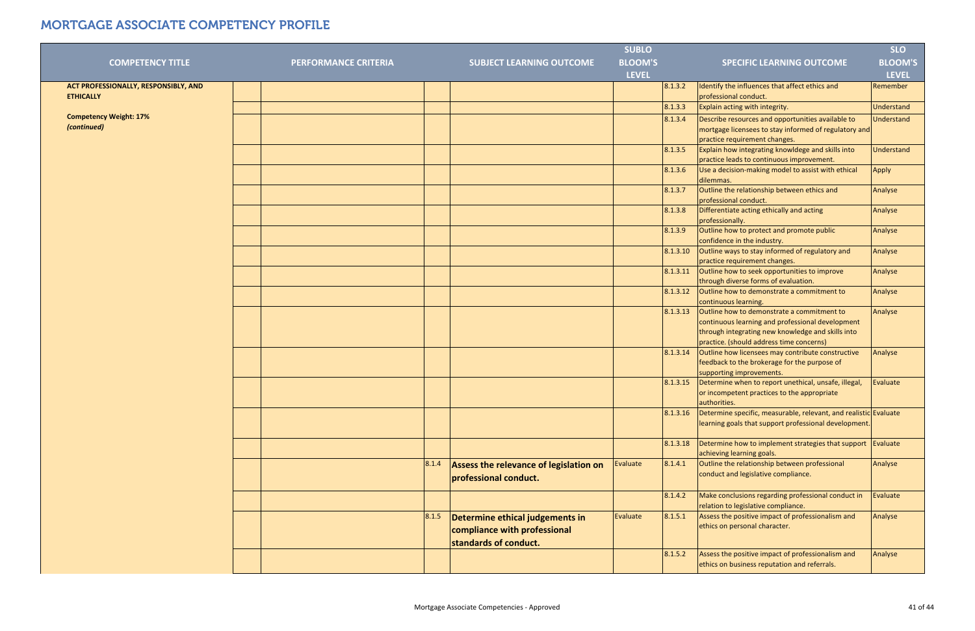| <b>COMPETENCY TITLE</b>                                  | <b>PERFORMANCE CRITERIA</b> | <b>SUBJECT LEARNING OUTCOME</b>                                                                   | <b>SUBLO</b><br><b>BLOOM'S</b> | <b>SPECIFIC LEARNING OUTCOME</b>                                                                                                                                                                            | <b>SLO</b><br><b>BLOOM'S</b> |
|----------------------------------------------------------|-----------------------------|---------------------------------------------------------------------------------------------------|--------------------------------|-------------------------------------------------------------------------------------------------------------------------------------------------------------------------------------------------------------|------------------------------|
|                                                          |                             |                                                                                                   | <b>LEVEL</b>                   |                                                                                                                                                                                                             | <b>LEVEL</b>                 |
| ACT PROFESSIONALLY, RESPONSIBLY, AND<br><b>ETHICALLY</b> |                             |                                                                                                   |                                | Identify the influences that affect ethics and<br>8.1.3.2<br>professional conduct.                                                                                                                          | Remember                     |
|                                                          |                             |                                                                                                   |                                | Explain acting with integrity.<br>8.1.3.3                                                                                                                                                                   | Understand                   |
| <b>Competency Weight: 17%</b><br>(continued)             |                             |                                                                                                   |                                | Describe resources and opportunities available to<br>8.1.3.4<br>mortgage licensees to stay informed of regulatory and<br>practice requirement changes.                                                      | <b>Understand</b>            |
|                                                          |                             |                                                                                                   |                                | Explain how integrating knowldege and skills into<br>8.1.3.5<br>practice leads to continuous improvement.                                                                                                   | Understand                   |
|                                                          |                             |                                                                                                   |                                | Use a decision-making model to assist with ethical<br>8.1.3.6<br>dilemmas.                                                                                                                                  | Apply                        |
|                                                          |                             |                                                                                                   |                                | Outline the relationship between ethics and<br>8.1.3.7<br>professional conduct.                                                                                                                             | Analyse                      |
|                                                          |                             |                                                                                                   |                                | 8.1.3.8<br>Differentiate acting ethically and acting<br>professionally.                                                                                                                                     | Analyse                      |
|                                                          |                             |                                                                                                   |                                | Outline how to protect and promote public<br>8.1.3.9<br>confidence in the industry.                                                                                                                         | Analyse                      |
|                                                          |                             |                                                                                                   |                                | Outline ways to stay informed of regulatory and<br>8.1.3.10<br>practice requirement changes.                                                                                                                | Analyse                      |
|                                                          |                             |                                                                                                   |                                | 8.1.3.11<br>Outline how to seek opportunities to improve<br>through diverse forms of evaluation.                                                                                                            | Analyse                      |
|                                                          |                             |                                                                                                   |                                | Outline how to demonstrate a commitment to<br>8.1.3.12<br>continuous learning.                                                                                                                              | Analyse                      |
|                                                          |                             |                                                                                                   |                                | 8.1.3.13<br>Outline how to demonstrate a commitment to<br>continuous learning and professional development<br>through integrating new knowledge and skills into<br>practice. (should address time concerns) | Analyse                      |
|                                                          |                             |                                                                                                   |                                | 8.1.3.14<br>Outline how licensees may contribute constructive<br>feedback to the brokerage for the purpose of<br>supporting improvements.                                                                   | Analyse                      |
|                                                          |                             |                                                                                                   |                                | Determine when to report unethical, unsafe, illegal,<br>8.1.3.15<br>or incompetent practices to the appropriate<br>authorities.                                                                             | Evaluate                     |
|                                                          |                             |                                                                                                   |                                | Determine specific, measurable, relevant, and realistic Evaluate<br>8.1.3.16<br>learning goals that support professional development.                                                                       |                              |
|                                                          |                             |                                                                                                   |                                | Determine how to implement strategies that support $\vert$ Evaluate<br>8.1.3.18<br>achieving learning goals.                                                                                                |                              |
|                                                          |                             | 8.1.4<br>Assess the relevance of legislation on<br>professional conduct.                          | Evaluate                       | 8.1.4.1<br>Outline the relationship between professional<br>conduct and legislative compliance.                                                                                                             | Analyse                      |
|                                                          |                             |                                                                                                   |                                | Make conclusions regarding professional conduct in<br>8.1.4.2<br>relation to legislative compliance.                                                                                                        | Evaluate                     |
|                                                          |                             | 8.1.5<br>Determine ethical judgements in<br>compliance with professional<br>standards of conduct. | Evaluate                       | Assess the positive impact of professionalism and<br>8.1.5.1<br>ethics on personal character.                                                                                                               | Analyse                      |
|                                                          |                             |                                                                                                   |                                | 8.1.5.2<br>Assess the positive impact of professionalism and<br>ethics on business reputation and referrals.                                                                                                | Analyse                      |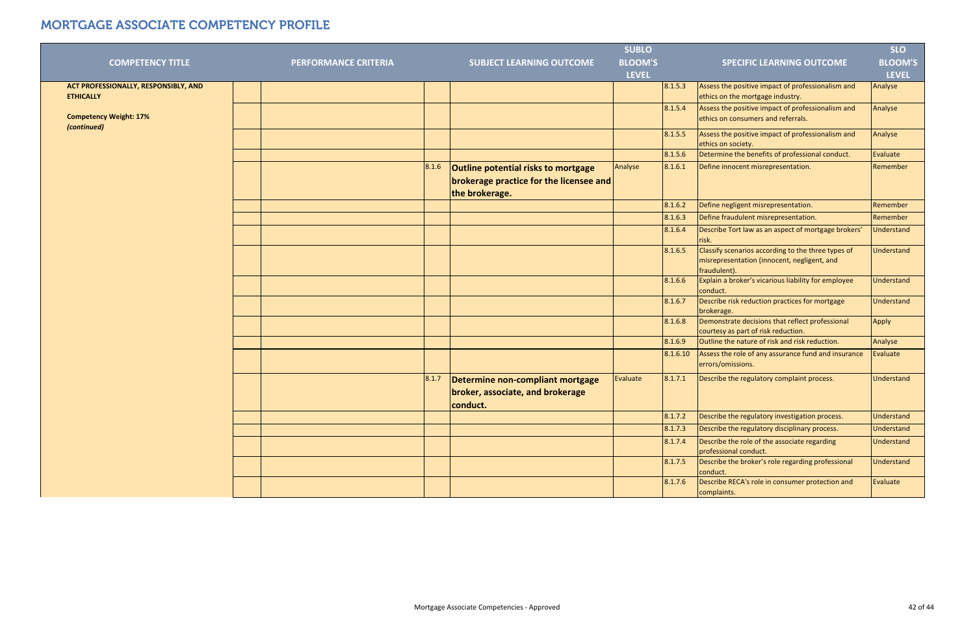|                                                          |                             |       |                                                                                                         | <b>SUBLO</b>   |          |                                                                                                                   | <b>SLO</b>        |
|----------------------------------------------------------|-----------------------------|-------|---------------------------------------------------------------------------------------------------------|----------------|----------|-------------------------------------------------------------------------------------------------------------------|-------------------|
| <b>COMPETENCY TITLE</b>                                  | <b>PERFORMANCE CRITERIA</b> |       | <b>SUBJECT LEARNING OUTCOME</b>                                                                         | <b>BLOOM'S</b> |          | <b>SPECIFIC LEARNING OUTCOME</b>                                                                                  | <b>BLOOM'S</b>    |
|                                                          |                             |       |                                                                                                         | <b>LEVEL</b>   |          |                                                                                                                   | <b>LEVEL</b>      |
| ACT PROFESSIONALLY, RESPONSIBLY, AND<br><b>ETHICALLY</b> |                             |       |                                                                                                         |                | 8.1.5.3  | Assess the positive impact of professionalism and<br>ethics on the mortgage industry.                             | Analyse           |
| <b>Competency Weight: 17%</b><br>(continued)             |                             |       |                                                                                                         |                | 8.1.5.4  | Assess the positive impact of professionalism and<br>ethics on consumers and referrals.                           | Analyse           |
|                                                          |                             |       |                                                                                                         |                | 8.1.5.5  | Assess the positive impact of professionalism and<br>ethics on society.                                           | Analyse           |
|                                                          |                             |       |                                                                                                         |                | 8.1.5.6  | Determine the benefits of professional conduct.                                                                   | Evaluate          |
|                                                          |                             | 8.1.6 | Outline potential risks to mortgage<br><b>brokerage practice for the licensee and</b><br>the brokerage. | Analyse        | 8.1.6.1  | Define innocent misrepresentation.                                                                                | Remember          |
|                                                          |                             |       |                                                                                                         |                | 8.1.6.2  | Define negligent misrepresentation.                                                                               | Remember          |
|                                                          |                             |       |                                                                                                         |                | 8.1.6.3  | Define fraudulent misrepresentation.                                                                              | Remember          |
|                                                          |                             |       |                                                                                                         |                | 8.1.6.4  | Describe Tort law as an aspect of mortgage brokers'<br>risk.                                                      | Understand        |
|                                                          |                             |       |                                                                                                         |                | 8.1.6.5  | Classify scenarios according to the three types of<br>misrepresentation (innocent, negligent, and<br>fraudulent). | Understand        |
|                                                          |                             |       |                                                                                                         |                | 8.1.6.6  | Explain a broker's vicarious liability for employee<br>conduct.                                                   | <b>Understand</b> |
|                                                          |                             |       |                                                                                                         |                | 8.1.6.7  | Describe risk reduction practices for mortgage<br>brokerage.                                                      | Understand        |
|                                                          |                             |       |                                                                                                         |                | 8.1.6.8  | Demonstrate decisions that reflect professional<br>courtesy as part of risk reduction.                            | Apply             |
|                                                          |                             |       |                                                                                                         |                | 8.1.6.9  | Outline the nature of risk and risk reduction.                                                                    | Analyse           |
|                                                          |                             |       |                                                                                                         |                | 8.1.6.10 | Assess the role of any assurance fund and insurance<br>errors/omissions.                                          | Evaluate          |
|                                                          |                             | 8.1.7 | Determine non-compliant mortgage<br>broker, associate, and brokerage<br>conduct.                        | Evaluate       | 8.1.7.1  | Describe the regulatory complaint process.                                                                        | <b>Understand</b> |
|                                                          |                             |       |                                                                                                         |                | 8.1.7.2  | Describe the regulatory investigation process.                                                                    | Understand        |
|                                                          |                             |       |                                                                                                         |                | 8.1.7.3  | Describe the regulatory disciplinary process.                                                                     | Understand        |
|                                                          |                             |       |                                                                                                         |                | 8.1.7.4  | Describe the role of the associate regarding<br>professional conduct.                                             | Understand        |
|                                                          |                             |       |                                                                                                         |                | 8.1.7.5  | Describe the broker's role regarding professional<br>conduct.                                                     | Understand        |
|                                                          |                             |       |                                                                                                         |                | 8.1.7.6  | Describe RECA's role in consumer protection and<br>complaints.                                                    | Evaluate          |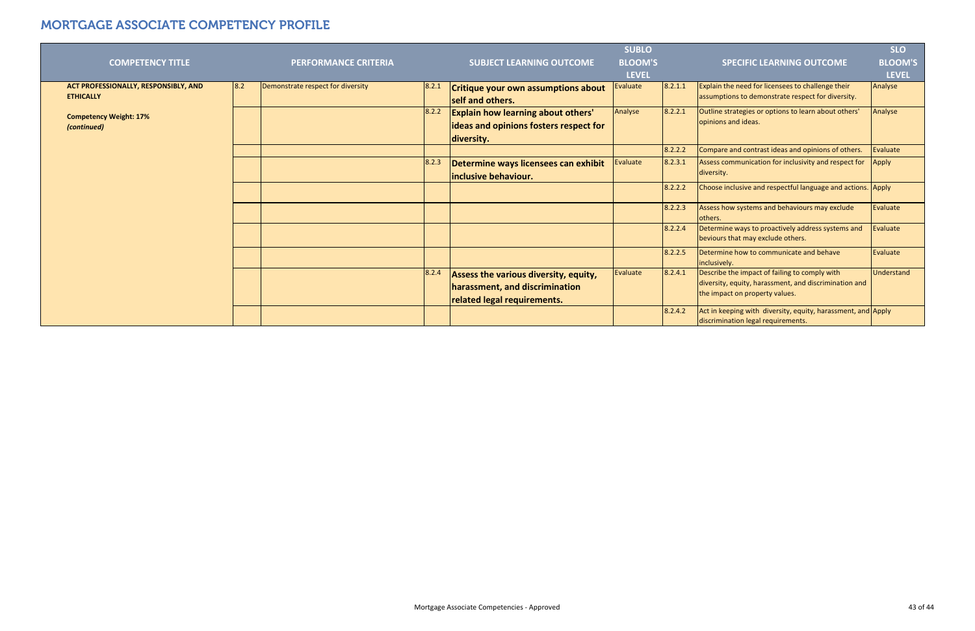| <b>COMPETENCY TITLE</b>                                  |     | <b>PERFORMANCE CRITERIA</b>       |       | <b>SUBJECT LEARNING OUTCOME</b>                                                                               | <b>SUBLO</b><br><b>BLOOM'S</b> |         | <b>SPECIFIC LEARNING OUTCOME</b>                                                                                                         | <b>SLO</b><br><b>BLOOM'S</b> |
|----------------------------------------------------------|-----|-----------------------------------|-------|---------------------------------------------------------------------------------------------------------------|--------------------------------|---------|------------------------------------------------------------------------------------------------------------------------------------------|------------------------------|
|                                                          |     |                                   |       |                                                                                                               | <b>LEVEL</b>                   |         |                                                                                                                                          | <b>LEVEL</b>                 |
| ACT PROFESSIONALLY, RESPONSIBLY, AND<br><b>ETHICALLY</b> | 8.2 | Demonstrate respect for diversity | 8.2.1 | Critique your own assumptions about<br>self and others.                                                       | Evaluate                       | 8.2.1.1 | Explain the need for licensees to challenge their<br>assumptions to demonstrate respect for diversity.                                   | Analyse                      |
| <b>Competency Weight: 17%</b><br>(continued)             |     |                                   | 8.2.2 | <b>Explain how learning about others'</b><br>ideas and opinions fosters respect for<br>diversity.             | Analyse                        | 8.2.2.1 | Outline strategies or options to learn about others'<br>opinions and ideas.                                                              | Analyse                      |
|                                                          |     |                                   |       |                                                                                                               |                                | 8.2.2.2 | Compare and contrast ideas and opinions of others.                                                                                       | Evaluate                     |
|                                                          |     |                                   | 8.2.3 | Determine ways licensees can exhibit<br>inclusive behaviour.                                                  | Evaluate                       | 8.2.3.1 | Assess communication for inclusivity and respect for<br>diversity.                                                                       | Apply                        |
|                                                          |     |                                   |       |                                                                                                               |                                | 8.2.2.2 | Choose inclusive and respectful language and actions. Apply                                                                              |                              |
|                                                          |     |                                   |       |                                                                                                               |                                | 8.2.2.3 | Assess how systems and behaviours may exclude<br>lothers.                                                                                | Evaluate                     |
|                                                          |     |                                   |       |                                                                                                               |                                | 8.2.2.4 | Determine ways to proactively address systems and<br>beviours that may exclude others.                                                   | Evaluate                     |
|                                                          |     |                                   |       |                                                                                                               |                                | 8.2.2.5 | Determine how to communicate and behave<br>inclusively.                                                                                  | Evaluate                     |
|                                                          |     |                                   | 8.2.4 | <b>Assess the various diversity, equity,</b><br>harassment, and discrimination<br>related legal requirements. | Evaluate                       | 8.2.4.1 | Describe the impact of failing to comply with<br>diversity, equity, harassment, and discrimination and<br>the impact on property values. | <b>Understand</b>            |
|                                                          |     |                                   |       |                                                                                                               |                                | 8.2.4.2 | Act in keeping with diversity, equity, harassment, and Apply<br>discrimination legal requirements.                                       |                              |